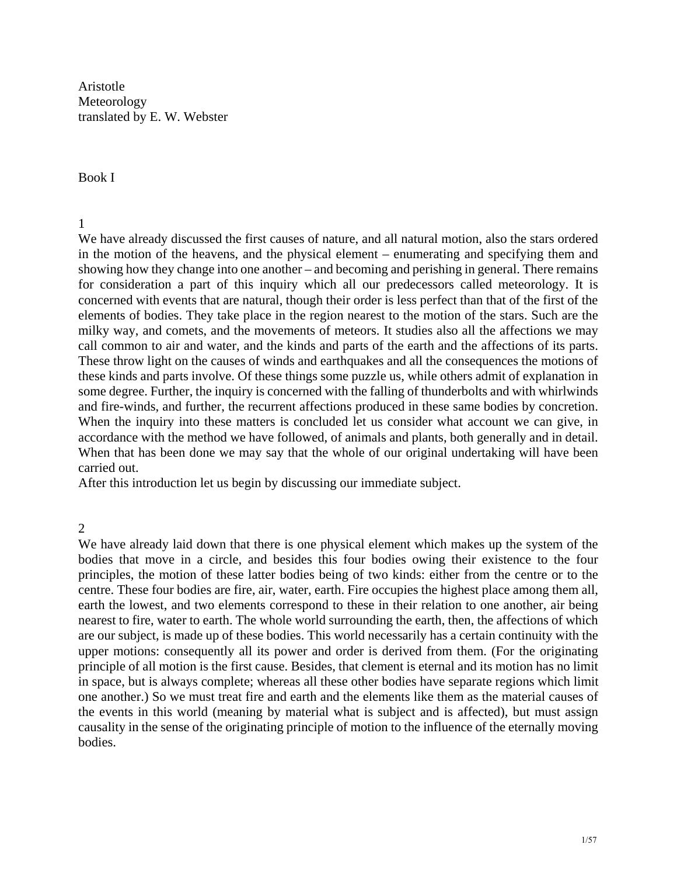Aristotle Meteorology translated by E. W. Webster

#### Book I

#### 1

We have already discussed the first causes of nature, and all natural motion, also the stars ordered in the motion of the heavens, and the physical element – enumerating and specifying them and showing how they change into one another – and becoming and perishing in general. There remains for consideration a part of this inquiry which all our predecessors called meteorology. It is concerned with events that are natural, though their order is less perfect than that of the first of the elements of bodies. They take place in the region nearest to the motion of the stars. Such are the milky way, and comets, and the movements of meteors. It studies also all the affections we may call common to air and water, and the kinds and parts of the earth and the affections of its parts. These throw light on the causes of winds and earthquakes and all the consequences the motions of these kinds and parts involve. Of these things some puzzle us, while others admit of explanation in some degree. Further, the inquiry is concerned with the falling of thunderbolts and with whirlwinds and fire-winds, and further, the recurrent affections produced in these same bodies by concretion. When the inquiry into these matters is concluded let us consider what account we can give, in accordance with the method we have followed, of animals and plants, both generally and in detail. When that has been done we may say that the whole of our original undertaking will have been carried out.

After this introduction let us begin by discussing our immediate subject.

2

We have already laid down that there is one physical element which makes up the system of the bodies that move in a circle, and besides this four bodies owing their existence to the four principles, the motion of these latter bodies being of two kinds: either from the centre or to the centre. These four bodies are fire, air, water, earth. Fire occupies the highest place among them all, earth the lowest, and two elements correspond to these in their relation to one another, air being nearest to fire, water to earth. The whole world surrounding the earth, then, the affections of which are our subject, is made up of these bodies. This world necessarily has a certain continuity with the upper motions: consequently all its power and order is derived from them. (For the originating principle of all motion is the first cause. Besides, that clement is eternal and its motion has no limit in space, but is always complete; whereas all these other bodies have separate regions which limit one another.) So we must treat fire and earth and the elements like them as the material causes of the events in this world (meaning by material what is subject and is affected), but must assign causality in the sense of the originating principle of motion to the influence of the eternally moving bodies.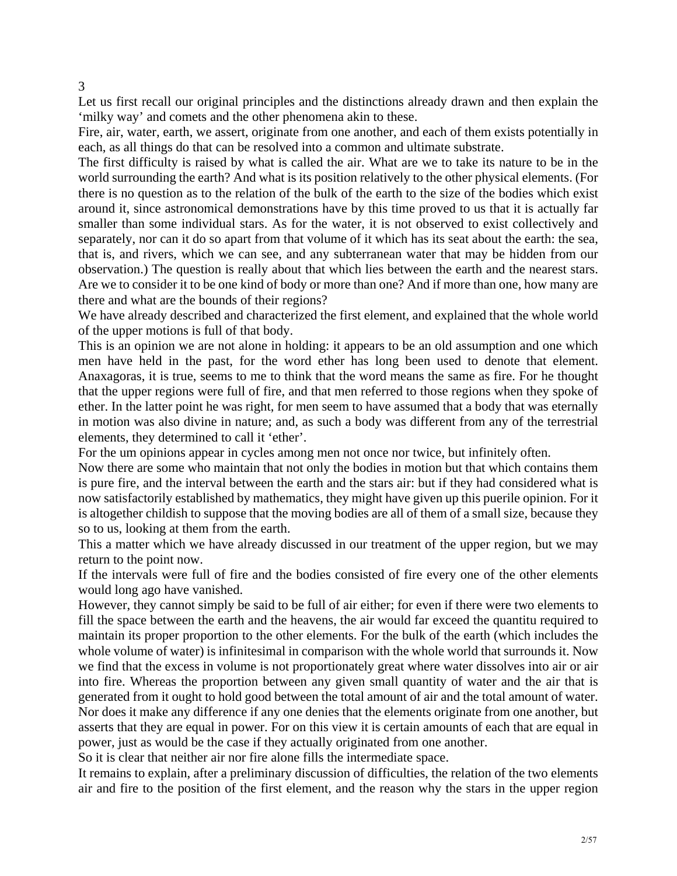Let us first recall our original principles and the distinctions already drawn and then explain the 'milky way' and comets and the other phenomena akin to these.

Fire, air, water, earth, we assert, originate from one another, and each of them exists potentially in each, as all things do that can be resolved into a common and ultimate substrate.

The first difficulty is raised by what is called the air. What are we to take its nature to be in the world surrounding the earth? And what is its position relatively to the other physical elements. (For there is no question as to the relation of the bulk of the earth to the size of the bodies which exist around it, since astronomical demonstrations have by this time proved to us that it is actually far smaller than some individual stars. As for the water, it is not observed to exist collectively and separately, nor can it do so apart from that volume of it which has its seat about the earth: the sea, that is, and rivers, which we can see, and any subterranean water that may be hidden from our observation.) The question is really about that which lies between the earth and the nearest stars. Are we to consider it to be one kind of body or more than one? And if more than one, how many are there and what are the bounds of their regions?

We have already described and characterized the first element, and explained that the whole world of the upper motions is full of that body.

This is an opinion we are not alone in holding: it appears to be an old assumption and one which men have held in the past, for the word ether has long been used to denote that element. Anaxagoras, it is true, seems to me to think that the word means the same as fire. For he thought that the upper regions were full of fire, and that men referred to those regions when they spoke of ether. In the latter point he was right, for men seem to have assumed that a body that was eternally in motion was also divine in nature; and, as such a body was different from any of the terrestrial elements, they determined to call it 'ether'.

For the um opinions appear in cycles among men not once nor twice, but infinitely often.

Now there are some who maintain that not only the bodies in motion but that which contains them is pure fire, and the interval between the earth and the stars air: but if they had considered what is now satisfactorily established by mathematics, they might have given up this puerile opinion. For it is altogether childish to suppose that the moving bodies are all of them of a small size, because they so to us, looking at them from the earth.

This a matter which we have already discussed in our treatment of the upper region, but we may return to the point now.

If the intervals were full of fire and the bodies consisted of fire every one of the other elements would long ago have vanished.

However, they cannot simply be said to be full of air either; for even if there were two elements to fill the space between the earth and the heavens, the air would far exceed the quantitu required to maintain its proper proportion to the other elements. For the bulk of the earth (which includes the whole volume of water) is infinitesimal in comparison with the whole world that surrounds it. Now we find that the excess in volume is not proportionately great where water dissolves into air or air into fire. Whereas the proportion between any given small quantity of water and the air that is generated from it ought to hold good between the total amount of air and the total amount of water. Nor does it make any difference if any one denies that the elements originate from one another, but asserts that they are equal in power. For on this view it is certain amounts of each that are equal in power, just as would be the case if they actually originated from one another.

So it is clear that neither air nor fire alone fills the intermediate space.

It remains to explain, after a preliminary discussion of difficulties, the relation of the two elements air and fire to the position of the first element, and the reason why the stars in the upper region

3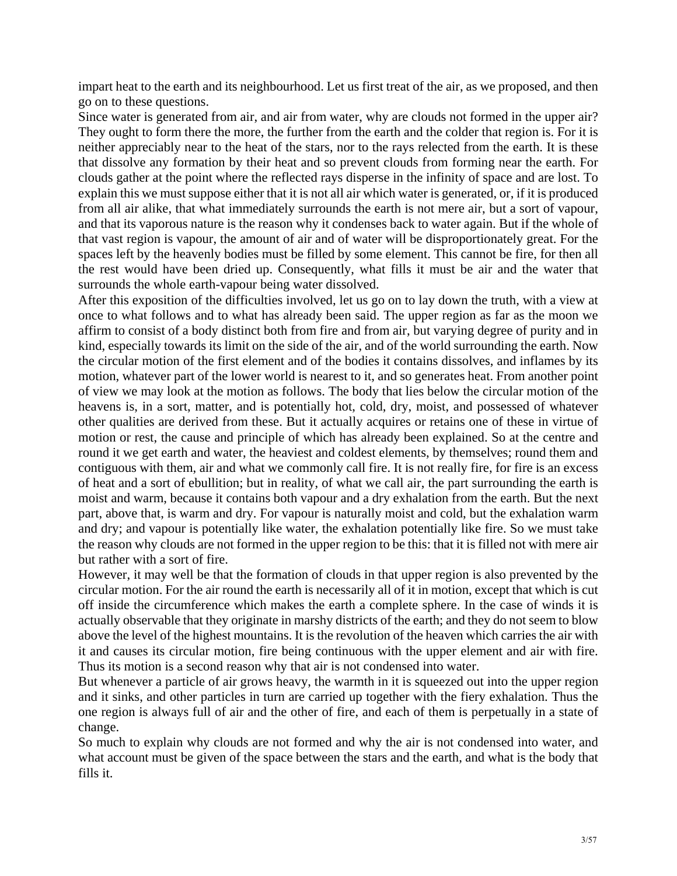impart heat to the earth and its neighbourhood. Let us first treat of the air, as we proposed, and then go on to these questions.

Since water is generated from air, and air from water, why are clouds not formed in the upper air? They ought to form there the more, the further from the earth and the colder that region is. For it is neither appreciably near to the heat of the stars, nor to the rays relected from the earth. It is these that dissolve any formation by their heat and so prevent clouds from forming near the earth. For clouds gather at the point where the reflected rays disperse in the infinity of space and are lost. To explain this we must suppose either that it is not all air which water is generated, or, if it is produced from all air alike, that what immediately surrounds the earth is not mere air, but a sort of vapour, and that its vaporous nature is the reason why it condenses back to water again. But if the whole of that vast region is vapour, the amount of air and of water will be disproportionately great. For the spaces left by the heavenly bodies must be filled by some element. This cannot be fire, for then all the rest would have been dried up. Consequently, what fills it must be air and the water that surrounds the whole earth-vapour being water dissolved.

After this exposition of the difficulties involved, let us go on to lay down the truth, with a view at once to what follows and to what has already been said. The upper region as far as the moon we affirm to consist of a body distinct both from fire and from air, but varying degree of purity and in kind, especially towards its limit on the side of the air, and of the world surrounding the earth. Now the circular motion of the first element and of the bodies it contains dissolves, and inflames by its motion, whatever part of the lower world is nearest to it, and so generates heat. From another point of view we may look at the motion as follows. The body that lies below the circular motion of the heavens is, in a sort, matter, and is potentially hot, cold, dry, moist, and possessed of whatever other qualities are derived from these. But it actually acquires or retains one of these in virtue of motion or rest, the cause and principle of which has already been explained. So at the centre and round it we get earth and water, the heaviest and coldest elements, by themselves; round them and contiguous with them, air and what we commonly call fire. It is not really fire, for fire is an excess of heat and a sort of ebullition; but in reality, of what we call air, the part surrounding the earth is moist and warm, because it contains both vapour and a dry exhalation from the earth. But the next part, above that, is warm and dry. For vapour is naturally moist and cold, but the exhalation warm and dry; and vapour is potentially like water, the exhalation potentially like fire. So we must take the reason why clouds are not formed in the upper region to be this: that it is filled not with mere air but rather with a sort of fire.

However, it may well be that the formation of clouds in that upper region is also prevented by the circular motion. For the air round the earth is necessarily all of it in motion, except that which is cut off inside the circumference which makes the earth a complete sphere. In the case of winds it is actually observable that they originate in marshy districts of the earth; and they do not seem to blow above the level of the highest mountains. It is the revolution of the heaven which carries the air with it and causes its circular motion, fire being continuous with the upper element and air with fire. Thus its motion is a second reason why that air is not condensed into water.

But whenever a particle of air grows heavy, the warmth in it is squeezed out into the upper region and it sinks, and other particles in turn are carried up together with the fiery exhalation. Thus the one region is always full of air and the other of fire, and each of them is perpetually in a state of change.

So much to explain why clouds are not formed and why the air is not condensed into water, and what account must be given of the space between the stars and the earth, and what is the body that fills it.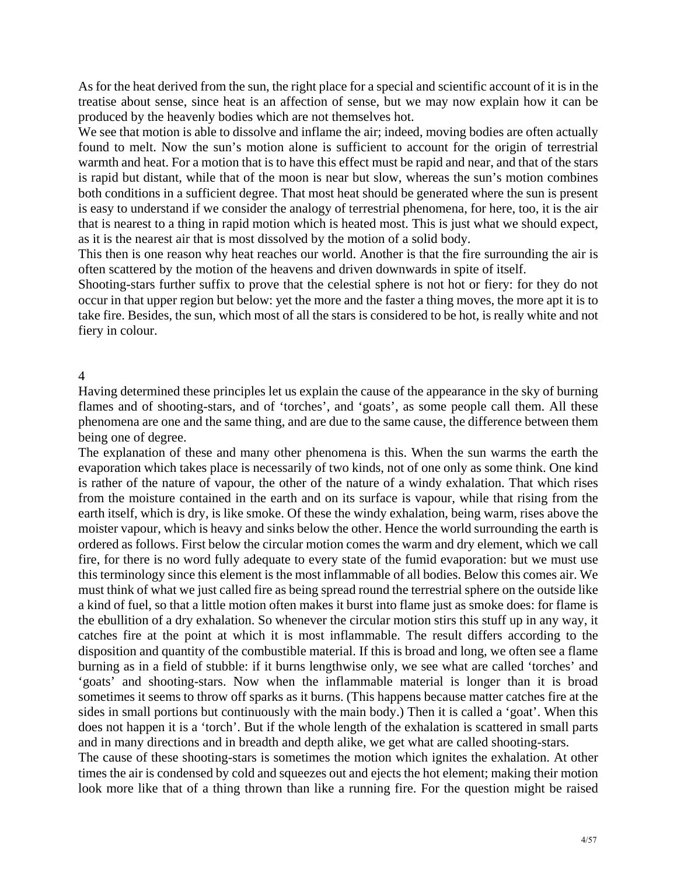As for the heat derived from the sun, the right place for a special and scientific account of it is in the treatise about sense, since heat is an affection of sense, but we may now explain how it can be produced by the heavenly bodies which are not themselves hot.

We see that motion is able to dissolve and inflame the air; indeed, moving bodies are often actually found to melt. Now the sun's motion alone is sufficient to account for the origin of terrestrial warmth and heat. For a motion that is to have this effect must be rapid and near, and that of the stars is rapid but distant, while that of the moon is near but slow, whereas the sun's motion combines both conditions in a sufficient degree. That most heat should be generated where the sun is present is easy to understand if we consider the analogy of terrestrial phenomena, for here, too, it is the air that is nearest to a thing in rapid motion which is heated most. This is just what we should expect, as it is the nearest air that is most dissolved by the motion of a solid body.

This then is one reason why heat reaches our world. Another is that the fire surrounding the air is often scattered by the motion of the heavens and driven downwards in spite of itself.

Shooting-stars further suffix to prove that the celestial sphere is not hot or fiery: for they do not occur in that upper region but below: yet the more and the faster a thing moves, the more apt it is to take fire. Besides, the sun, which most of all the stars is considered to be hot, is really white and not fiery in colour.

4

Having determined these principles let us explain the cause of the appearance in the sky of burning flames and of shooting-stars, and of 'torches', and 'goats', as some people call them. All these phenomena are one and the same thing, and are due to the same cause, the difference between them being one of degree.

The explanation of these and many other phenomena is this. When the sun warms the earth the evaporation which takes place is necessarily of two kinds, not of one only as some think. One kind is rather of the nature of vapour, the other of the nature of a windy exhalation. That which rises from the moisture contained in the earth and on its surface is vapour, while that rising from the earth itself, which is dry, is like smoke. Of these the windy exhalation, being warm, rises above the moister vapour, which is heavy and sinks below the other. Hence the world surrounding the earth is ordered as follows. First below the circular motion comes the warm and dry element, which we call fire, for there is no word fully adequate to every state of the fumid evaporation: but we must use this terminology since this element is the most inflammable of all bodies. Below this comes air. We must think of what we just called fire as being spread round the terrestrial sphere on the outside like a kind of fuel, so that a little motion often makes it burst into flame just as smoke does: for flame is the ebullition of a dry exhalation. So whenever the circular motion stirs this stuff up in any way, it catches fire at the point at which it is most inflammable. The result differs according to the disposition and quantity of the combustible material. If this is broad and long, we often see a flame burning as in a field of stubble: if it burns lengthwise only, we see what are called 'torches' and 'goats' and shooting-stars. Now when the inflammable material is longer than it is broad sometimes it seems to throw off sparks as it burns. (This happens because matter catches fire at the sides in small portions but continuously with the main body.) Then it is called a 'goat'. When this does not happen it is a 'torch'. But if the whole length of the exhalation is scattered in small parts and in many directions and in breadth and depth alike, we get what are called shooting-stars.

times the air is condensed by cold and squeezes out and ejects the hot element; making their motion look more like that of a thing thrown than like a running fire. For the question might be raised The cause of these shooting-stars is sometimes the motion which ignites the exhalation. At other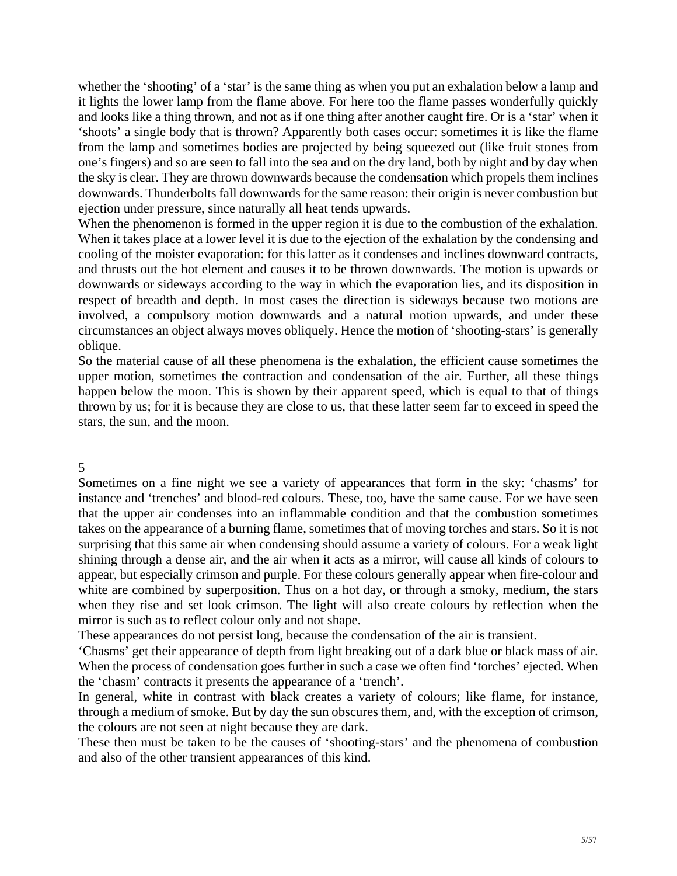whether the 'shooting' of a 'star' is the same thing as when you put an exhalation below a lamp and it lights the lower lamp from the flame above. For here too the flame passes wonderfully quickly and looks like a thing thrown, and not as if one thing after another caught fire. Or is a 'star' when it 'shoots' a single body that is thrown? Apparently both cases occur: sometimes it is like the flame from the lamp and sometimes bodies are projected by being squeezed out (like fruit stones from one's fingers) and so are seen to fall into the sea and on the dry land, both by night and by day when the sky is clear. They are thrown downwards because the condensation which propels them inclines downwards. Thunderbolts fall downwards for the same reason: their origin is never combustion but ejection under pressure, since naturally all heat tends upwards.

When the phenomenon is formed in the upper region it is due to the combustion of the exhalation. When it takes place at a lower level it is due to the ejection of the exhalation by the condensing and cooling of the moister evaporation: for this latter as it condenses and inclines downward contracts, and thrusts out the hot element and causes it to be thrown downwards. The motion is upwards or downwards or sideways according to the way in which the evaporation lies, and its disposition in respect of breadth and depth. In most cases the direction is sideways because two motions are involved, a compulsory motion downwards and a natural motion upwards, and under these circumstances an object always moves obliquely. Hence the motion of 'shooting-stars' is generally oblique.

thrown by us; for it is because they are close to us, that these latter seem far to exceed in speed the So the material cause of all these phenomena is the exhalation, the efficient cause sometimes the upper motion, sometimes the contraction and condensation of the air. Further, all these things happen below the moon. This is shown by their apparent speed, which is equal to that of things stars, the sun, and the moon.

## 5

Sometimes on a fine night we see a variety of appearances that form in the sky: 'chasms' for instance and 'trenches' and blood-red colours. These, too, have the same cause. For we have seen that the upper air condenses into an inflammable condition and that the combustion sometimes takes on the appearance of a burning flame, sometimes that of moving torches and stars. So it is not surprising that this same air when condensing should assume a variety of colours. For a weak light shining through a dense air, and the air when it acts as a mirror, will cause all kinds of colours to appear, but especially crimson and purple. For these colours generally appear when fire-colour and white are combined by superposition. Thus on a hot day, or through a smoky, medium, the stars when they rise and set look crimson. The light will also create colours by reflection when the mirror is such as to reflect colour only and not shape.

These appearances do not persist long, because the condensation of the air is transient.

'Chasms' get their appearance of depth from light breaking out of a dark blue or black mass of air. When the process of condensation goes further in such a case we often find 'torches' ejected. When the 'chasm' contracts it presents the appearance of a 'trench'.

In general, white in contrast with black creates a variety of colours; like flame, for instance, through a medium of smoke. But by day the sun obscures them, and, with the exception of crimson, the colours are not seen at night because they are dark.

These then must be taken to be the causes of 'shooting-stars' and the phenomena of combustion and also of the other transient appearances of this kind.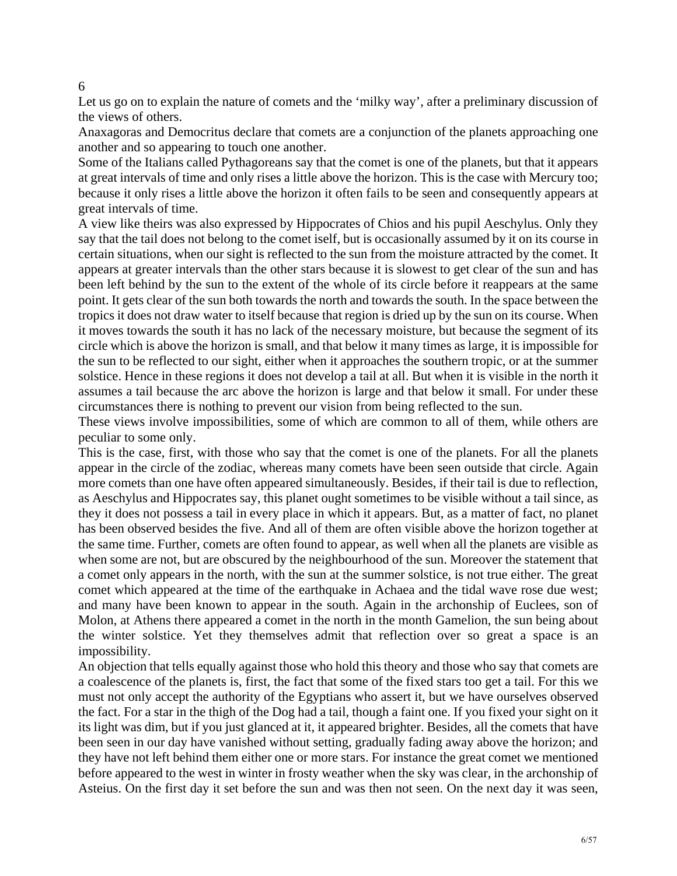6

Let us go on to explain the nature of comets and the 'milky way', after a preliminary discussion of the views of others.

Anaxagoras and Democritus declare that comets are a conjunction of the planets approaching one another and so appearing to touch one another.

at great intervals of time and only rises a little above the horizon. This is the case with Mercury too; Some of the Italians called Pythagoreans say that the comet is one of the planets, but that it appears because it only rises a little above the horizon it often fails to be seen and consequently appears at great intervals of time.

appears at greater intervals than the other stars because it is slowest to get clear of the sun and has A view like theirs was also expressed by Hippocrates of Chios and his pupil Aeschylus. Only they say that the tail does not belong to the comet iself, but is occasionally assumed by it on its course in certain situations, when our sight is reflected to the sun from the moisture attracted by the comet. It been left behind by the sun to the extent of the whole of its circle before it reappears at the same point. It gets clear of the sun both towards the north and towards the south. In the space between the tropics it does not draw water to itself because that region is dried up by the sun on its course. When it moves towards the south it has no lack of the necessary moisture, but because the segment of its circle which is above the horizon is small, and that below it many times as large, it is impossible for the sun to be reflected to our sight, either when it approaches the southern tropic, or at the summer solstice. Hence in these regions it does not develop a tail at all. But when it is visible in the north it assumes a tail because the arc above the horizon is large and that below it small. For under these circumstances there is nothing to prevent our vision from being reflected to the sun.

These views involve impossibilities, some of which are common to all of them, while others are peculiar to some only.

more comets than one have often appeared simultaneously. Besides, if their tail is due to reflection, they it does not possess a tail in every place in which it appears. But, as a matter of fact, no planet This is the case, first, with those who say that the comet is one of the planets. For all the planets appear in the circle of the zodiac, whereas many comets have been seen outside that circle. Again as Aeschylus and Hippocrates say, this planet ought sometimes to be visible without a tail since, as has been observed besides the five. And all of them are often visible above the horizon together at the same time. Further, comets are often found to appear, as well when all the planets are visible as when some are not, but are obscured by the neighbourhood of the sun. Moreover the statement that a comet only appears in the north, with the sun at the summer solstice, is not true either. The great comet which appeared at the time of the earthquake in Achaea and the tidal wave rose due west; and many have been known to appear in the south. Again in the archonship of Euclees, son of Molon, at Athens there appeared a comet in the north in the month Gamelion, the sun being about the winter solstice. Yet they themselves admit that reflection over so great a space is an impossibility.

its light was dim, but if you just glanced at it, it appeared brighter. Besides, all the comets that have An objection that tells equally against those who hold this theory and those who say that comets are a coalescence of the planets is, first, the fact that some of the fixed stars too get a tail. For this we must not only accept the authority of the Egyptians who assert it, but we have ourselves observed the fact. For a star in the thigh of the Dog had a tail, though a faint one. If you fixed your sight on it been seen in our day have vanished without setting, gradually fading away above the horizon; and they have not left behind them either one or more stars. For instance the great comet we mentioned before appeared to the west in winter in frosty weather when the sky was clear, in the archonship of Asteius. On the first day it set before the sun and was then not seen. On the next day it was seen,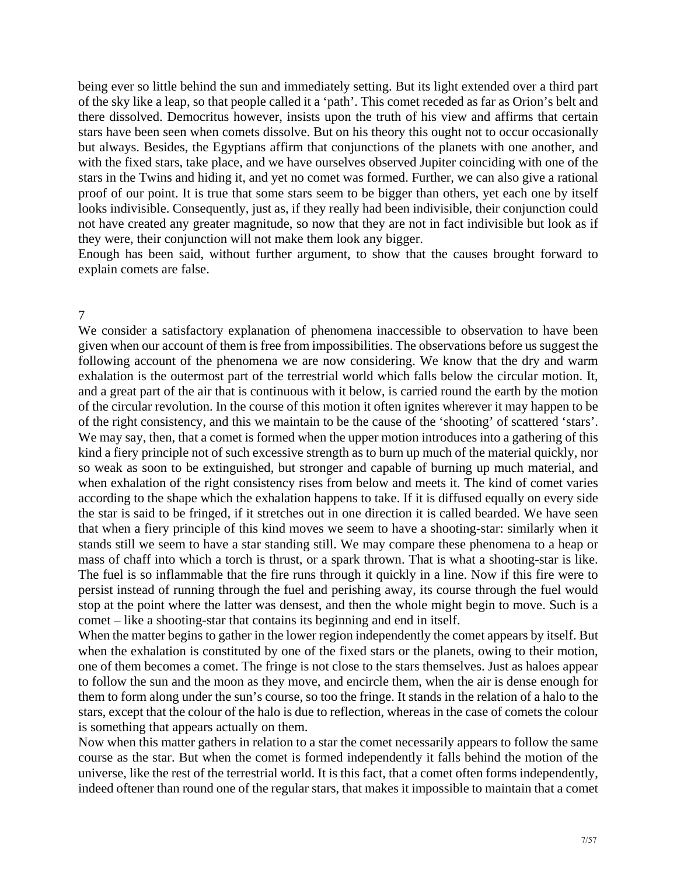being ever so little behind the sun and immediately setting. But its light extended over a third part of the sky like a leap, so that people called it a 'path'. This comet receded as far as Orion's belt and there dissolved. Democritus however, insists upon the truth of his view and affirms that certain stars have been seen when comets dissolve. But on his theory this ought not to occur occasionally but always. Besides, the Egyptians affirm that conjunctions of the planets with one another, and with the fixed stars, take place, and we have ourselves observed Jupiter coinciding with one of the stars in the Twins and hiding it, and yet no comet was formed. Further, we can also give a rational proof of our point. It is true that some stars seem to be bigger than others, yet each one by itself looks indivisible. Consequently, just as, if they really had been indivisible, their conjunction could not have created any greater magnitude, so now that they are not in fact indivisible but look as if they were, their conjunction will not make them look any bigger.

Enough has been said, without further argument, to show that the causes brought forward to explain comets are false.

7

We consider a satisfactory explanation of phenomena inaccessible to observation to have been following account of the phenomena we are now considering. We know that the dry and warm exhalation is the outermost part of the terrestrial world which falls below the circular motion. It, and a great part of the air that is continuous with it below, is carried round the earth by the motion of the circular revolution. In the course of this motion it often ignites wherever it may happen to be given when our account of them is free from impossibilities. The observations before us suggest the of the right consistency, and this we maintain to be the cause of the 'shooting' of scattered 'stars'. We may say, then, that a comet is formed when the upper motion introduces into a gathering of this kind a fiery principle not of such excessive strength as to burn up much of the material quickly, nor so weak as soon to be extinguished, but stronger and capable of burning up much material, and when exhalation of the right consistency rises from below and meets it. The kind of comet varies according to the shape which the exhalation happens to take. If it is diffused equally on every side the star is said to be fringed, if it stretches out in one direction it is called bearded. We have seen that when a fiery principle of this kind moves we seem to have a shooting-star: similarly when it stands still we seem to have a star standing still. We may compare these phenomena to a heap or mass of chaff into which a torch is thrust, or a spark thrown. That is what a shooting-star is like. The fuel is so inflammable that the fire runs through it quickly in a line. Now if this fire were to persist instead of running through the fuel and perishing away, its course through the fuel would stop at the point where the latter was densest, and then the whole might begin to move. Such is a comet – like a shooting-star that contains its beginning and end in itself.

is something that appears actually on them. When the matter begins to gather in the lower region independently the comet appears by itself. But when the exhalation is constituted by one of the fixed stars or the planets, owing to their motion, one of them becomes a comet. The fringe is not close to the stars themselves. Just as haloes appear to follow the sun and the moon as they move, and encircle them, when the air is dense enough for them to form along under the sun's course, so too the fringe. It stands in the relation of a halo to the stars, except that the colour of the halo is due to reflection, whereas in the case of comets the colour

Now when this matter gathers in relation to a star the comet necessarily appears to follow the same course as the star. But when the comet is formed independently it falls behind the motion of the universe, like the rest of the terrestrial world. It is this fact, that a comet often forms independently, indeed oftener than round one of the regular stars, that makes it impossible to maintain that a comet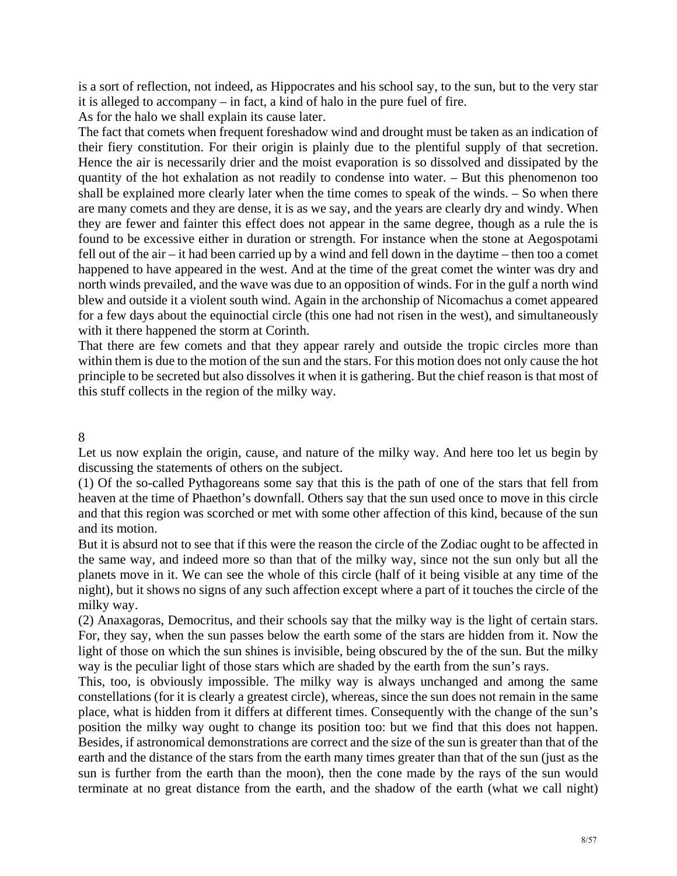is a sort of reflection, not indeed, as Hippocrates and his school say, to the sun, but to the very star it is alleged to accompany – in fact, a kind of halo in the pure fuel of fire.

As for the halo we shall explain its cause later.

The fact that comets when frequent foreshadow wind and drought must be taken as an indication of their fiery constitution. For their origin is plainly due to the plentiful supply of that secretion. Hence the air is necessarily drier and the moist evaporation is so dissolved and dissipated by the quantity of the hot exhalation as not readily to condense into water. – But this phenomenon too shall be explained more clearly later when the time comes to speak of the winds. – So when there are many comets and they are dense, it is as we say, and the years are clearly dry and windy. When they are fewer and fainter this effect does not appear in the same degree, though as a rule the is found to be excessive either in duration or strength. For instance when the stone at Aegospotami fell out of the air – it had been carried up by a wind and fell down in the daytime – then too a comet happened to have appeared in the west. And at the time of the great comet the winter was dry and north winds prevailed, and the wave was due to an opposition of winds. For in the gulf a north wind blew and outside it a violent south wind. Again in the archonship of Nicomachus a comet appeared for a few days about the equinoctial circle (this one had not risen in the west), and simultaneously with it there happened the storm at Corinth.

That there are few comets and that they appear rarely and outside the tropic circles more than within them is due to the motion of the sun and the stars. For this motion does not only cause the hot principle to be secreted but also dissolves it when it is gathering. But the chief reason is that most of this stuff collects in the region of the milky way.

8

Let us now explain the origin, cause, and nature of the milky way. And here too let us begin by discussing the statements of others on the subject.

heaven at the time of Phaethon's downfall. Others say that the sun used once to move in this circle and that this region was scorched or met with some other affection of this kind, because of the sun and its motion. (1) Of the so-called Pythagoreans some say that this is the path of one of the stars that fell from

But it is absurd not to see that if this were the reason the circle of the Zodiac ought to be affected in planets move in it. We can see the whole of this circle (half of it being visible at any time of the the same way, and indeed more so than that of the milky way, since not the sun only but all the night), but it shows no signs of any such affection except where a part of it touches the circle of the milky way.

For, they say, when the sun passes below the earth some of the stars are hidden from it. Now the (2) Anaxagoras, Democritus, and their schools say that the milky way is the light of certain stars. light of those on which the sun shines is invisible, being obscured by the of the sun. But the milky way is the peculiar light of those stars which are shaded by the earth from the sun's rays.

place, what is hidden from it differs at different times. Consequently with the change of the sun's sun is further from the earth than the moon), then the cone made by the rays of the sun would terminate at no great distance from the earth, and the shadow of the earth (what we call night) This, too, is obviously impossible. The milky way is always unchanged and among the same constellations (for it is clearly a greatest circle), whereas, since the sun does not remain in the same position the milky way ought to change its position too: but we find that this does not happen. Besides, if astronomical demonstrations are correct and the size of the sun is greater than that of the earth and the distance of the stars from the earth many times greater than that of the sun (just as the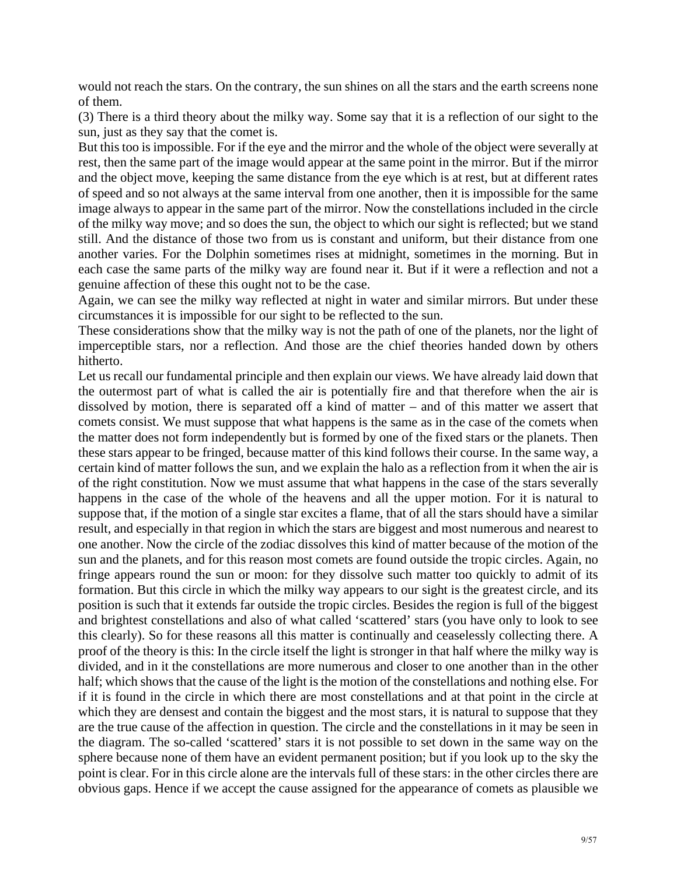would not reach the stars. On the contrary, the sun shines on all the stars and the earth screens none of them.

(3) There is a third theory about the milky way. Some say that it is a reflection of our sight to the sun, just as they say that the comet is.

But this too is impossible. For if the eye and the mirror and the whole of the object were severally at rest, then the same part of the image would appear at the same point in the mirror. But if the mirror and the object move, keeping the same distance from the eye which is at rest, but at different rates of speed and so not always at the same interval from one another, then it is impossible for the same image always to appear in the same part of the mirror. Now the constellations included in the circle of the milky way move; and so does the sun, the object to which our sight is reflected; but we stand another varies. For the Dolphin sometimes rises at midnight, sometimes in the morning. But in still. And the distance of those two from us is constant and uniform, but their distance from one each case the same parts of the milky way are found near it. But if it were a reflection and not a genuine affection of these this ought not to be the case.

Again, we can see the milky way reflected at night in water and similar mirrors. But under these circumstances it is impossible for our sight to be reflected to the sun.

These considerations show that the milky way is not the path of one of the planets, nor the light of imperceptible stars, nor a reflection. And those are the chief theories handed down by others hitherto.

comets consist. We must suppose that what happens is the same as in the case of the comets when these stars appear to be fringed, because matter of this kind follows their course. In the same way, a happens in the case of the whole of the heavens and all the upper motion. For it is natural to Let us recall our fundamental principle and then explain our views. We have already laid down that the outermost part of what is called the air is potentially fire and that therefore when the air is dissolved by motion, there is separated off a kind of matter – and of this matter we assert that the matter does not form independently but is formed by one of the fixed stars or the planets. Then certain kind of matter follows the sun, and we explain the halo as a reflection from it when the air is of the right constitution. Now we must assume that what happens in the case of the stars severally suppose that, if the motion of a single star excites a flame, that of all the stars should have a similar result, and especially in that region in which the stars are biggest and most numerous and nearest to one another. Now the circle of the zodiac dissolves this kind of matter because of the motion of the sun and the planets, and for this reason most comets are found outside the tropic circles. Again, no fringe appears round the sun or moon: for they dissolve such matter too quickly to admit of its formation. But this circle in which the milky way appears to our sight is the greatest circle, and its position is such that it extends far outside the tropic circles. Besides the region is full of the biggest and brightest constellations and also of what called 'scattered' stars (you have only to look to see this clearly). So for these reasons all this matter is continually and ceaselessly collecting there. A proof of the theory is this: In the circle itself the light is stronger in that half where the milky way is divided, and in it the constellations are more numerous and closer to one another than in the other half; which shows that the cause of the light is the motion of the constellations and nothing else. For if it is found in the circle in which there are most constellations and at that point in the circle at which they are densest and contain the biggest and the most stars, it is natural to suppose that they are the true cause of the affection in question. The circle and the constellations in it may be seen in the diagram. The so-called 'scattered' stars it is not possible to set down in the same way on the sphere because none of them have an evident permanent position; but if you look up to the sky the point is clear. For in this circle alone are the intervals full of these stars: in the other circles there are obvious gaps. Hence if we accept the cause assigned for the appearance of comets as plausible we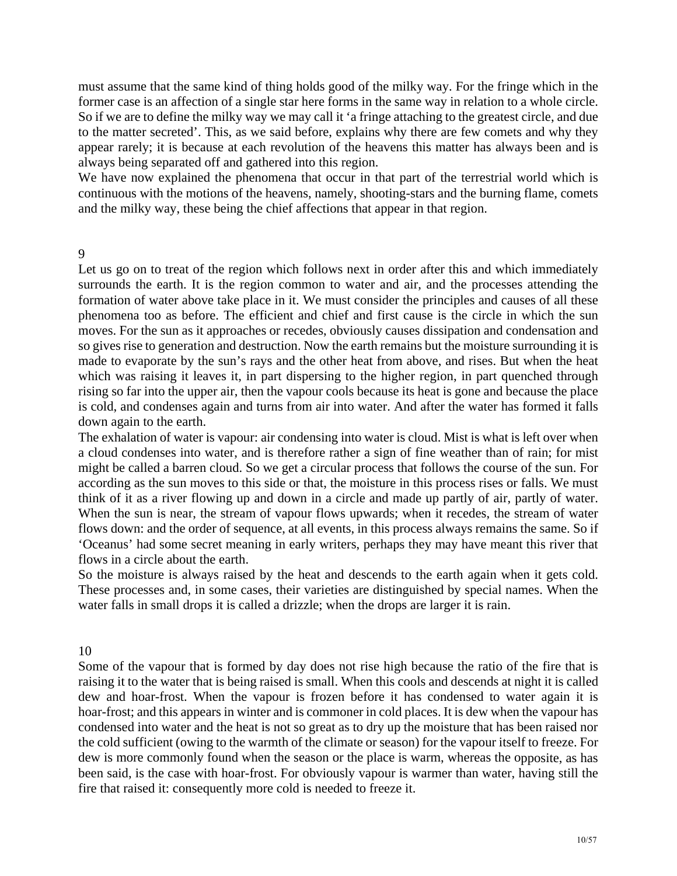must assume that the same kind of thing holds good of the milky way. For the fringe which in the former case is an affection of a single star here forms in the same way in relation to a whole circle. So if we are to define the milky way we may call it 'a fringe attaching to the greatest circle, and due to the matter secreted'. This, as we said before, explains why there are few comets and why they appear rarely; it is because at each revolution of the heavens this matter has always been and is always being separated off and gathered into this region.

We have now explained the phenomena that occur in that part of the terrestrial world which is continuous with the motions of the heavens, namely, shooting-stars and the burning flame, comets and the milky way, these being the chief affections that appear in that region.

### 9

Let us go on to treat of the region which follows next in order after this and which immediately surrounds the earth. It is the region common to water and air, and the processes attending the formation of water above take place in it. We must consider the principles and causes of all these phenomena too as before. The efficient and chief and first cause is the circle in which the sun made to evaporate by the sun's rays and the other heat from above, and rises. But when the heat which was raising it leaves it, in part dispersing to the higher region, in part quenched through rising so far into the upper air, then the vapour cools because its heat is gone and because the place is cold, and condenses again and turns from air into water. And after the water has formed it falls moves. For the sun as it approaches or recedes, obviously causes dissipation and condensation and so gives rise to generation and destruction. Now the earth remains but the moisture surrounding it is down again to the earth.

The exhalation of water is vapour: air condensing into water is cloud. Mist is what is left over when a cloud condenses into water, and is therefore rather a sign of fine weather than of rain; for mist might be called a barren cloud. So we get a circular process that follows the course of the sun. For according as the sun moves to this side or that, the moisture in this process rises or falls. We must think of it as a river flowing up and down in a circle and made up partly of air, partly of water. When the sun is near, the stream of vapour flows upwards; when it recedes, the stream of water flows down: and the order of sequence, at all events, in this process always remains the same. So if 'Oceanus' had some secret meaning in early writers, perhaps they may have meant this river that flows in a circle about the earth.

So the moisture is always raised by the heat and descends to the earth again when it gets cold. These processes and, in some cases, their varieties are distinguished by special names. When the water falls in small drops it is called a drizzle; when the drops are larger it is rain.

#### 10

hoar-frost; and this appears in winter and is commoner in cold places. It is dew when the vapour has dew is more commonly found when the season or the place is warm, whereas the opposite, as has been said, is the case with hoar-frost. For obviously vapour is warmer than water, having still the fire that raised it: consequently more cold is needed to freeze it. Some of the vapour that is formed by day does not rise high because the ratio of the fire that is raising it to the water that is being raised is small. When this cools and descends at night it is called dew and hoar-frost. When the vapour is frozen before it has condensed to water again it is condensed into water and the heat is not so great as to dry up the moisture that has been raised nor the cold sufficient (owing to the warmth of the climate or season) for the vapour itself to freeze. For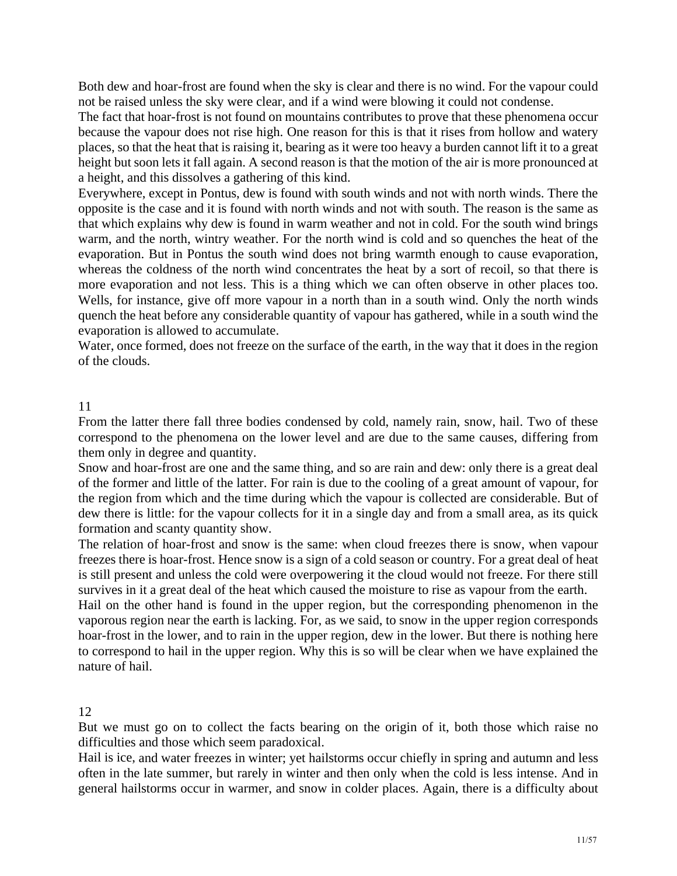Both dew and hoar-frost are found when the sky is clear and there is no wind. For the vapour could not be raised unless the sky were clear, and if a wind were blowing it could not condense.

The fact that hoar-frost is not found on mountains contributes to prove that these phenomena occur because the vapour does not rise high. One reason for this is that it rises from hollow and watery places, so that the heat that is raising it, bearing as it were too heavy a burden cannot lift it to a great height but soon lets it fall again. A second reason is that the motion of the air is more pronounced at a height, and this dissolves a gathering of this kind.

that which explains why dew is found in warm weather and not in cold. For the south wind brings evaporation. But in Pontus the south wind does not bring warmth enough to cause evaporation, Everywhere, except in Pontus, dew is found with south winds and not with north winds. There the opposite is the case and it is found with north winds and not with south. The reason is the same as warm, and the north, wintry weather. For the north wind is cold and so quenches the heat of the whereas the coldness of the north wind concentrates the heat by a sort of recoil, so that there is more evaporation and not less. This is a thing which we can often observe in other places too. Wells, for instance, give off more vapour in a north than in a south wind. Only the north winds quench the heat before any considerable quantity of vapour has gathered, while in a south wind the evaporation is allowed to accumulate.

Water, once formed, does not freeze on the surface of the earth, in the way that it does in the region of the clouds.

## 11

From the latter there fall three bodies condensed by cold, namely rain, snow, hail. Two of these correspond to the phenomena on the lower level and are due to the same causes, differing from them only in degree and quantity.

of the former and little of the latter. For rain is due to the cooling of a great amount of vapour, for dew there is little: for the vapour collects for it in a single day and from a small area, as its quick formation and scanty quantity show. Snow and hoar-frost are one and the same thing, and so are rain and dew: only there is a great deal the region from which and the time during which the vapour is collected are considerable. But of

The relation of hoar-frost and snow is the same: when cloud freezes there is snow, when vapour freezes there is hoar-frost. Hence snow is a sign of a cold season or country. For a great deal of heat is still present and unless the cold were overpowering it the cloud would not freeze. For there still survives in it a great deal of the heat which caused the moisture to rise as vapour from the earth.

Hail on the other hand is found in the upper region, but the corresponding phenomenon in the vaporous region near the earth is lacking. For, as we said, to snow in the upper region corresponds hoar-frost in the lower, and to rain in the upper region, dew in the lower. But there is nothing here to correspond to hail in the upper region. Why this is so will be clear when we have explained the nature of hail.

# 12

But we must go on to collect the facts bearing on the origin of it, both those which raise no difficulties and those which seem paradoxical.

Hail is ice, and water freezes in winter; yet hailstorms occur chiefly in spring and autumn and less often in the late summer, but rarely in winter and then only when the cold is less intense. And in general hailstorms occur in warmer, and snow in colder places. Again, there is a difficulty about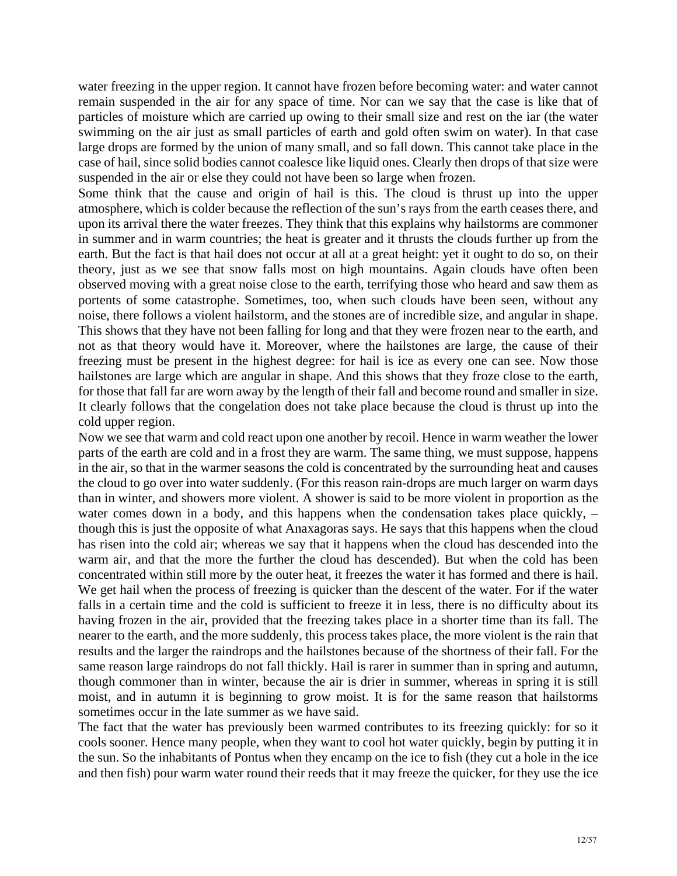water freezing in the upper region. It cannot have frozen before becoming water: and water cannot remain suspended in the air for any space of time. Nor can we say that the case is like that of particles of moisture which are carried up owing to their small size and rest on the iar (the water swimming on the air just as small particles of earth and gold often swim on water). In that case large drops are formed by the union of many small, and so fall down. This cannot take place in the case of hail, since solid bodies cannot coalesce like liquid ones. Clearly then drops of that size were suspended in the air or else they could not have been so large when frozen.

Some think that the cause and origin of hail is this. The cloud is thrust up into the upper not as that theory would have it. Moreover, where the hailstones are large, the cause of their atmosphere, which is colder because the reflection of the sun's rays from the earth ceases there, and upon its arrival there the water freezes. They think that this explains why hailstorms are commoner in summer and in warm countries; the heat is greater and it thrusts the clouds further up from the earth. But the fact is that hail does not occur at all at a great height: yet it ought to do so, on their theory, just as we see that snow falls most on high mountains. Again clouds have often been observed moving with a great noise close to the earth, terrifying those who heard and saw them as portents of some catastrophe. Sometimes, too, when such clouds have been seen, without any noise, there follows a violent hailstorm, and the stones are of incredible size, and angular in shape. This shows that they have not been falling for long and that they were frozen near to the earth, and freezing must be present in the highest degree: for hail is ice as every one can see. Now those hailstones are large which are angular in shape. And this shows that they froze close to the earth, for those that fall far are worn away by the length of their fall and become round and smaller in size. It clearly follows that the congelation does not take place because the cloud is thrust up into the cold upper region.

concentrated within still more by the outer heat, it freezes the water it has formed and there is hail. falls in a certain time and the cold is sufficient to freeze it in less, there is no difficulty about its Now we see that warm and cold react upon one another by recoil. Hence in warm weather the lower parts of the earth are cold and in a frost they are warm. The same thing, we must suppose, happens in the air, so that in the warmer seasons the cold is concentrated by the surrounding heat and causes the cloud to go over into water suddenly. (For this reason rain-drops are much larger on warm days than in winter, and showers more violent. A shower is said to be more violent in proportion as the water comes down in a body, and this happens when the condensation takes place quickly, – though this is just the opposite of what Anaxagoras says. He says that this happens when the cloud has risen into the cold air; whereas we say that it happens when the cloud has descended into the warm air, and that the more the further the cloud has descended). But when the cold has been We get hail when the process of freezing is quicker than the descent of the water. For if the water having frozen in the air, provided that the freezing takes place in a shorter time than its fall. The nearer to the earth, and the more suddenly, this process takes place, the more violent is the rain that results and the larger the raindrops and the hailstones because of the shortness of their fall. For the same reason large raindrops do not fall thickly. Hail is rarer in summer than in spring and autumn, though commoner than in winter, because the air is drier in summer, whereas in spring it is still moist, and in autumn it is beginning to grow moist. It is for the same reason that hailstorms sometimes occur in the late summer as we have said.

The fact that the water has previously been warmed contributes to its freezing quickly: for so it cools sooner. Hence many people, when they want to cool hot water quickly, begin by putting it in the sun. So the inhabitants of Pontus when they encamp on the ice to fish (they cut a hole in the ice and then fish) pour warm water round their reeds that it may freeze the quicker, for they use the ice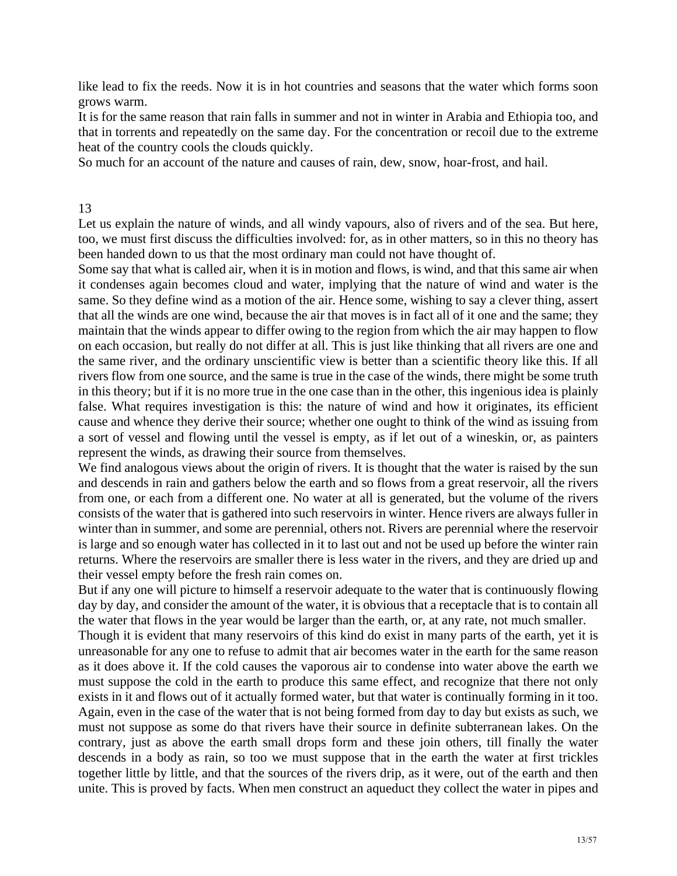like lead to fix the reeds. Now it is in hot countries and seasons that the water which forms soon grows warm.

It is for the same reason that rain falls in summer and not in winter in Arabia and Ethiopia too, and that in torrents and repeatedly on the same day. For the concentration or recoil due to the extreme heat of the country cools the clouds quickly.

So much for an account of the nature and causes of rain, dew, snow, hoar-frost, and hail.

## 13

Let us explain the nature of winds, and all windy vapours, also of rivers and of the sea. But here, too, we must first discuss the difficulties involved: for, as in other matters, so in this no theory has been handed down to us that the most ordinary man could not have thought of.

Some say that what is called air, when it is in motion and flows, is wind, and that this same air when that all the winds are one wind, because the air that moves is in fact all of it one and the same; they maintain that the winds appear to differ owing to the region from which the air may happen to flow on each occasion, but really do not differ at all. This is just like thinking that all rivers are one and the same river, and the ordinary unscientific view is better than a scientific theory like this. If all rivers flow from one source, and the same is true in the case of the winds, there might be some truth cause and whence they derive their source; whether one ought to think of the wind as issuing from it condenses again becomes cloud and water, implying that the nature of wind and water is the same. So they define wind as a motion of the air. Hence some, wishing to say a clever thing, assert in this theory; but if it is no more true in the one case than in the other, this ingenious idea is plainly false. What requires investigation is this: the nature of wind and how it originates, its efficient a sort of vessel and flowing until the vessel is empty, as if let out of a wineskin, or, as painters represent the winds, as drawing their source from themselves.

We find analogous views about the origin of rivers. It is thought that the water is raised by the sun and descends in rain and gathers below the earth and so flows from a great reservoir, all the rivers from one, or each from a different one. No water at all is generated, but the volume of the rivers consists of the water that is gathered into such reservoirs in winter. Hence rivers are always fuller in winter than in summer, and some are perennial, others not. Rivers are perennial where the reservoir is large and so enough water has collected in it to last out and not be used up before the winter rain returns. Where the reservoirs are smaller there is less water in the rivers, and they are dried up and their vessel empty before the fresh rain comes on.

But if any one will picture to himself a reservoir adequate to the water that is continuously flowing day by day, and consider the amount of the water, it is obvious that a receptacle that is to contain all the water that flows in the year would be larger than the earth, or, at any rate, not much smaller.

contrary, just as above the earth small drops form and these join others, till finally the water unite. This is proved by facts. When men construct an aqueduct they collect the water in pipes and Though it is evident that many reservoirs of this kind do exist in many parts of the earth, yet it is unreasonable for any one to refuse to admit that air becomes water in the earth for the same reason as it does above it. If the cold causes the vaporous air to condense into water above the earth we must suppose the cold in the earth to produce this same effect, and recognize that there not only exists in it and flows out of it actually formed water, but that water is continually forming in it too. Again, even in the case of the water that is not being formed from day to day but exists as such, we must not suppose as some do that rivers have their source in definite subterranean lakes. On the descends in a body as rain, so too we must suppose that in the earth the water at first trickles together little by little, and that the sources of the rivers drip, as it were, out of the earth and then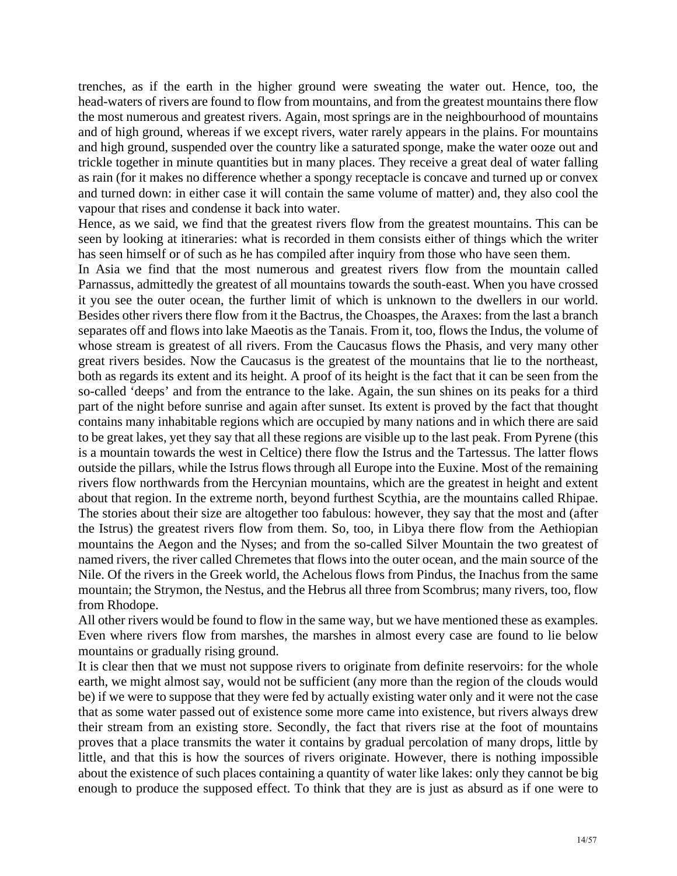trenches, as if the earth in the higher ground were sweating the water out. Hence, too, the head-waters of rivers are found to flow from mountains, and from the greatest mountains there flow and turned down: in either case it will contain the same volume of matter) and, they also cool the the most numerous and greatest rivers. Again, most springs are in the neighbourhood of mountains and of high ground, whereas if we except rivers, water rarely appears in the plains. For mountains and high ground, suspended over the country like a saturated sponge, make the water ooze out and trickle together in minute quantities but in many places. They receive a great deal of water falling as rain (for it makes no difference whether a spongy receptacle is concave and turned up or convex vapour that rises and condense it back into water.

Hence, as we said, we find that the greatest rivers flow from the greatest mountains. This can be seen by looking at itineraries: what is recorded in them consists either of things which the writer has seen himself or of such as he has compiled after inquiry from those who have seen them.

contains many inhabitable regions which are occupied by many nations and in which there are said outside the pillars, while the Istrus flows through all Europe into the Euxine. Most of the remaining In Asia we find that the most numerous and greatest rivers flow from the mountain called Parnassus, admittedly the greatest of all mountains towards the south-east. When you have crossed it you see the outer ocean, the further limit of which is unknown to the dwellers in our world. Besides other rivers there flow from it the Bactrus, the Choaspes, the Araxes: from the last a branch separates off and flows into lake Maeotis as the Tanais. From it, too, flows the Indus, the volume of whose stream is greatest of all rivers. From the Caucasus flows the Phasis, and very many other great rivers besides. Now the Caucasus is the greatest of the mountains that lie to the northeast, both as regards its extent and its height. A proof of its height is the fact that it can be seen from the so-called 'deeps' and from the entrance to the lake. Again, the sun shines on its peaks for a third part of the night before sunrise and again after sunset. Its extent is proved by the fact that thought to be great lakes, yet they say that all these regions are visible up to the last peak. From Pyrene (this is a mountain towards the west in Celtice) there flow the Istrus and the Tartessus. The latter flows rivers flow northwards from the Hercynian mountains, which are the greatest in height and extent about that region. In the extreme north, beyond furthest Scythia, are the mountains called Rhipae. The stories about their size are altogether too fabulous: however, they say that the most and (after the Istrus) the greatest rivers flow from them. So, too, in Libya there flow from the Aethiopian mountains the Aegon and the Nyses; and from the so-called Silver Mountain the two greatest of named rivers, the river called Chremetes that flows into the outer ocean, and the main source of the Nile. Of the rivers in the Greek world, the Achelous flows from Pindus, the Inachus from the same mountain; the Strymon, the Nestus, and the Hebrus all three from Scombrus; many rivers, too, flow from Rhodope.

All other rivers would be found to flow in the same way, but we have mentioned these as examples. Even where rivers flow from marshes, the marshes in almost every case are found to lie below mountains or gradually rising ground.

It is clear then that we must not suppose rivers to originate from definite reservoirs: for the whole earth, we might almost say, would not be sufficient (any more than the region of the clouds would be) if we were to suppose that they were fed by actually existing water only and it were not the case that as some water passed out of existence some more came into existence, but rivers always drew their stream from an existing store. Secondly, the fact that rivers rise at the foot of mountains proves that a place transmits the water it contains by gradual percolation of many drops, little by little, and that this is how the sources of rivers originate. However, there is nothing impossible about the existence of such places containing a quantity of water like lakes: only they cannot be big enough to produce the supposed effect. To think that they are is just as absurd as if one were to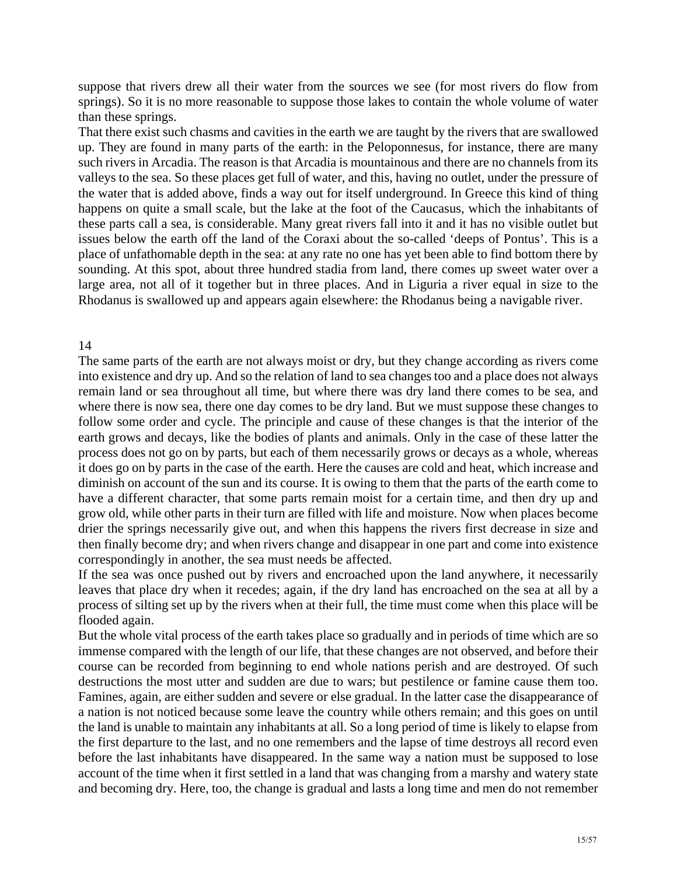suppose that rivers drew all their water from the sources we see (for most rivers do flow from springs). So it is no more reasonable to suppose those lakes to contain the whole volume of water than these springs.

up. They are found in many parts of the earth: in the Peloponnesus, for instance, there are many That there exist such chasms and cavities in the earth we are taught by the rivers that are swallowed such rivers in Arcadia. The reason is that Arcadia is mountainous and there are no channels from its valleys to the sea. So these places get full of water, and this, having no outlet, under the pressure of the water that is added above, finds a way out for itself underground. In Greece this kind of thing happens on quite a small scale, but the lake at the foot of the Caucasus, which the inhabitants of these parts call a sea, is considerable. Many great rivers fall into it and it has no visible outlet but issues below the earth off the land of the Coraxi about the so-called 'deeps of Pontus'. This is a place of unfathomable depth in the sea: at any rate no one has yet been able to find bottom there by sounding. At this spot, about three hundred stadia from land, there comes up sweet water over a large area, not all of it together but in three places. And in Liguria a river equal in size to the Rhodanus is swallowed up and appears again elsewhere: the Rhodanus being a navigable river.

## 14

drier the springs necessarily give out, and when this happens the rivers first decrease in size and then finally become dry; and when rivers change and disappear in one part and come into existence correspondingly in another, the sea must needs be affected. The same parts of the earth are not always moist or dry, but they change according as rivers come into existence and dry up. And so the relation of land to sea changes too and a place does not always remain land or sea throughout all time, but where there was dry land there comes to be sea, and where there is now sea, there one day comes to be dry land. But we must suppose these changes to follow some order and cycle. The principle and cause of these changes is that the interior of the earth grows and decays, like the bodies of plants and animals. Only in the case of these latter the process does not go on by parts, but each of them necessarily grows or decays as a whole, whereas it does go on by parts in the case of the earth. Here the causes are cold and heat, which increase and diminish on account of the sun and its course. It is owing to them that the parts of the earth come to have a different character, that some parts remain moist for a certain time, and then dry up and grow old, while other parts in their turn are filled with life and moisture. Now when places become

If the sea was once pushed out by rivers and encroached upon the land anywhere, it necessarily leaves that place dry when it recedes; again, if the dry land has encroached on the sea at all by a process of silting set up by the rivers when at their full, the time must come when this place will be flooded again.

and becoming dry. Here, too, the change is gradual and lasts a long time and men do not remember But the whole vital process of the earth takes place so gradually and in periods of time which are so immense compared with the length of our life, that these changes are not observed, and before their course can be recorded from beginning to end whole nations perish and are destroyed. Of such destructions the most utter and sudden are due to wars; but pestilence or famine cause them too. Famines, again, are either sudden and severe or else gradual. In the latter case the disappearance of a nation is not noticed because some leave the country while others remain; and this goes on until the land is unable to maintain any inhabitants at all. So a long period of time is likely to elapse from the first departure to the last, and no one remembers and the lapse of time destroys all record even before the last inhabitants have disappeared. In the same way a nation must be supposed to lose account of the time when it first settled in a land that was changing from a marshy and watery state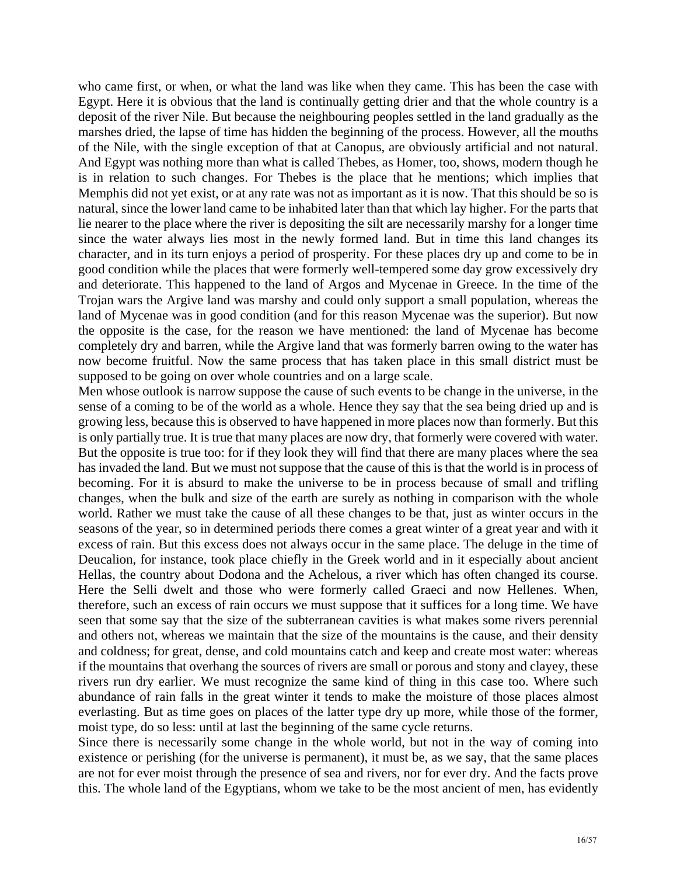who came first, or when, or what the land was like when they came. This has been the case with Egypt. Here it is obvious that the land is continually getting drier and that the whole country is a And Egypt was nothing more than what is called Thebes, as Homer, too, shows, modern though he deposit of the river Nile. But because the neighbouring peoples settled in the land gradually as the marshes dried, the lapse of time has hidden the beginning of the process. However, all the mouths of the Nile, with the single exception of that at Canopus, are obviously artificial and not natural. is in relation to such changes. For Thebes is the place that he mentions; which implies that Memphis did not yet exist, or at any rate was not as important as it is now. That this should be so is natural, since the lower land came to be inhabited later than that which lay higher. For the parts that lie nearer to the place where the river is depositing the silt are necessarily marshy for a longer time since the water always lies most in the newly formed land. But in time this land changes its character, and in its turn enjoys a period of prosperity. For these places dry up and come to be in good condition while the places that were formerly well-tempered some day grow excessively dry and deteriorate. This happened to the land of Argos and Mycenae in Greece. In the time of the Trojan wars the Argive land was marshy and could only support a small population, whereas the land of Mycenae was in good condition (and for this reason Mycenae was the superior). But now the opposite is the case, for the reason we have mentioned: the land of Mycenae has become completely dry and barren, while the Argive land that was formerly barren owing to the water has now become fruitful. Now the same process that has taken place in this small district must be supposed to be going on over whole countries and on a large scale.

and coldness; for great, dense, and cold mountains catch and keep and create most water: whereas Men whose outlook is narrow suppose the cause of such events to be change in the universe, in the sense of a coming to be of the world as a whole. Hence they say that the sea being dried up and is growing less, because this is observed to have happened in more places now than formerly. But this is only partially true. It is true that many places are now dry, that formerly were covered with water. But the opposite is true too: for if they look they will find that there are many places where the sea has invaded the land. But we must not suppose that the cause of this is that the world is in process of becoming. For it is absurd to make the universe to be in process because of small and trifling changes, when the bulk and size of the earth are surely as nothing in comparison with the whole world. Rather we must take the cause of all these changes to be that, just as winter occurs in the seasons of the year, so in determined periods there comes a great winter of a great year and with it excess of rain. But this excess does not always occur in the same place. The deluge in the time of Deucalion, for instance, took place chiefly in the Greek world and in it especially about ancient Hellas, the country about Dodona and the Achelous, a river which has often changed its course. Here the Selli dwelt and those who were formerly called Graeci and now Hellenes. When, therefore, such an excess of rain occurs we must suppose that it suffices for a long time. We have seen that some say that the size of the subterranean cavities is what makes some rivers perennial and others not, whereas we maintain that the size of the mountains is the cause, and their density if the mountains that overhang the sources of rivers are small or porous and stony and clayey, these rivers run dry earlier. We must recognize the same kind of thing in this case too. Where such abundance of rain falls in the great winter it tends to make the moisture of those places almost everlasting. But as time goes on places of the latter type dry up more, while those of the former, moist type, do so less: until at last the beginning of the same cycle returns.

Since there is necessarily some change in the whole world, but not in the way of coming into existence or perishing (for the universe is permanent), it must be, as we say, that the same places are not for ever moist through the presence of sea and rivers, nor for ever dry. And the facts prove this. The whole land of the Egyptians, whom we take to be the most ancient of men, has evidently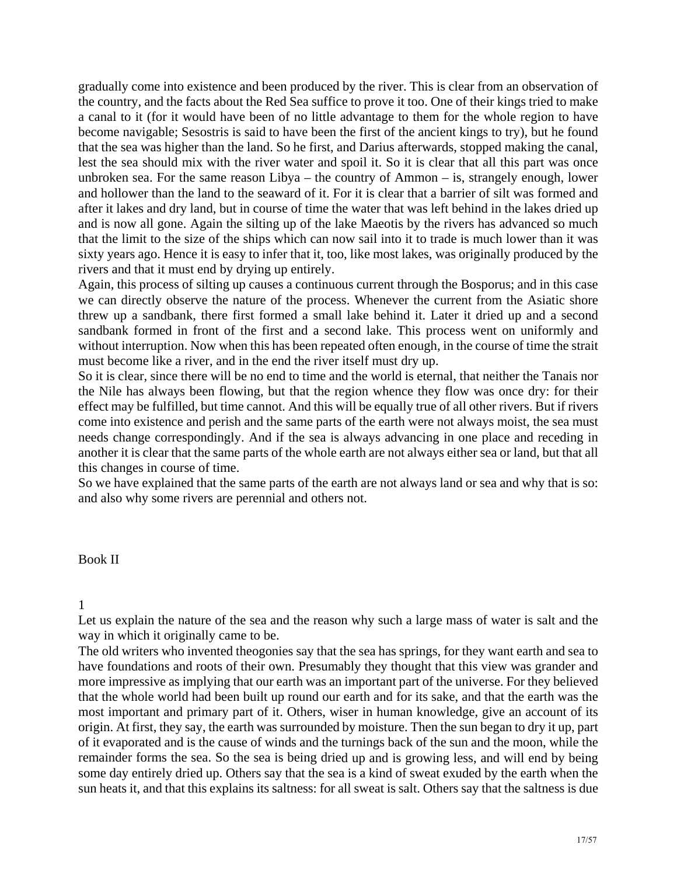gradually come into existence and been produced by the river. This is clear from an observation of the country, and the facts about the Red Sea suffice to prove it too. One of their kings tried to make a canal to it (for it would have been of no little advantage to them for the whole region to have become navigable; Sesostris is said to have been the first of the ancient kings to try), but he found that the sea was higher than the land. So he first, and Darius afterwards, stopped making the canal, lest the sea should mix with the river water and spoil it. So it is clear that all this part was once unbroken sea. For the same reason Libya – the country of Ammon – is, strangely enough, lower and hollower than the land to the seaward of it. For it is clear that a barrier of silt was formed and after it lakes and dry land, but in course of time the water that was left behind in the lakes dried up and is now all gone. Again the silting up of the lake Maeotis by the rivers has advanced so much that the limit to the size of the ships which can now sail into it to trade is much lower than it was sixty years ago. Hence it is easy to infer that it, too, like most lakes, was originally produced by the rivers and that it must end by drying up entirely.

Again, this process of silting up causes a continuous current through the Bosporus; and in this case we can directly observe the nature of the process. Whenever the current from the Asiatic shore threw up a sandbank, there first formed a small lake behind it. Later it dried up and a second sandbank formed in front of the first and a second lake. This process went on uniformly and without interruption. Now when this has been repeated often enough, in the course of time the strait must become like a river, and in the end the river itself must dry up.

So it is clear, since there will be no end to time and the world is eternal, that neither the Tanais nor the Nile has always been flowing, but that the region whence they flow was once dry: for their effect may be fulfilled, but time cannot. And this will be equally true of all other rivers. But if rivers come into existence and perish and the same parts of the earth were not always moist, the sea must needs change correspondingly. And if the sea is always advancing in one place and receding in another it is clear that the same parts of the whole earth are not always either sea or land, but that all this changes in course of time.

So we have explained that the same parts of the earth are not always land or sea and why that is so: and also why some rivers are perennial and others not.

## Book II

## 1

Let us explain the nature of the sea and the reason why such a large mass of water is salt and the way in which it originally came to be.

The old writers who invented theogonies say that the sea has springs, for they want earth and sea to remainder forms the sea. So the sea is being dried up and is growing less, and will end by being sun heats it, and that this explains its saltness: for all sweat is salt. Others say that the saltness is due have foundations and roots of their own. Presumably they thought that this view was grander and more impressive as implying that our earth was an important part of the universe. For they believed that the whole world had been built up round our earth and for its sake, and that the earth was the most important and primary part of it. Others, wiser in human knowledge, give an account of its origin. At first, they say, the earth was surrounded by moisture. Then the sun began to dry it up, part of it evaporated and is the cause of winds and the turnings back of the sun and the moon, while the some day entirely dried up. Others say that the sea is a kind of sweat exuded by the earth when the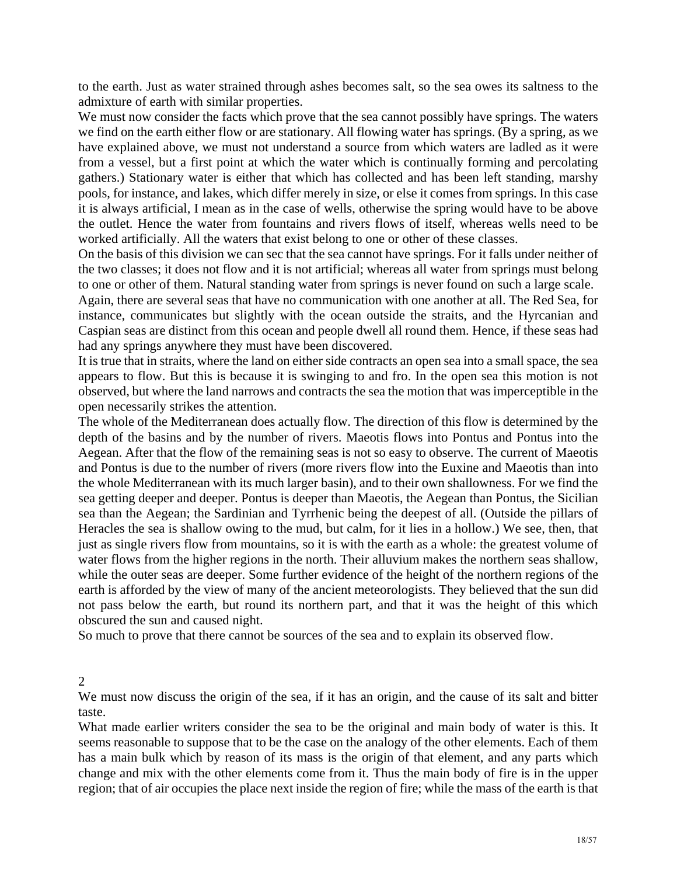to the earth. Just as water strained through ashes becomes salt, so the sea owes its saltness to the admixture of earth with similar properties.

We must now consider the facts which prove that the sea cannot possibly have springs. The waters we find on the earth either flow or are stationary. All flowing water has springs. (By a spring, as we have explained above, we must not understand a source from which waters are ladled as it were from a vessel, but a first point at which the water which is continually forming and percolating gathers.) Stationary water is either that which has collected and has been left standing, marshy it is always artificial, I mean as in the case of wells, otherwise the spring would have to be above pools, for instance, and lakes, which differ merely in size, or else it comes from springs. In this case the outlet. Hence the water from fountains and rivers flows of itself, whereas wells need to be worked artificially. All the waters that exist belong to one or other of these classes.

On the basis of this division we can sec that the sea cannot have springs. For it falls under neither of the two classes; it does not flow and it is not artificial; whereas all water from springs must belong to one or other of them. Natural standing water from springs is never found on such a large scale.

Again, there are several seas that have no communication with one another at all. The Red Sea, for instance, communicates but slightly with the ocean outside the straits, and the Hyrcanian and Caspian seas are distinct from this ocean and people dwell all round them. Hence, if these seas had had any springs anywhere they must have been discovered.

observed, but where the land narrows and contracts the sea the motion that was imperceptible in the It is true that in straits, where the land on either side contracts an open sea into a small space, the sea appears to flow. But this is because it is swinging to and fro. In the open sea this motion is not open necessarily strikes the attention.

just as single rivers flow from mountains, so it is with the earth as a whole: the greatest volume of not pass below the earth, but round its northern part, and that it was the height of this which The whole of the Mediterranean does actually flow. The direction of this flow is determined by the depth of the basins and by the number of rivers. Maeotis flows into Pontus and Pontus into the Aegean. After that the flow of the remaining seas is not so easy to observe. The current of Maeotis and Pontus is due to the number of rivers (more rivers flow into the Euxine and Maeotis than into the whole Mediterranean with its much larger basin), and to their own shallowness. For we find the sea getting deeper and deeper. Pontus is deeper than Maeotis, the Aegean than Pontus, the Sicilian sea than the Aegean; the Sardinian and Tyrrhenic being the deepest of all. (Outside the pillars of Heracles the sea is shallow owing to the mud, but calm, for it lies in a hollow.) We see, then, that water flows from the higher regions in the north. Their alluvium makes the northern seas shallow, while the outer seas are deeper. Some further evidence of the height of the northern regions of the earth is afforded by the view of many of the ancient meteorologists. They believed that the sun did obscured the sun and caused night.

So much to prove that there cannot be sources of the sea and to explain its observed flow.

 $\mathcal{D}$ 

We must now discuss the origin of the sea, if it has an origin, and the cause of its salt and bitter taste.

What made earlier writers consider the sea to be the original and main body of water is this. It seems reasonable to suppose that to be the case on the analogy of the other elements. Each of them has a main bulk which by reason of its mass is the origin of that element, and any parts which change and mix with the other elements come from it. Thus the main body of fire is in the upper region; that of air occupies the place next inside the region of fire; while the mass of the earth is that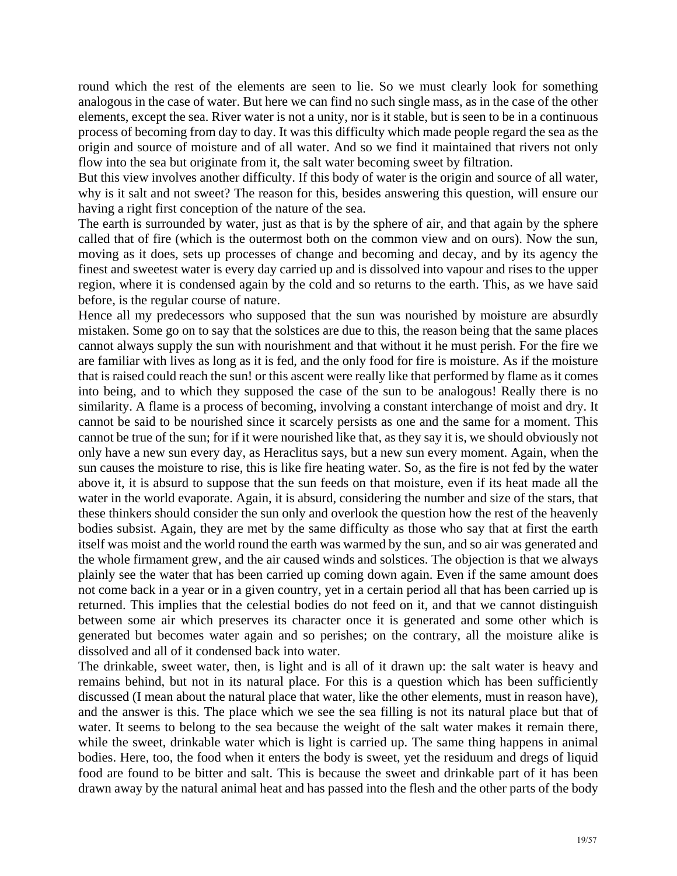round which the rest of the elements are seen to lie. So we must clearly look for something analogous in the case of water. But here we can find no such single mass, as in the case of the other elements, except the sea. River water is not a unity, nor is it stable, but is seen to be in a continuous process of becoming from day to day. It was this difficulty which made people regard the sea as the origin and source of moisture and of all water. And so we find it maintained that rivers not only flow into the sea but originate from it, the salt water becoming sweet by filtration.

But this view involves another difficulty. If this body of water is the origin and source of all water, why is it salt and not sweet? The reason for this, besides answering this question, will ensure our having a right first conception of the nature of the sea.

The earth is surrounded by water, just as that is by the sphere of air, and that again by the sphere called that of fire (which is the outermost both on the common view and on ours). Now the sun, moving as it does, sets up processes of change and becoming and decay, and by its agency the finest and sweetest water is every day carried up and is dissolved into vapour and rises to the upper region, where it is condensed again by the cold and so returns to the earth. This, as we have said before, is the regular course of nature.

Hence all my predecessors who supposed that the sun was nourished by moisture are absurdly water in the world evaporate. Again, it is absurd, considering the number and size of the stars, that generated but becomes water again and so perishes; on the contrary, all the moisture alike is mistaken. Some go on to say that the solstices are due to this, the reason being that the same places cannot always supply the sun with nourishment and that without it he must perish. For the fire we are familiar with lives as long as it is fed, and the only food for fire is moisture. As if the moisture that is raised could reach the sun! or this ascent were really like that performed by flame as it comes into being, and to which they supposed the case of the sun to be analogous! Really there is no similarity. A flame is a process of becoming, involving a constant interchange of moist and dry. It cannot be said to be nourished since it scarcely persists as one and the same for a moment. This cannot be true of the sun; for if it were nourished like that, as they say it is, we should obviously not only have a new sun every day, as Heraclitus says, but a new sun every moment. Again, when the sun causes the moisture to rise, this is like fire heating water. So, as the fire is not fed by the water above it, it is absurd to suppose that the sun feeds on that moisture, even if its heat made all the these thinkers should consider the sun only and overlook the question how the rest of the heavenly bodies subsist. Again, they are met by the same difficulty as those who say that at first the earth itself was moist and the world round the earth was warmed by the sun, and so air was generated and the whole firmament grew, and the air caused winds and solstices. The objection is that we always plainly see the water that has been carried up coming down again. Even if the same amount does not come back in a year or in a given country, yet in a certain period all that has been carried up is returned. This implies that the celestial bodies do not feed on it, and that we cannot distinguish between some air which preserves its character once it is generated and some other which is dissolved and all of it condensed back into water.

The drinkable, sweet water, then, is light and is all of it drawn up: the salt water is heavy and remains behind, but not in its natural place. For this is a question which has been sufficiently discussed (I mean about the natural place that water, like the other elements, must in reason have), and the answer is this. The place which we see the sea filling is not its natural place but that of water. It seems to belong to the sea because the weight of the salt water makes it remain there, while the sweet, drinkable water which is light is carried up. The same thing happens in animal bodies. Here, too, the food when it enters the body is sweet, yet the residuum and dregs of liquid food are found to be bitter and salt. This is because the sweet and drinkable part of it has been drawn away by the natural animal heat and has passed into the flesh and the other parts of the body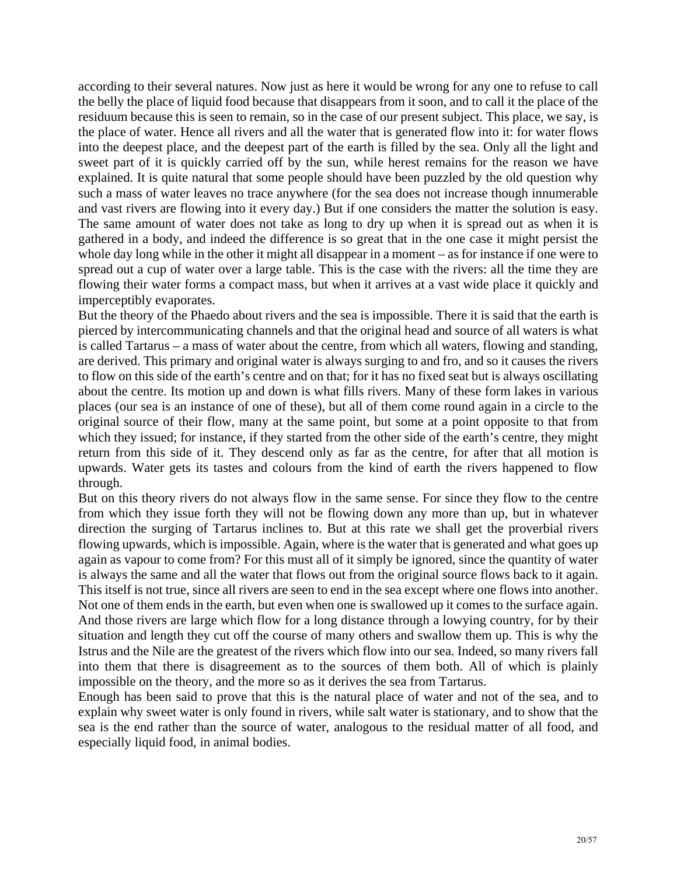according to their several natures. Now just as here it would be wrong for any one to refuse to call the belly the place of liquid food because that disappears from it soon, and to call it the place of the residuum because this is seen to remain, so in the case of our present subject. This place, we say, is the place of water. Hence all rivers and all the water that is generated flow into it: for water flows into the deepest place, and the deepest part of the earth is filled by the sea. Only all the light and sweet part of it is quickly carried off by the sun, while herest remains for the reason we have explained. It is quite natural that some people should have been puzzled by the old question why such a mass of water leaves no trace anywhere (for the sea does not increase though innumerable and vast rivers are flowing into it every day.) But if one considers the matter the solution is easy. The same amount of water does not take as long to dry up when it is spread out as when it is gathered in a body, and indeed the difference is so great that in the one case it might persist the whole day long while in the other it might all disappear in a moment – as for instance if one were to spread out a cup of water over a large table. This is the case with the rivers: all the time they are flowing their water forms a compact mass, but when it arrives at a vast wide place it quickly and imperceptibly evaporates.

But the theory of the Phaedo about rivers and the sea is impossible. There it is said that the earth is pierced by intercommunicating channels and that the original head and source of all waters is what is called Tartarus – a mass of water about the centre, from which all waters, flowing and standing, are derived. This primary and original water is always surging to and fro, and so it causes the rivers to flow on this side of the earth's centre and on that; for it has no fixed seat but is always oscillating about the centre. Its motion up and down is what fills rivers. Many of these form lakes in various places (our sea is an instance of one of these), but all of them come round again in a circle to the original source of their flow, many at the same point, but some at a point opposite to that from which they issued; for instance, if they started from the other side of the earth's centre, they might return from this side of it. They descend only as far as the centre, for after that all motion is upwards. Water gets its tastes and colours from the kind of earth the rivers happened to flow through.

situation and length they cut off the course of many others and swallow them up. This is why the But on this theory rivers do not always flow in the same sense. For since they flow to the centre from which they issue forth they will not be flowing down any more than up, but in whatever direction the surging of Tartarus inclines to. But at this rate we shall get the proverbial rivers flowing upwards, which is impossible. Again, where is the water that is generated and what goes up again as vapour to come from? For this must all of it simply be ignored, since the quantity of water is always the same and all the water that flows out from the original source flows back to it again. This itself is not true, since all rivers are seen to end in the sea except where one flows into another. Not one of them ends in the earth, but even when one is swallowed up it comes to the surface again. And those rivers are large which flow for a long distance through a lowying country, for by their Istrus and the Nile are the greatest of the rivers which flow into our sea. Indeed, so many rivers fall into them that there is disagreement as to the sources of them both. All of which is plainly impossible on the theory, and the more so as it derives the sea from Tartarus.

Enough has been said to prove that this is the natural place of water and not of the sea, and to explain why sweet water is only found in rivers, while salt water is stationary, and to show that the sea is the end rather than the source of water, analogous to the residual matter of all food, and especially liquid food, in animal bodies.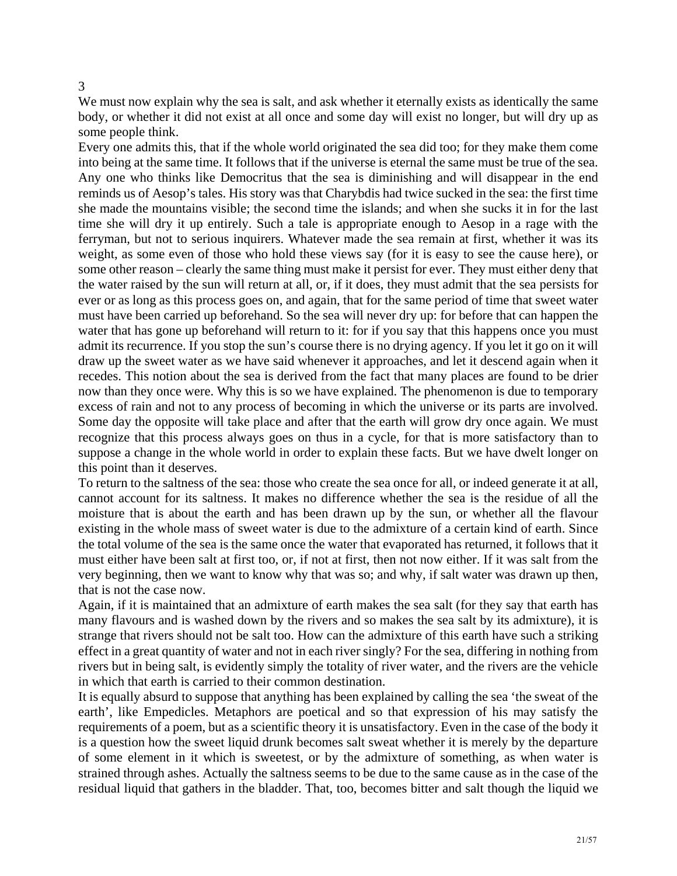### 3

We must now explain why the sea is salt, and ask whether it eternally exists as identically the same body, or whether it did not exist at all once and some day will exist no longer, but will dry up as some people think.

must have been carried up beforehand. So the sea will never dry up: for before that can happen the recedes. This notion about the sea is derived from the fact that many places are found to be drier now than they once were. Why this is so we have explained. The phenomenon is due to temporary excess of rain and not to any process of becoming in which the universe or its parts are involved. Some day the opposite will take place and after that the earth will grow dry once again. We must Every one admits this, that if the whole world originated the sea did too; for they make them come into being at the same time. It follows that if the universe is eternal the same must be true of the sea. Any one who thinks like Democritus that the sea is diminishing and will disappear in the end reminds us of Aesop's tales. His story was that Charybdis had twice sucked in the sea: the first time she made the mountains visible; the second time the islands; and when she sucks it in for the last time she will dry it up entirely. Such a tale is appropriate enough to Aesop in a rage with the ferryman, but not to serious inquirers. Whatever made the sea remain at first, whether it was its weight, as some even of those who hold these views say (for it is easy to see the cause here), or some other reason – clearly the same thing must make it persist for ever. They must either deny that the water raised by the sun will return at all, or, if it does, they must admit that the sea persists for ever or as long as this process goes on, and again, that for the same period of time that sweet water water that has gone up beforehand will return to it: for if you say that this happens once you must admit its recurrence. If you stop the sun's course there is no drying agency. If you let it go on it will draw up the sweet water as we have said whenever it approaches, and let it descend again when it recognize that this process always goes on thus in a cycle, for that is more satisfactory than to suppose a change in the whole world in order to explain these facts. But we have dwelt longer on this point than it deserves.

To return to the saltness of the sea: those who create the sea once for all, or indeed generate it at all, cannot account for its saltness. It makes no difference whether the sea is the residue of all the moisture that is about the earth and has been drawn up by the sun, or whether all the flavour existing in the whole mass of sweet water is due to the admixture of a certain kind of earth. Since the total volume of the sea is the same once the water that evaporated has returned, it follows that it must either have been salt at first too, or, if not at first, then not now either. If it was salt from the very beginning, then we want to know why that was so; and why, if salt water was drawn up then, that is not the case now.

Again, if it is maintained that an admixture of earth makes the sea salt (for they say that earth has many flavours and is washed down by the rivers and so makes the sea salt by its admixture), it is strange that rivers should not be salt too. How can the admixture of this earth have such a striking effect in a great quantity of water and not in each river singly? For the sea, differing in nothing from rivers but in being salt, is evidently simply the totality of river water, and the rivers are the vehicle in which that earth is carried to their common destination.

residual liquid that gathers in the bladder. That, too, becomes bitter and salt though the liquid we It is equally absurd to suppose that anything has been explained by calling the sea 'the sweat of the earth', like Empedicles. Metaphors are poetical and so that expression of his may satisfy the requirements of a poem, but as a scientific theory it is unsatisfactory. Even in the case of the body it is a question how the sweet liquid drunk becomes salt sweat whether it is merely by the departure of some element in it which is sweetest, or by the admixture of something, as when water is strained through ashes. Actually the saltness seems to be due to the same cause as in the case of the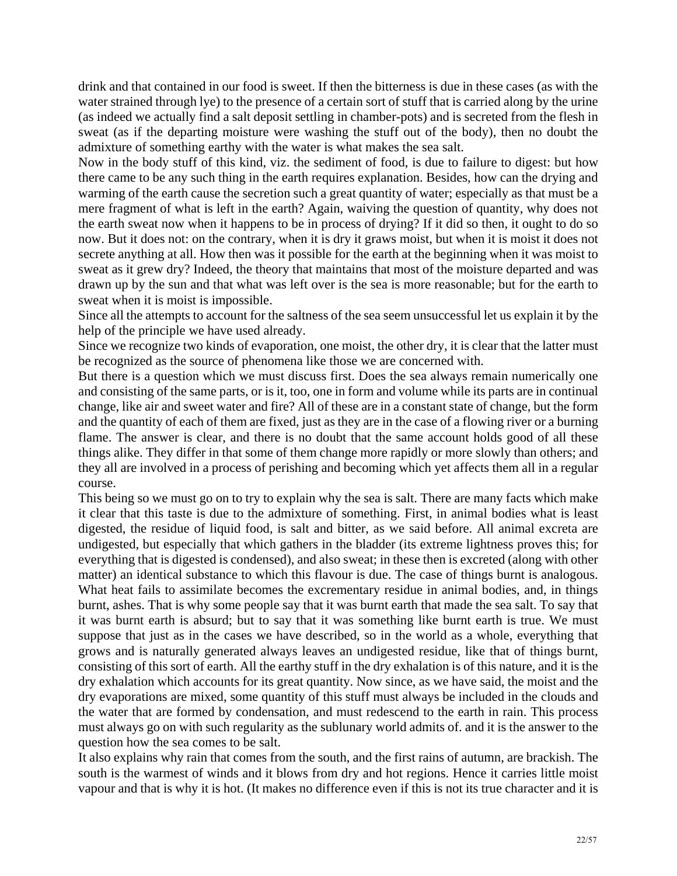drink and that contained in our food is sweet. If then the bitterness is due in these cases (as with the water strained through lye) to the presence of a certain sort of stuff that is carried along by the urine (as indeed we actually find a salt deposit settling in chamber-pots) and is secreted from the flesh in sweat (as if the departing moisture were washing the stuff out of the body), then no doubt the admixture of something earthy with the water is what makes the sea salt.

the earth sweat now when it happens to be in process of drying? If it did so then, it ought to do so Now in the body stuff of this kind, viz. the sediment of food, is due to failure to digest: but how there came to be any such thing in the earth requires explanation. Besides, how can the drying and warming of the earth cause the secretion such a great quantity of water; especially as that must be a mere fragment of what is left in the earth? Again, waiving the question of quantity, why does not now. But it does not: on the contrary, when it is dry it graws moist, but when it is moist it does not secrete anything at all. How then was it possible for the earth at the beginning when it was moist to sweat as it grew dry? Indeed, the theory that maintains that most of the moisture departed and was drawn up by the sun and that what was left over is the sea is more reasonable; but for the earth to sweat when it is moist is impossible.

Since all the attempts to account for the saltness of the sea seem unsuccessful let us explain it by the help of the principle we have used already.

Since we recognize two kinds of evaporation, one moist, the other dry, it is clear that the latter must be recognized as the source of phenomena like those we are concerned with.

But there is a question which we must discuss first. Does the sea always remain numerically one and consisting of the same parts, or is it, too, one in form and volume while its parts are in continual change, like air and sweet water and fire? All of these are in a constant state of change, but the form and the quantity of each of them are fixed, just as they are in the case of a flowing river or a burning flame. The answer is clear, and there is no doubt that the same account holds good of all these things alike. They differ in that some of them change more rapidly or more slowly than others; and they all are involved in a process of perishing and becoming which yet affects them all in a regular course.

grows and is naturally generated always leaves an undigested residue, like that of things burnt, dry exhalation which accounts for its great quantity. Now since, as we have said, the moist and the the water that are formed by condensation, and must redescend to the earth in rain. This process This being so we must go on to try to explain why the sea is salt. There are many facts which make it clear that this taste is due to the admixture of something. First, in animal bodies what is least digested, the residue of liquid food, is salt and bitter, as we said before. All animal excreta are undigested, but especially that which gathers in the bladder (its extreme lightness proves this; for everything that is digested is condensed), and also sweat; in these then is excreted (along with other matter) an identical substance to which this flavour is due. The case of things burnt is analogous. What heat fails to assimilate becomes the excrementary residue in animal bodies, and, in things burnt, ashes. That is why some people say that it was burnt earth that made the sea salt. To say that it was burnt earth is absurd; but to say that it was something like burnt earth is true. We must suppose that just as in the cases we have described, so in the world as a whole, everything that consisting of this sort of earth. All the earthy stuff in the dry exhalation is of this nature, and it is the dry evaporations are mixed, some quantity of this stuff must always be included in the clouds and must always go on with such regularity as the sublunary world admits of. and it is the answer to the question how the sea comes to be salt.

It also explains why rain that comes from the south, and the first rains of autumn, are brackish. The south is the warmest of winds and it blows from dry and hot regions. Hence it carries little moist vapour and that is why it is hot. (It makes no difference even if this is not its true character and it is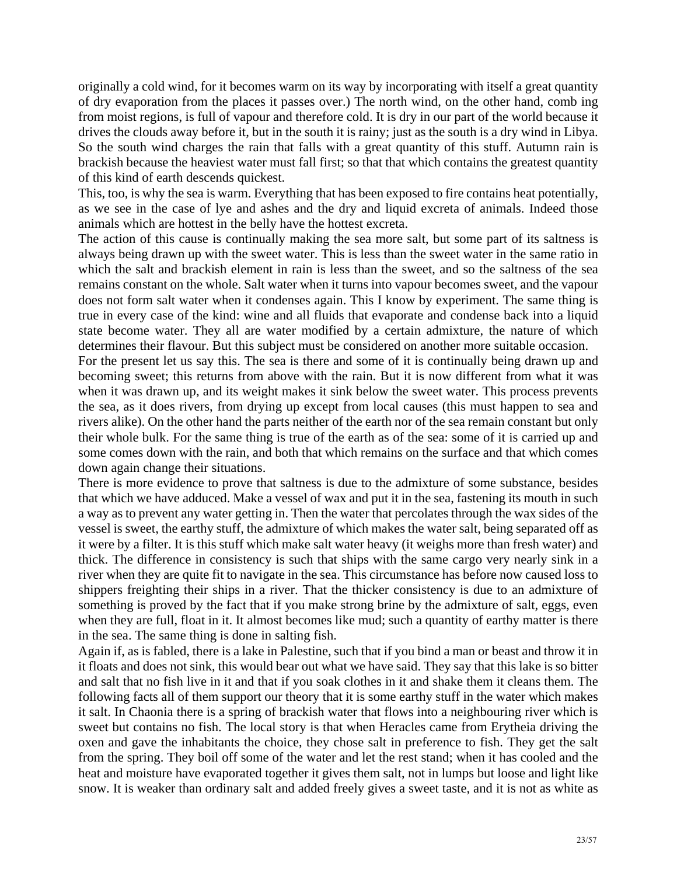originally a cold wind, for it becomes warm on its way by incorporating with itself a great quantity of dry evaporation from the places it passes over.) The north wind, on the other hand, comb ing from moist regions, is full of vapour and therefore cold. It is dry in our part of the world because it drives the clouds away before it, but in the south it is rainy; just as the south is a dry wind in Libya. So the south wind charges the rain that falls with a great quantity of this stuff. Autumn rain is brackish because the heaviest water must fall first; so that that which contains the greatest quantity of this kind of earth descends quickest.

This, too, is why the sea is warm. Everything that has been exposed to fire contains heat potentially, as we see in the case of lye and ashes and the dry and liquid excreta of animals. Indeed those animals which are hottest in the belly have the hottest excreta.

The action of this cause is continually making the sea more salt, but some part of its saltness is always being drawn up with the sweet water. This is less than the sweet water in the same ratio in which the salt and brackish element in rain is less than the sweet, and so the saltness of the sea remains constant on the whole. Salt water when it turns into vapour becomes sweet, and the vapour does not form salt water when it condenses again. This I know by experiment. The same thing is true in every case of the kind: wine and all fluids that evaporate and condense back into a liquid state become water. They all are water modified by a certain admixture, the nature of which determines their flavour. But this subject must be considered on another more suitable occasion.

becoming sweet; this returns from above with the rain. But it is now different from what it was For the present let us say this. The sea is there and some of it is continually being drawn up and when it was drawn up, and its weight makes it sink below the sweet water. This process prevents the sea, as it does rivers, from drying up except from local causes (this must happen to sea and rivers alike). On the other hand the parts neither of the earth nor of the sea remain constant but only their whole bulk. For the same thing is true of the earth as of the sea: some of it is carried up and some comes down with the rain, and both that which remains on the surface and that which comes down again change their situations.

vessel is sweet, the earthy stuff, the admixture of which makes the water salt, being separated off as river when they are quite fit to navigate in the sea. This circumstance has before now caused loss to There is more evidence to prove that saltness is due to the admixture of some substance, besides that which we have adduced. Make a vessel of wax and put it in the sea, fastening its mouth in such a way as to prevent any water getting in. Then the water that percolates through the wax sides of the it were by a filter. It is this stuff which make salt water heavy (it weighs more than fresh water) and thick. The difference in consistency is such that ships with the same cargo very nearly sink in a shippers freighting their ships in a river. That the thicker consistency is due to an admixture of something is proved by the fact that if you make strong brine by the admixture of salt, eggs, even when they are full, float in it. It almost becomes like mud; such a quantity of earthy matter is there in the sea. The same thing is done in salting fish.

it salt. In Chaonia there is a spring of brackish water that flows into a neighbouring river which is Again if, as is fabled, there is a lake in Palestine, such that if you bind a man or beast and throw it in it floats and does not sink, this would bear out what we have said. They say that this lake is so bitter and salt that no fish live in it and that if you soak clothes in it and shake them it cleans them. The following facts all of them support our theory that it is some earthy stuff in the water which makes sweet but contains no fish. The local story is that when Heracles came from Erytheia driving the oxen and gave the inhabitants the choice, they chose salt in preference to fish. They get the salt from the spring. They boil off some of the water and let the rest stand; when it has cooled and the heat and moisture have evaporated together it gives them salt, not in lumps but loose and light like snow. It is weaker than ordinary salt and added freely gives a sweet taste, and it is not as white as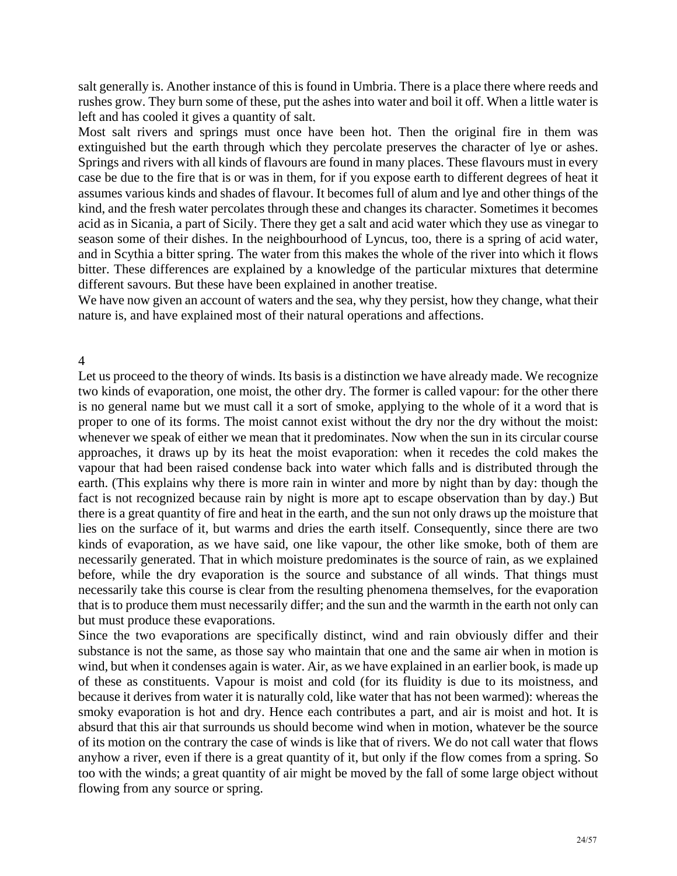salt generally is. Another instance of this is found in Umbria. There is a place there where reeds and rushes grow. They burn some of these, put the ashes into water and boil it off. When a little water is left and has cooled it gives a quantity of salt.

Most salt rivers and springs must once have been hot. Then the original fire in them was extinguished but the earth through which they percolate preserves the character of lye or ashes. Springs and rivers with all kinds of flavours are found in many places. These flavours must in every case be due to the fire that is or was in them, for if you expose earth to different degrees of heat it assumes various kinds and shades of flavour. It becomes full of alum and lye and other things of the kind, and the fresh water percolates through these and changes its character. Sometimes it becomes acid as in Sicania, a part of Sicily. There they get a salt and acid water which they use as vinegar to season some of their dishes. In the neighbourhood of Lyncus, too, there is a spring of acid water, and in Scythia a bitter spring. The water from this makes the whole of the river into which it flows bitter. These differences are explained by a knowledge of the particular mixtures that determine different savours. But these have been explained in another treatise.

We have now given an account of waters and the sea, why they persist, how they change, what their nature is, and have explained most of their natural operations and affections.

4

earth. (This explains why there is more rain in winter and more by night than by day: though the Let us proceed to the theory of winds. Its basis is a distinction we have already made. We recognize two kinds of evaporation, one moist, the other dry. The former is called vapour: for the other there is no general name but we must call it a sort of smoke, applying to the whole of it a word that is proper to one of its forms. The moist cannot exist without the dry nor the dry without the moist: whenever we speak of either we mean that it predominates. Now when the sun in its circular course approaches, it draws up by its heat the moist evaporation: when it recedes the cold makes the vapour that had been raised condense back into water which falls and is distributed through the fact is not recognized because rain by night is more apt to escape observation than by day.) But there is a great quantity of fire and heat in the earth, and the sun not only draws up the moisture that lies on the surface of it, but warms and dries the earth itself. Consequently, since there are two kinds of evaporation, as we have said, one like vapour, the other like smoke, both of them are necessarily generated. That in which moisture predominates is the source of rain, as we explained before, while the dry evaporation is the source and substance of all winds. That things must necessarily take this course is clear from the resulting phenomena themselves, for the evaporation that is to produce them must necessarily differ; and the sun and the warmth in the earth not only can but must produce these evaporations.

wind, but when it condenses again is water. Air, as we have explained in an earlier book, is made up because it derives from water it is naturally cold, like water that has not been warmed): whereas the smoky evaporation is hot and dry. Hence each contributes a part, and air is moist and hot. It is absurd that this air that surrounds us should become wind when in motion, whatever be the source of its motion on the contrary the case of winds is like that of rivers. We do not call water that flows Since the two evaporations are specifically distinct, wind and rain obviously differ and their substance is not the same, as those say who maintain that one and the same air when in motion is of these as constituents. Vapour is moist and cold (for its fluidity is due to its moistness, and anyhow a river, even if there is a great quantity of it, but only if the flow comes from a spring. So too with the winds; a great quantity of air might be moved by the fall of some large object without flowing from any source or spring.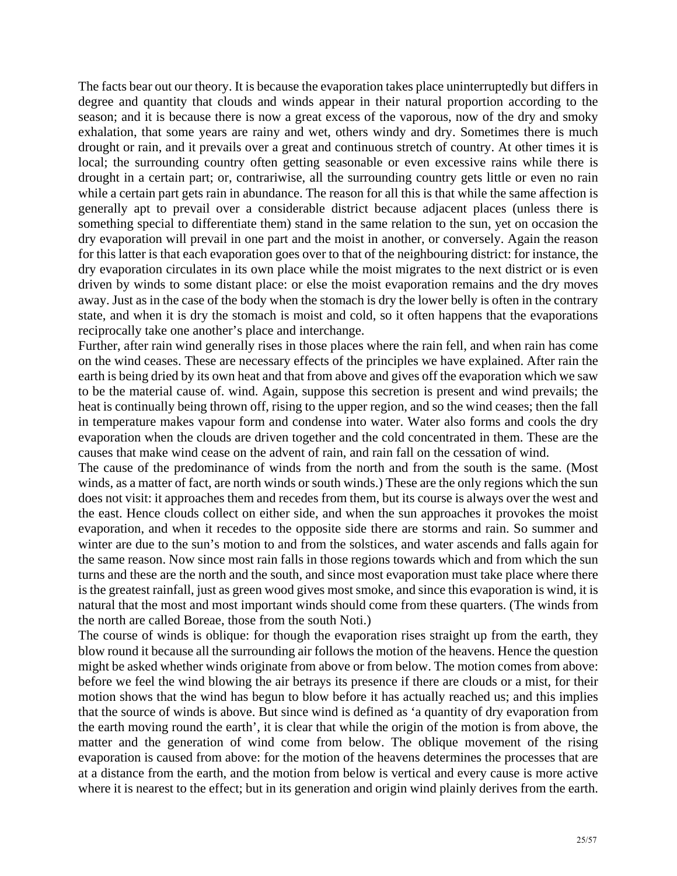The facts bear out our theory. It is because the evaporation takes place uninterruptedly but differs in degree and quantity that clouds and winds appear in their natural proportion according to the season; and it is because there is now a great excess of the vaporous, now of the dry and smoky exhalation, that some years are rainy and wet, others windy and dry. Sometimes there is much drought or rain, and it prevails over a great and continuous stretch of country. At other times it is local; the surrounding country often getting seasonable or even excessive rains while there is drought in a certain part; or, contrariwise, all the surrounding country gets little or even no rain while a certain part gets rain in abundance. The reason for all this is that while the same affection is generally apt to prevail over a considerable district because adjacent places (unless there is something special to differentiate them) stand in the same relation to the sun, yet on occasion the dry evaporation will prevail in one part and the moist in another, or conversely. Again the reason for this latter is that each evaporation goes over to that of the neighbouring district: for instance, the dry evaporation circulates in its own place while the moist migrates to the next district or is even driven by winds to some distant place: or else the moist evaporation remains and the dry moves away. Just as in the case of the body when the stomach is dry the lower belly is often in the contrary state, and when it is dry the stomach is moist and cold, so it often happens that the evaporations reciprocally take one another's place and interchange.

causes that make wind cease on the advent of rain, and rain fall on the cessation of wind. Further, after rain wind generally rises in those places where the rain fell, and when rain has come on the wind ceases. These are necessary effects of the principles we have explained. After rain the earth is being dried by its own heat and that from above and gives off the evaporation which we saw to be the material cause of. wind. Again, suppose this secretion is present and wind prevails; the heat is continually being thrown off, rising to the upper region, and so the wind ceases; then the fall in temperature makes vapour form and condense into water. Water also forms and cools the dry evaporation when the clouds are driven together and the cold concentrated in them. These are the

The cause of the predominance of winds from the north and from the south is the same. (Most winds, as a matter of fact, are north winds or south winds.) These are the only regions which the sun does not visit: it approaches them and recedes from them, but its course is always over the west and the east. Hence clouds collect on either side, and when the sun approaches it provokes the moist evaporation, and when it recedes to the opposite side there are storms and rain. So summer and winter are due to the sun's motion to and from the solstices, and water ascends and falls again for the same reason. Now since most rain falls in those regions towards which and from which the sun turns and these are the north and the south, and since most evaporation must take place where there is the greatest rainfall, just as green wood gives most smoke, and since this evaporation is wind, it is natural that the most and most important winds should come from these quarters. (The winds from the north are called Boreae, those from the south Noti.)

that the source of winds is above. But since wind is defined as 'a quantity of dry evaporation from The course of winds is oblique: for though the evaporation rises straight up from the earth, they blow round it because all the surrounding air follows the motion of the heavens. Hence the question might be asked whether winds originate from above or from below. The motion comes from above: before we feel the wind blowing the air betrays its presence if there are clouds or a mist, for their motion shows that the wind has begun to blow before it has actually reached us; and this implies the earth moving round the earth', it is clear that while the origin of the motion is from above, the matter and the generation of wind come from below. The oblique movement of the rising evaporation is caused from above: for the motion of the heavens determines the processes that are at a distance from the earth, and the motion from below is vertical and every cause is more active where it is nearest to the effect; but in its generation and origin wind plainly derives from the earth.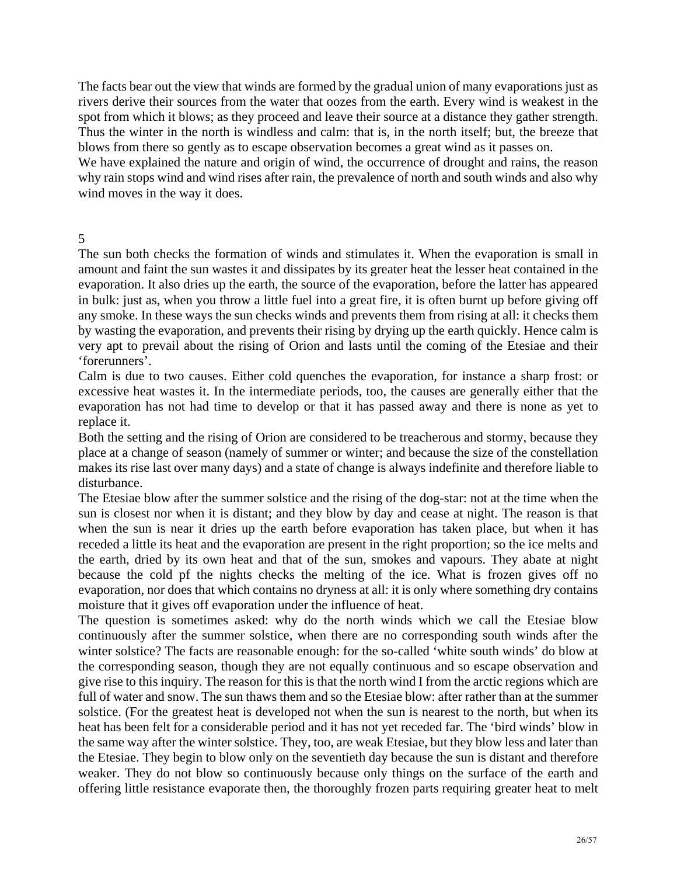The facts bear out the view that winds are formed by the gradual union of many evaporations just as rivers derive their sources from the water that oozes from the earth. Every wind is weakest in the spot from which it blows; as they proceed and leave their source at a distance they gather strength. Thus the winter in the north is windless and calm: that is, in the north itself; but, the breeze that blows from there so gently as to escape observation becomes a great wind as it passes on.

We have explained the nature and origin of wind, the occurrence of drought and rains, the reason why rain stops wind and wind rises after rain, the prevalence of north and south winds and also why wind moves in the way it does.

## 5

in bulk: just as, when you throw a little fuel into a great fire, it is often burnt up before giving off The sun both checks the formation of winds and stimulates it. When the evaporation is small in amount and faint the sun wastes it and dissipates by its greater heat the lesser heat contained in the evaporation. It also dries up the earth, the source of the evaporation, before the latter has appeared any smoke. In these ways the sun checks winds and prevents them from rising at all: it checks them by wasting the evaporation, and prevents their rising by drying up the earth quickly. Hence calm is very apt to prevail about the rising of Orion and lasts until the coming of the Etesiae and their 'forerunners'.

Calm is due to two causes. Either cold quenches the evaporation, for instance a sharp frost: or excessive heat wastes it. In the intermediate periods, too, the causes are generally either that the evaporation has not had time to develop or that it has passed away and there is none as yet to replace it.

Both the setting and the rising of Orion are considered to be treacherous and stormy, because they place at a change of season (namely of summer or winter; and because the size of the constellation makes its rise last over many days) and a state of change is always indefinite and therefore liable to disturbance.

because the cold pf the nights checks the melting of the ice. What is frozen gives off no The Etesiae blow after the summer solstice and the rising of the dog-star: not at the time when the sun is closest nor when it is distant; and they blow by day and cease at night. The reason is that when the sun is near it dries up the earth before evaporation has taken place, but when it has receded a little its heat and the evaporation are present in the right proportion; so the ice melts and the earth, dried by its own heat and that of the sun, smokes and vapours. They abate at night evaporation, nor does that which contains no dryness at all: it is only where something dry contains moisture that it gives off evaporation under the influence of heat.

The question is sometimes asked: why do the north winds which we call the Etesiae blow continuously after the summer solstice, when there are no corresponding south winds after the winter solstice? The facts are reasonable enough: for the so-called 'white south winds' do blow at the corresponding season, though they are not equally continuous and so escape observation and offering little resistance evaporate then, the thoroughly frozen parts requiring greater heat to melt give rise to this inquiry. The reason for this is that the north wind I from the arctic regions which are full of water and snow. The sun thaws them and so the Etesiae blow: after rather than at the summer solstice. (For the greatest heat is developed not when the sun is nearest to the north, but when its heat has been felt for a considerable period and it has not yet receded far. The 'bird winds' blow in the same way after the winter solstice. They, too, are weak Etesiae, but they blow less and later than the Etesiae. They begin to blow only on the seventieth day because the sun is distant and therefore weaker. They do not blow so continuously because only things on the surface of the earth and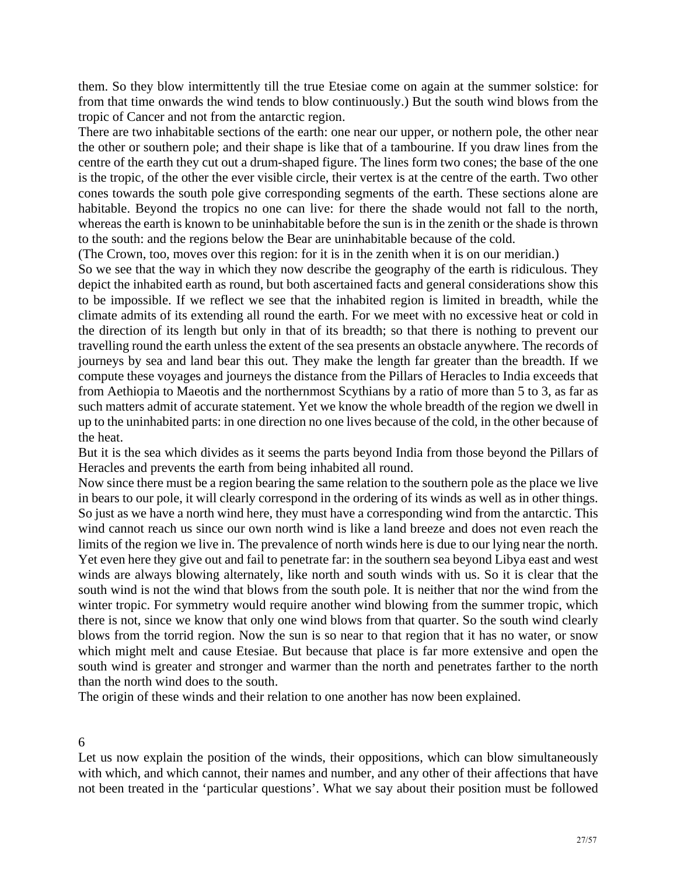them. So they blow intermittently till the true Etesiae come on again at the summer solstice: for from that time onwards the wind tends to blow continuously.) But the south wind blows from the tropic of Cancer and not from the antarctic region.

There are two inhabitable sections of the earth: one near our upper, or nothern pole, the other near cones towards the south pole give corresponding segments of the earth. These sections alone are the other or southern pole; and their shape is like that of a tambourine. If you draw lines from the centre of the earth they cut out a drum-shaped figure. The lines form two cones; the base of the one is the tropic, of the other the ever visible circle, their vertex is at the centre of the earth. Two other habitable. Beyond the tropics no one can live: for there the shade would not fall to the north, whereas the earth is known to be uninhabitable before the sun is in the zenith or the shade is thrown to the south: and the regions below the Bear are uninhabitable because of the cold.

(The Crown, too, moves over this region: for it is in the zenith when it is on our meridian.)

climate admits of its extending all round the earth. For we meet with no excessive heat or cold in So we see that the way in which they now describe the geography of the earth is ridiculous. They depict the inhabited earth as round, but both ascertained facts and general considerations show this to be impossible. If we reflect we see that the inhabited region is limited in breadth, while the the direction of its length but only in that of its breadth; so that there is nothing to prevent our travelling round the earth unless the extent of the sea presents an obstacle anywhere. The records of journeys by sea and land bear this out. They make the length far greater than the breadth. If we compute these voyages and journeys the distance from the Pillars of Heracles to India exceeds that from Aethiopia to Maeotis and the northernmost Scythians by a ratio of more than 5 to 3, as far as such matters admit of accurate statement. Yet we know the whole breadth of the region we dwell in up to the uninhabited parts: in one direction no one lives because of the cold, in the other because of the heat.

But it is the sea which divides as it seems the parts beyond India from those beyond the Pillars of Heracles and prevents the earth from being inhabited all round.

limits of the region we live in. The prevalence of north winds here is due to our lying near the north. south wind is greater and stronger and warmer than the north and penetrates farther to the north Now since there must be a region bearing the same relation to the southern pole as the place we live in bears to our pole, it will clearly correspond in the ordering of its winds as well as in other things. So just as we have a north wind here, they must have a corresponding wind from the antarctic. This wind cannot reach us since our own north wind is like a land breeze and does not even reach the Yet even here they give out and fail to penetrate far: in the southern sea beyond Libya east and west winds are always blowing alternately, like north and south winds with us. So it is clear that the south wind is not the wind that blows from the south pole. It is neither that nor the wind from the winter tropic. For symmetry would require another wind blowing from the summer tropic, which there is not, since we know that only one wind blows from that quarter. So the south wind clearly blows from the torrid region. Now the sun is so near to that region that it has no water, or snow which might melt and cause Etesiae. But because that place is far more extensive and open the than the north wind does to the south.

The origin of these winds and their relation to one another has now been explained.

6

Let us now explain the position of the winds, their oppositions, which can blow simultaneously with which, and which cannot, their names and number, and any other of their affections that have not been treated in the 'particular questions'. What we say about their position must be followed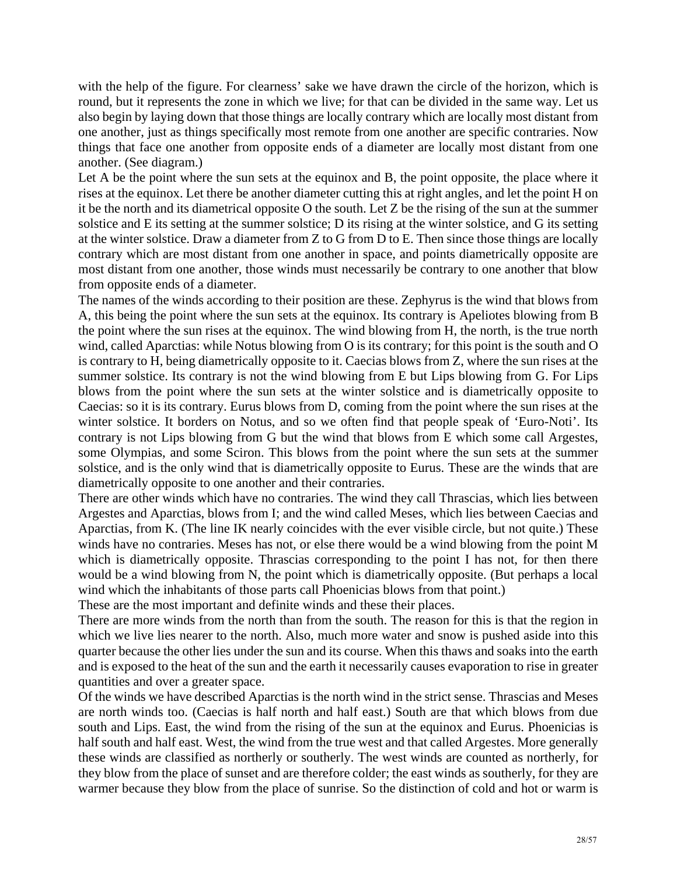with the help of the figure. For clearness' sake we have drawn the circle of the horizon, which is round, but it represents the zone in which we live; for that can be divided in the same way. Let us also begin by laying down that those things are locally contrary which are locally most distant from one another, just as things specifically most remote from one another are specific contraries. Now things that face one another from opposite ends of a diameter are locally most distant from one another. (See diagram.)

Let A be the point where the sun sets at the equinox and B, the point opposite, the place where it rises at the equinox. Let there be another diameter cutting this at right angles, and let the point H on it be the north and its diametrical opposite O the south. Let Z be the rising of the sun at the summer solstice and E its setting at the summer solstice; D its rising at the winter solstice, and G its setting at the winter solstice. Draw a diameter from Z to G from D to E. Then since those things are locally contrary which are most distant from one another in space, and points diametrically opposite are most distant from one another, those winds must necessarily be contrary to one another that blow from opposite ends of a diameter.

blows from the point where the sun sets at the winter solstice and is diametrically opposite to Caecias: so it is its contrary. Eurus blows from D, coming from the point where the sun rises at the winter solstice. It borders on Notus, and so we often find that people speak of 'Euro-Noti'. Its contrary is not Lips blowing from G but the wind that blows from E which some call Argestes, some Olympias, and some Sciron. This blows from the point where the sun sets at the summer The names of the winds according to their position are these. Zephyrus is the wind that blows from A, this being the point where the sun sets at the equinox. Its contrary is Apeliotes blowing from B the point where the sun rises at the equinox. The wind blowing from H, the north, is the true north wind, called Aparctias: while Notus blowing from O is its contrary; for this point is the south and O is contrary to H, being diametrically opposite to it. Caecias blows from Z, where the sun rises at the summer solstice. Its contrary is not the wind blowing from E but Lips blowing from G. For Lips solstice, and is the only wind that is diametrically opposite to Eurus. These are the winds that are diametrically opposite to one another and their contraries.

wind which the inhabitants of those parts call Phoenicias blows from that point.) There are other winds which have no contraries. The wind they call Thrascias, which lies between Argestes and Aparctias, blows from I; and the wind called Meses, which lies between Caecias and Aparctias, from K. (The line IK nearly coincides with the ever visible circle, but not quite.) These winds have no contraries. Meses has not, or else there would be a wind blowing from the point M which is diametrically opposite. Thrascias corresponding to the point I has not, for then there would be a wind blowing from N, the point which is diametrically opposite. (But perhaps a local

These are the most important and definite winds and these their places.

There are more winds from the north than from the south. The reason for this is that the region in which we live lies nearer to the north. Also, much more water and snow is pushed aside into this quarter because the other lies under the sun and its course. When this thaws and soaks into the earth and is exposed to the heat of the sun and the earth it necessarily causes evaporation to rise in greater quantities and over a greater space.

are north winds too. (Caecias is half north and half east.) South are that which blows from due Of the winds we have described Aparctias is the north wind in the strict sense. Thrascias and Meses south and Lips. East, the wind from the rising of the sun at the equinox and Eurus. Phoenicias is half south and half east. West, the wind from the true west and that called Argestes. More generally these winds are classified as northerly or southerly. The west winds are counted as northerly, for they blow from the place of sunset and are therefore colder; the east winds as southerly, for they are warmer because they blow from the place of sunrise. So the distinction of cold and hot or warm is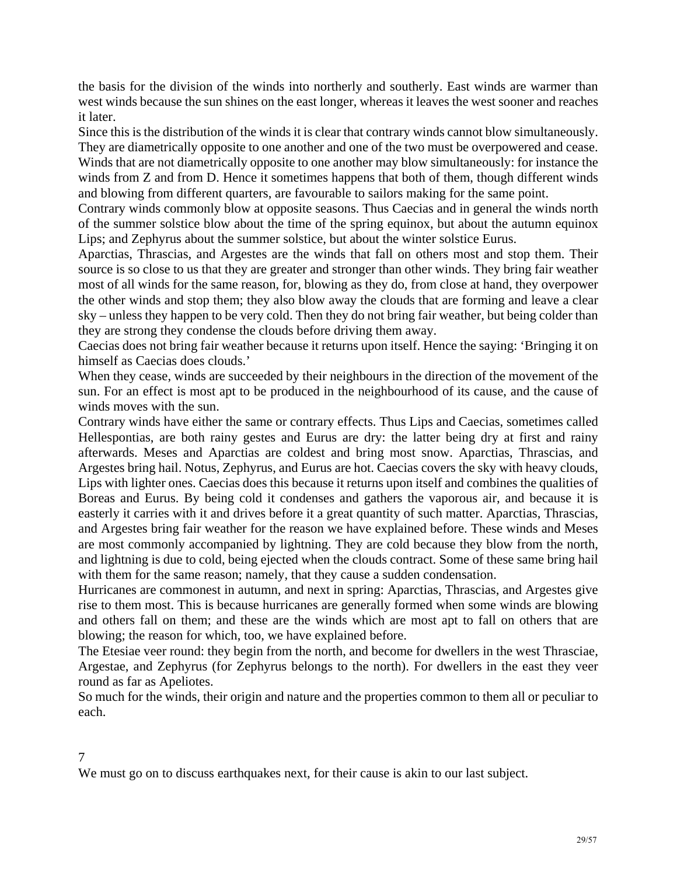the basis for the division of the winds into northerly and southerly. East winds are warmer than west winds because the sun shines on the east longer, whereas it leaves the west sooner and reaches it later.

Since this is the distribution of the winds it is clear that contrary winds cannot blow simultaneously. They are diametrically opposite to one another and one of the two must be overpowered and cease. Winds that are not diametrically opposite to one another may blow simultaneously: for instance the winds from Z and from D. Hence it sometimes happens that both of them, though different winds and blowing from different quarters, are favourable to sailors making for the same point.

Contrary winds commonly blow at opposite seasons. Thus Caecias and in general the winds north of the summer solstice blow about the time of the spring equinox, but about the autumn equinox Lips; and Zephyrus about the summer solstice, but about the winter solstice Eurus.

Aparctias, Thrascias, and Argestes are the winds that fall on others most and stop them. Their source is so close to us that they are greater and stronger than other winds. They bring fair weather most of all winds for the same reason, for, blowing as they do, from close at hand, they overpower the other winds and stop them; they also blow away the clouds that are forming and leave a clear sky – unless they happen to be very cold. Then they do not bring fair weather, but being colder than they are strong they condense the clouds before driving them away.

Caecias does not bring fair weather because it returns upon itself. Hence the saying: 'Bringing it on himself as Caecias does clouds.'

When they cease, winds are succeeded by their neighbours in the direction of the movement of the sun. For an effect is most apt to be produced in the neighbourhood of its cause, and the cause of winds moves with the sun.

are most commonly accompanied by lightning. They are cold because they blow from the north, Contrary winds have either the same or contrary effects. Thus Lips and Caecias, sometimes called Hellespontias, are both rainy gestes and Eurus are dry: the latter being dry at first and rainy afterwards. Meses and Aparctias are coldest and bring most snow. Aparctias, Thrascias, and Argestes bring hail. Notus, Zephyrus, and Eurus are hot. Caecias covers the sky with heavy clouds, Lips with lighter ones. Caecias does this because it returns upon itself and combines the qualities of Boreas and Eurus. By being cold it condenses and gathers the vaporous air, and because it is easterly it carries with it and drives before it a great quantity of such matter. Aparctias, Thrascias, and Argestes bring fair weather for the reason we have explained before. These winds and Meses and lightning is due to cold, being ejected when the clouds contract. Some of these same bring hail with them for the same reason; namely, that they cause a sudden condensation.

blowing; the reason for which, too, we have explained before. Hurricanes are commonest in autumn, and next in spring: Aparctias, Thrascias, and Argestes give rise to them most. This is because hurricanes are generally formed when some winds are blowing and others fall on them; and these are the winds which are most apt to fall on others that are

The Etesiae veer round: they begin from the north, and become for dwellers in the west Thrasciae, Argestae, and Zephyrus (for Zephyrus belongs to the north). For dwellers in the east they veer round as far as Apeliotes.

So much for the winds, their origin and nature and the properties common to them all or peculiar to each.

# 7

We must go on to discuss earthquakes next, for their cause is akin to our last subject.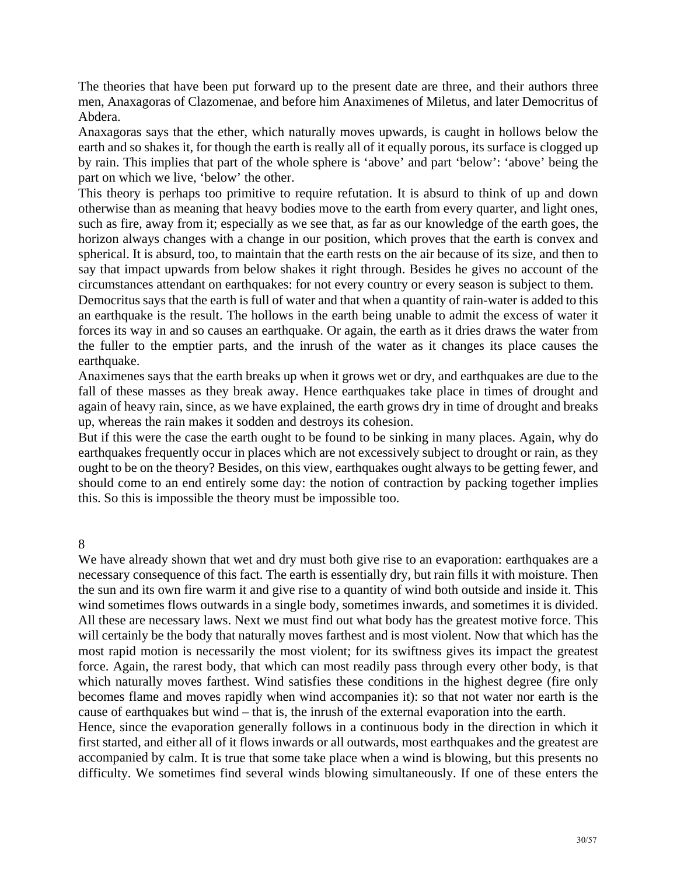The theories that have been put forward up to the present date are three, and their authors three men, Anaxagoras of Clazomenae, and before him Anaximenes of Miletus, and later Democritus of Abdera.

earth and so shakes it, for though the earth is really all of it equally porous, its surface is clogged up Anaxagoras says that the ether, which naturally moves upwards, is caught in hollows below the by rain. This implies that part of the whole sphere is 'above' and part 'below': 'above' being the part on which we live, 'below' the other.

This theory is perhaps too primitive to require refutation. It is absurd to think of up and down otherwise than as meaning that heavy bodies move to the earth from every quarter, and light ones, such as fire, away from it; especially as we see that, as far as our knowledge of the earth goes, the horizon always changes with a change in our position, which proves that the earth is convex and spherical. It is absurd, too, to maintain that the earth rests on the air because of its size, and then to say that impact upwards from below shakes it right through. Besides he gives no account of the circumstances attendant on earthquakes: for not every country or every season is subject to them.

forces its way in and so causes an earthquake. Or again, the earth as it dries draws the water from Democritus says that the earth is full of water and that when a quantity of rain-water is added to this an earthquake is the result. The hollows in the earth being unable to admit the excess of water it the fuller to the emptier parts, and the inrush of the water as it changes its place causes the earthquake.

fall of these masses as they break away. Hence earthquakes take place in times of drought and Anaximenes says that the earth breaks up when it grows wet or dry, and earthquakes are due to the again of heavy rain, since, as we have explained, the earth grows dry in time of drought and breaks up, whereas the rain makes it sodden and destroys its cohesion.

But if this were the case the earth ought to be found to be sinking in many places. Again, why do ought to be on the theory? Besides, on this view, earthquakes ought always to be getting fewer, and should come to an end entirely some day: the notion of contraction by packing together implies this. So this is impossible the theory must be impossible too. earthquakes frequently occur in places which are not excessively subject to drought or rain, as they

8

necessary consequence of this fact. The earth is essentially dry, but rain fills it with moisture. Then will certainly be the body that naturally moves farthest and is most violent. Now that which has the We have already shown that wet and dry must both give rise to an evaporation: earthquakes are a the sun and its own fire warm it and give rise to a quantity of wind both outside and inside it. This wind sometimes flows outwards in a single body, sometimes inwards, and sometimes it is divided. All these are necessary laws. Next we must find out what body has the greatest motive force. This most rapid motion is necessarily the most violent; for its swiftness gives its impact the greatest force. Again, the rarest body, that which can most readily pass through every other body, is that which naturally moves farthest. Wind satisfies these conditions in the highest degree (fire only becomes flame and moves rapidly when wind accompanies it): so that not water nor earth is the cause of earthquakes but wind – that is, the inrush of the external evaporation into the earth.

accompanied by calm. It is true that some take place when a wind is blowing, but this presents no Hence, since the evaporation generally follows in a continuous body in the direction in which it first started, and either all of it flows inwards or all outwards, most earthquakes and the greatest are difficulty. We sometimes find several winds blowing simultaneously. If one of these enters the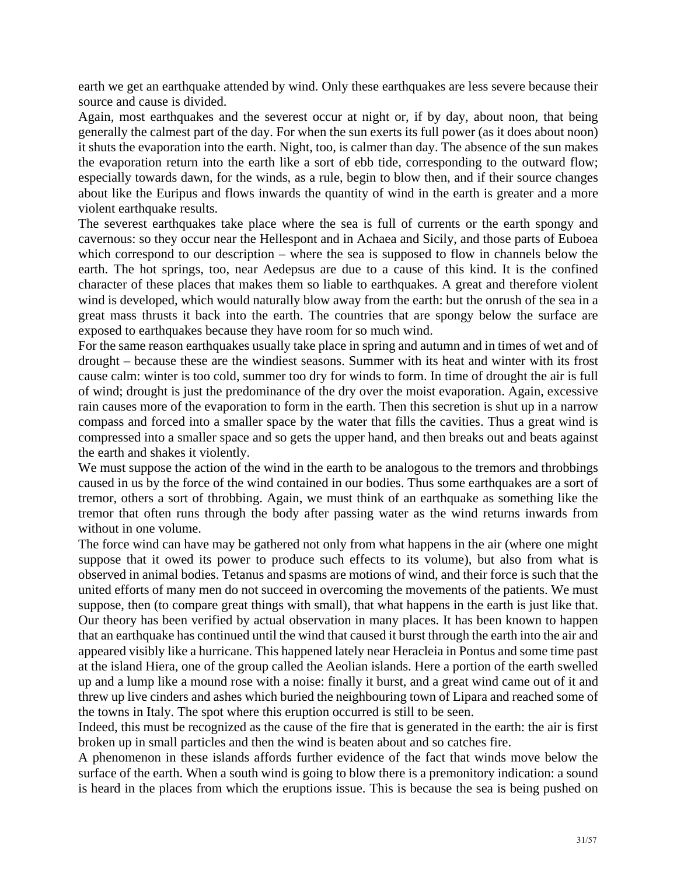earth we get an earthquake attended by wind. Only these earthquakes are less severe because their source and cause is divided.

Again, most earthquakes and the severest occur at night or, if by day, about noon, that being especially towards dawn, for the winds, as a rule, begin to blow then, and if their source changes generally the calmest part of the day. For when the sun exerts its full power (as it does about noon) it shuts the evaporation into the earth. Night, too, is calmer than day. The absence of the sun makes the evaporation return into the earth like a sort of ebb tide, corresponding to the outward flow; about like the Euripus and flows inwards the quantity of wind in the earth is greater and a more violent earthquake results.

which correspond to our description  $-$  where the sea is supposed to flow in channels below the earth. The hot springs, too, near Aedepsus are due to a cause of this kind. It is the confined character of these places that makes them so liable to earthquakes. A great and therefore violent wind is developed, which would naturally blow away from the earth: but the onrush of the sea in a The severest earthquakes take place where the sea is full of currents or the earth spongy and cavernous: so they occur near the Hellespont and in Achaea and Sicily, and those parts of Euboea great mass thrusts it back into the earth. The countries that are spongy below the surface are exposed to earthquakes because they have room for so much wind.

For the same reason earthquakes usually take place in spring and autumn and in times of wet and of drought – because these are the windiest seasons. Summer with its heat and winter with its frost cause calm: winter is too cold, summer too dry for winds to form. In time of drought the air is full of wind; drought is just the predominance of the dry over the moist evaporation. Again, excessive rain causes more of the evaporation to form in the earth. Then this secretion is shut up in a narrow compass and forced into a smaller space by the water that fills the cavities. Thus a great wind is compressed into a smaller space and so gets the upper hand, and then breaks out and beats against the earth and shakes it violently.

caused in us by the force of the wind contained in our bodies. Thus some earthquakes are a sort of We must suppose the action of the wind in the earth to be analogous to the tremors and throbbings tremor, others a sort of throbbing. Again, we must think of an earthquake as something like the tremor that often runs through the body after passing water as the wind returns inwards from without in one volume.

observed in animal bodies. Tetanus and spasms are motions of wind, and their force is such that the up and a lump like a mound rose with a noise: finally it burst, and a great wind came out of it and The force wind can have may be gathered not only from what happens in the air (where one might suppose that it owed its power to produce such effects to its volume), but also from what is united efforts of many men do not succeed in overcoming the movements of the patients. We must suppose, then (to compare great things with small), that what happens in the earth is just like that. Our theory has been verified by actual observation in many places. It has been known to happen that an earthquake has continued until the wind that caused it burst through the earth into the air and appeared visibly like a hurricane. This happened lately near Heracleia in Pontus and some time past at the island Hiera, one of the group called the Aeolian islands. Here a portion of the earth swelled threw up live cinders and ashes which buried the neighbouring town of Lipara and reached some of the towns in Italy. The spot where this eruption occurred is still to be seen.

Indeed, this must be recognized as the cause of the fire that is generated in the earth: the air is first broken up in small particles and then the wind is beaten about and so catches fire.

is heard in the places from which the eruptions issue. This is because the sea is being pushed on A phenomenon in these islands affords further evidence of the fact that winds move below the surface of the earth. When a south wind is going to blow there is a premonitory indication: a sound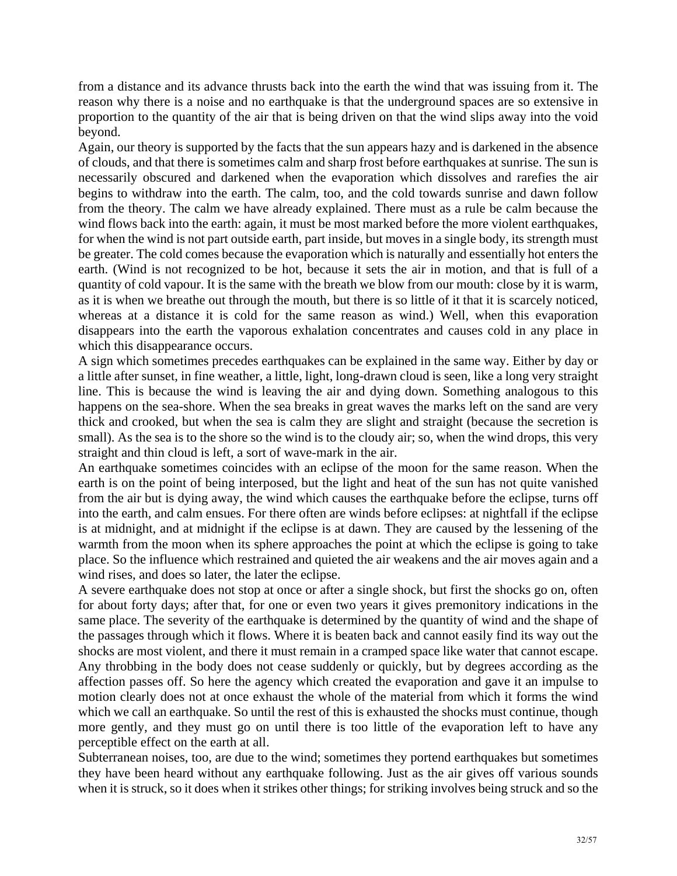from a distance and its advance thrusts back into the earth the wind that was issuing from it. The reason why there is a noise and no earthquake is that the underground spaces are so extensive in proportion to the quantity of the air that is being driven on that the wind slips away into the void beyond.

wind flows back into the earth: again, it must be most marked before the more violent earthquakes, as it is when we breathe out through the mouth, but there is so little of it that it is scarcely noticed, Again, our theory is supported by the facts that the sun appears hazy and is darkened in the absence of clouds, and that there is sometimes calm and sharp frost before earthquakes at sunrise. The sun is necessarily obscured and darkened when the evaporation which dissolves and rarefies the air begins to withdraw into the earth. The calm, too, and the cold towards sunrise and dawn follow from the theory. The calm we have already explained. There must as a rule be calm because the for when the wind is not part outside earth, part inside, but moves in a single body, its strength must be greater. The cold comes because the evaporation which is naturally and essentially hot enters the earth. (Wind is not recognized to be hot, because it sets the air in motion, and that is full of a quantity of cold vapour. It is the same with the breath we blow from our mouth: close by it is warm, whereas at a distance it is cold for the same reason as wind.) Well, when this evaporation disappears into the earth the vaporous exhalation concentrates and causes cold in any place in which this disappearance occurs.

A sign which sometimes precedes earthquakes can be explained in the same way. Either by day or a little after sunset, in fine weather, a little, light, long-drawn cloud is seen, like a long very straight line. This is because the wind is leaving the air and dying down. Something analogous to this happens on the sea-shore. When the sea breaks in great waves the marks left on the sand are very thick and crooked, but when the sea is calm they are slight and straight (because the secretion is small). As the sea is to the shore so the wind is to the cloudy air; so, when the wind drops, this very straight and thin cloud is left, a sort of wave-mark in the air.

earth is on the point of being interposed, but the light and heat of the sun has not quite vanished into the earth, and calm ensues. For there often are winds before eclipses: at nightfall if the eclipse An earthquake sometimes coincides with an eclipse of the moon for the same reason. When the from the air but is dying away, the wind which causes the earthquake before the eclipse, turns off is at midnight, and at midnight if the eclipse is at dawn. They are caused by the lessening of the warmth from the moon when its sphere approaches the point at which the eclipse is going to take place. So the influence which restrained and quieted the air weakens and the air moves again and a wind rises, and does so later, the later the eclipse.

same place. The severity of the earthquake is determined by the quantity of wind and the shape of A severe earthquake does not stop at once or after a single shock, but first the shocks go on, often for about forty days; after that, for one or even two years it gives premonitory indications in the the passages through which it flows. Where it is beaten back and cannot easily find its way out the shocks are most violent, and there it must remain in a cramped space like water that cannot escape. Any throbbing in the body does not cease suddenly or quickly, but by degrees according as the affection passes off. So here the agency which created the evaporation and gave it an impulse to motion clearly does not at once exhaust the whole of the material from which it forms the wind which we call an earthquake. So until the rest of this is exhausted the shocks must continue, though more gently, and they must go on until there is too little of the evaporation left to have any perceptible effect on the earth at all.

Subterranean noises, too, are due to the wind; sometimes they portend earthquakes but sometimes they have been heard without any earthquake following. Just as the air gives off various sounds when it is struck, so it does when it strikes other things; for striking involves being struck and so the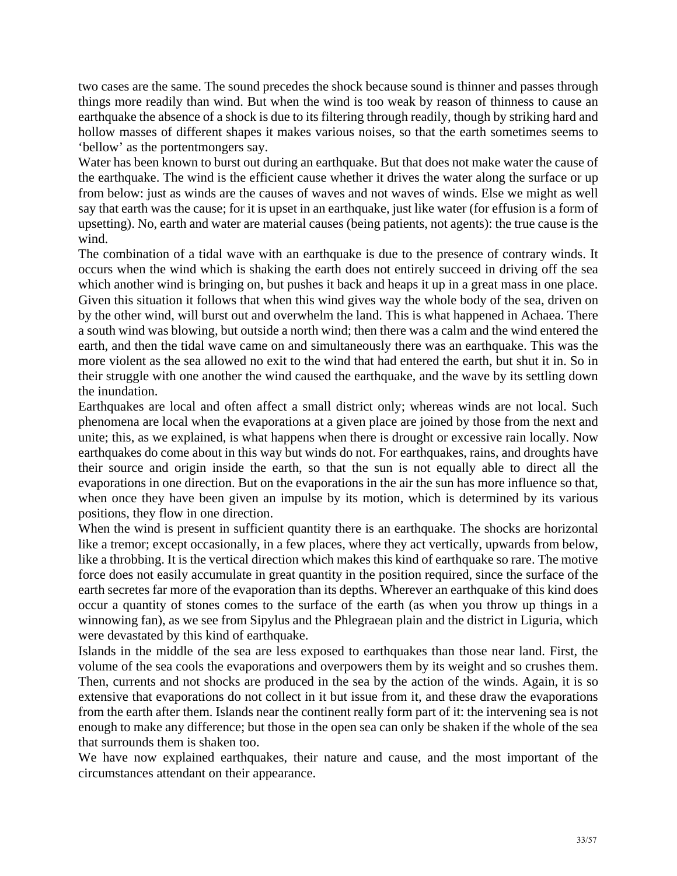two cases are the same. The sound precedes the shock because sound is thinner and passes through things more readily than wind. But when the wind is too weak by reason of thinness to cause an earthquake the absence of a shock is due to its filtering through readily, though by striking hard and hollow masses of different shapes it makes various noises, so that the earth sometimes seems to 'bellow' as the portentmongers say.

upsetting). No, earth and water are material causes (being patients, not agents): the true cause is the Water has been known to burst out during an earthquake. But that does not make water the cause of the earthquake. The wind is the efficient cause whether it drives the water along the surface or up from below: just as winds are the causes of waves and not waves of winds. Else we might as well say that earth was the cause; for it is upset in an earthquake, just like water (for effusion is a form of wind.

earth, and then the tidal wave came on and simultaneously there was an earthquake. This was the The combination of a tidal wave with an earthquake is due to the presence of contrary winds. It occurs when the wind which is shaking the earth does not entirely succeed in driving off the sea which another wind is bringing on, but pushes it back and heaps it up in a great mass in one place. Given this situation it follows that when this wind gives way the whole body of the sea, driven on by the other wind, will burst out and overwhelm the land. This is what happened in Achaea. There a south wind was blowing, but outside a north wind; then there was a calm and the wind entered the more violent as the sea allowed no exit to the wind that had entered the earth, but shut it in. So in their struggle with one another the wind caused the earthquake, and the wave by its settling down the inundation.

Earthquakes are local and often affect a small district only; whereas winds are not local. Such phenomena are local when the evaporations at a given place are joined by those from the next and unite; this, as we explained, is what happens when there is drought or excessive rain locally. Now earthquakes do come about in this way but winds do not. For earthquakes, rains, and droughts have their source and origin inside the earth, so that the sun is not equally able to direct all the evaporations in one direction. But on the evaporations in the air the sun has more influence so that, when once they have been given an impulse by its motion, which is determined by its various positions, they flow in one direction.

When the wind is present in sufficient quantity there is an earthquake. The shocks are horizontal like a tremor; except occasionally, in a few places, where they act vertically, upwards from below, like a throbbing. It is the vertical direction which makes this kind of earthquake so rare. The motive force does not easily accumulate in great quantity in the position required, since the surface of the earth secretes far more of the evaporation than its depths. Wherever an earthquake of this kind does occur a quantity of stones comes to the surface of the earth (as when you throw up things in a winnowing fan), as we see from Sipylus and the Phlegraean plain and the district in Liguria, which were devastated by this kind of earthquake.

enough to make any difference; but those in the open sea can only be shaken if the whole of the sea Islands in the middle of the sea are less exposed to earthquakes than those near land. First, the volume of the sea cools the evaporations and overpowers them by its weight and so crushes them. Then, currents and not shocks are produced in the sea by the action of the winds. Again, it is so extensive that evaporations do not collect in it but issue from it, and these draw the evaporations from the earth after them. Islands near the continent really form part of it: the intervening sea is not that surrounds them is shaken too.

We have now explained earthquakes, their nature and cause, and the most important of the circumstances attendant on their appearance.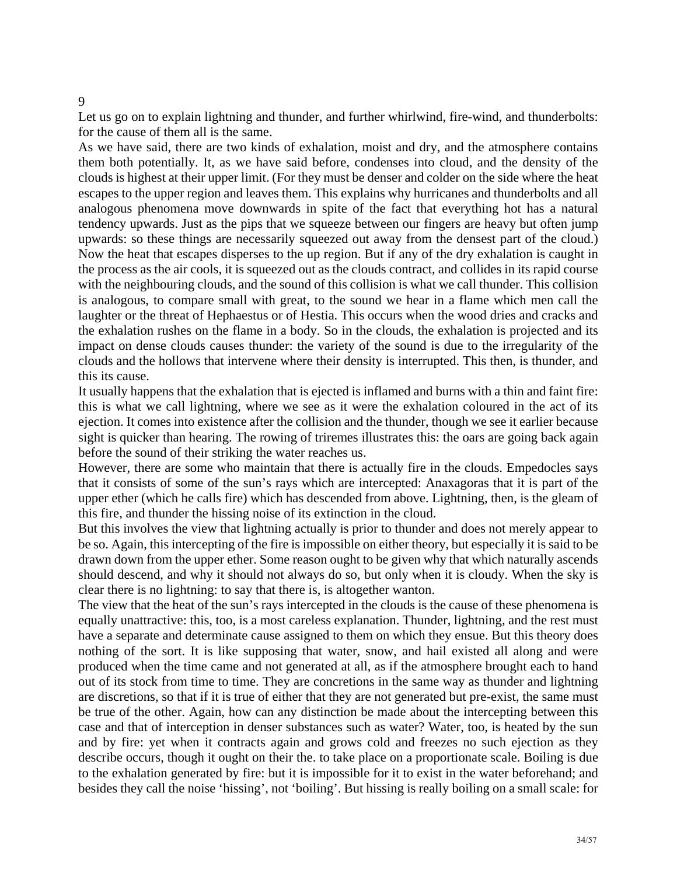#### 9

Let us go on to explain lightning and thunder, and further whirlwind, fire-wind, and thunderbolts: for the cause of them all is the same.

As we have said, there are two kinds of exhalation, moist and dry, and the atmosphere contains them both potentially. It, as we have said before, condenses into cloud, and the density of the with the neighbouring clouds, and the sound of this collision is what we call thunder. This collision clouds is highest at their upper limit. (For they must be denser and colder on the side where the heat escapes to the upper region and leaves them. This explains why hurricanes and thunderbolts and all analogous phenomena move downwards in spite of the fact that everything hot has a natural tendency upwards. Just as the pips that we squeeze between our fingers are heavy but often jump upwards: so these things are necessarily squeezed out away from the densest part of the cloud.) Now the heat that escapes disperses to the up region. But if any of the dry exhalation is caught in the process as the air cools, it is squeezed out as the clouds contract, and collides in its rapid course is analogous, to compare small with great, to the sound we hear in a flame which men call the laughter or the threat of Hephaestus or of Hestia. This occurs when the wood dries and cracks and the exhalation rushes on the flame in a body. So in the clouds, the exhalation is projected and its impact on dense clouds causes thunder: the variety of the sound is due to the irregularity of the clouds and the hollows that intervene where their density is interrupted. This then, is thunder, and this its cause.

this is what we call lightning, where we see as it were the exhalation coloured in the act of its It usually happens that the exhalation that is ejected is inflamed and burns with a thin and faint fire: ejection. It comes into existence after the collision and the thunder, though we see it earlier because sight is quicker than hearing. The rowing of triremes illustrates this: the oars are going back again before the sound of their striking the water reaches us.

this fire, and thunder the hissing noise of its extinction in the cloud. However, there are some who maintain that there is actually fire in the clouds. Empedocles says that it consists of some of the sun's rays which are intercepted: Anaxagoras that it is part of the upper ether (which he calls fire) which has descended from above. Lightning, then, is the gleam of

be so. Again, this intercepting of the fire is impossible on either theory, but especially it is said to be drawn down from the upper ether. Some reason ought to be given why that which naturally ascends should descend, and why it should not always do so, but only when it is cloudy. When the sky is clear there is no lightning: to say that there is, is altogether wanton. But this involves the view that lightning actually is prior to thunder and does not merely appear to

equally unattractive: this, too, is a most careless explanation. Thunder, lightning, and the rest must The view that the heat of the sun's rays intercepted in the clouds is the cause of these phenomena is have a separate and determinate cause assigned to them on which they ensue. But this theory does nothing of the sort. It is like supposing that water, snow, and hail existed all along and were produced when the time came and not generated at all, as if the atmosphere brought each to hand out of its stock from time to time. They are concretions in the same way as thunder and lightning are discretions, so that if it is true of either that they are not generated but pre-exist, the same must be true of the other. Again, how can any distinction be made about the intercepting between this case and that of interception in denser substances such as water? Water, too, is heated by the sun and by fire: yet when it contracts again and grows cold and freezes no such ejection as they describe occurs, though it ought on their the. to take place on a proportionate scale. Boiling is due to the exhalation generated by fire: but it is impossible for it to exist in the water beforehand; and besides they call the noise 'hissing', not 'boiling'. But hissing is really boiling on a small scale: for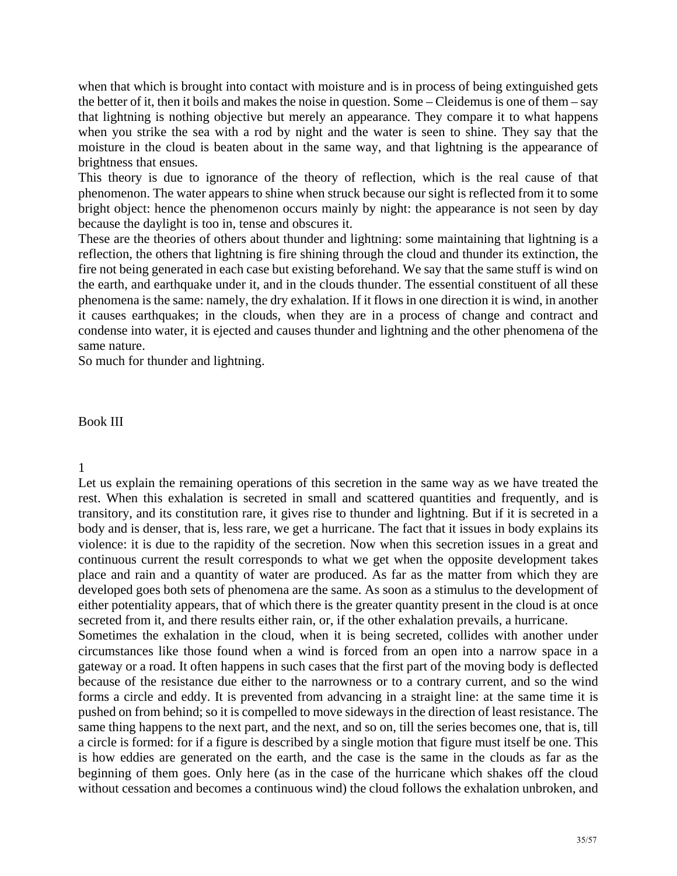when that which is brought into contact with moisture and is in process of being extinguished gets the better of it, then it boils and makes the noise in question. Some – Cleidemus is one of them – say that lightning is nothing objective but merely an appearance. They compare it to what happens when you strike the sea with a rod by night and the water is seen to shine. They say that the moisture in the cloud is beaten about in the same way, and that lightning is the appearance of brightness that ensues.

This theory is due to ignorance of the theory of reflection, which is the real cause of that phenomenon. The water appears to shine when struck because our sight is reflected from it to some bright object: hence the phenomenon occurs mainly by night: the appearance is not seen by day because the daylight is too in, tense and obscures it.

the earth, and earthquake under it, and in the clouds thunder. The essential constituent of all these These are the theories of others about thunder and lightning: some maintaining that lightning is a reflection, the others that lightning is fire shining through the cloud and thunder its extinction, the fire not being generated in each case but existing beforehand. We say that the same stuff is wind on phenomena is the same: namely, the dry exhalation. If it flows in one direction it is wind, in another it causes earthquakes; in the clouds, when they are in a process of change and contract and condense into water, it is ejected and causes thunder and lightning and the other phenomena of the same nature.

So much for thunder and lightning.

### Book III

# 1

Let us explain the remaining operations of this secretion in the same way as we have treated the rest. When this exhalation is secreted in small and scattered quantities and frequently, and is transitory, and its constitution rare, it gives rise to thunder and lightning. But if it is secreted in a body and is denser, that is, less rare, we get a hurricane. The fact that it issues in body explains its violence: it is due to the rapidity of the secretion. Now when this secretion issues in a great and continuous current the result corresponds to what we get when the opposite development takes place and rain and a quantity of water are produced. As far as the matter from which they are developed goes both sets of phenomena are the same. As soon as a stimulus to the development of either potentiality appears, that of which there is the greater quantity present in the cloud is at once secreted from it, and there results either rain, or, if the other exhalation prevails, a hurricane.

circumstances like those found when a wind is forced from an open into a narrow space in a pushed on from behind; so it is compelled to move sideways in the direction of least resistance. The Sometimes the exhalation in the cloud, when it is being secreted, collides with another under gateway or a road. It often happens in such cases that the first part of the moving body is deflected because of the resistance due either to the narrowness or to a contrary current, and so the wind forms a circle and eddy. It is prevented from advancing in a straight line: at the same time it is same thing happens to the next part, and the next, and so on, till the series becomes one, that is, till a circle is formed: for if a figure is described by a single motion that figure must itself be one. This is how eddies are generated on the earth, and the case is the same in the clouds as far as the beginning of them goes. Only here (as in the case of the hurricane which shakes off the cloud without cessation and becomes a continuous wind) the cloud follows the exhalation unbroken, and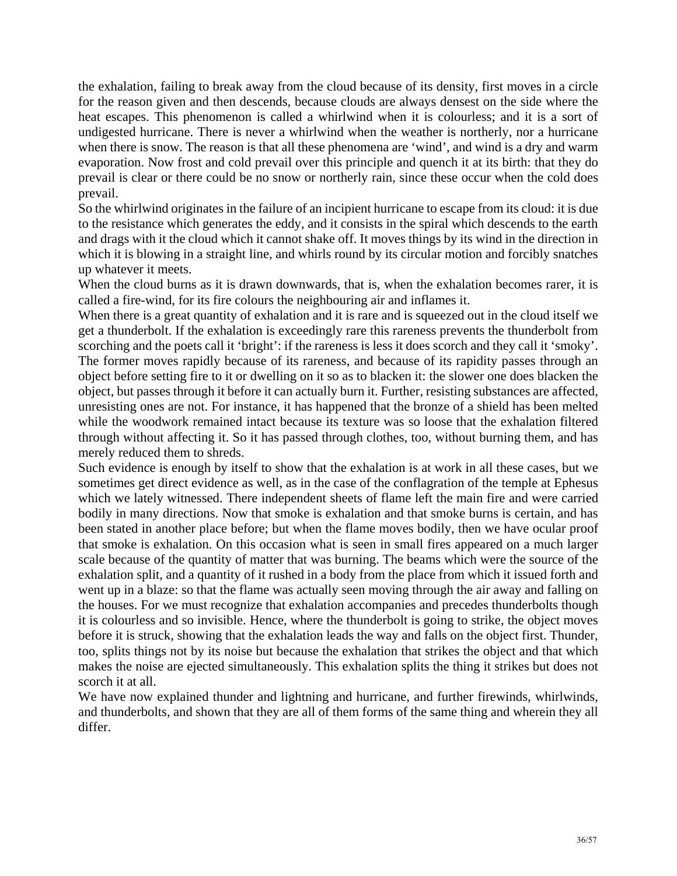the exhalation, failing to break away from the cloud because of its density, first moves in a circle for the reason given and then descends, because clouds are always densest on the side where the heat escapes. This phenomenon is called a whirlwind when it is colourless; and it is a sort of undigested hurricane. There is never a whirlwind when the weather is northerly, nor a hurricane when there is snow. The reason is that all these phenomena are 'wind', and wind is a dry and warm evaporation. Now frost and cold prevail over this principle and quench it at its birth: that they do prevail is clear or there could be no snow or northerly rain, since these occur when the cold does prevail.

So the whirlwind originates in the failure of an incipient hurricane to escape from its cloud: it is due to the resistance which generates the eddy, and it consists in the spiral which descends to the earth and drags with it the cloud which it cannot shake off. It moves things by its wind in the direction in which it is blowing in a straight line, and whirls round by its circular motion and forcibly snatches up whatever it meets.

When the cloud burns as it is drawn downwards, that is, when the exhalation becomes rarer, it is called a fire-wind, for its fire colours the neighbouring air and inflames it.

When there is a great quantity of exhalation and it is rare and is squeezed out in the cloud itself we get a thunderbolt. If the exhalation is exceedingly rare this rareness prevents the thunderbolt from scorching and the poets call it 'bright': if the rareness is less it does scorch and they call it 'smoky'. The former moves rapidly because of its rareness, and because of its rapidity passes through an object before setting fire to it or dwelling on it so as to blacken it: the slower one does blacken the object, but passes through it before it can actually burn it. Further, resisting substances are affected, unresisting ones are not. For instance, it has happened that the bronze of a shield has been melted while the woodwork remained intact because its texture was so loose that the exhalation filtered through without affecting it. So it has passed through clothes, too, without burning them, and has merely reduced them to shreds.

Such evidence is enough by itself to show that the exhalation is at work in all these cases, but we sometimes get direct evidence as well, as in the case of the conflagration of the temple at Ephesus which we lately witnessed. There independent sheets of flame left the main fire and were carried bodily in many directions. Now that smoke is exhalation and that smoke burns is certain, and has been stated in another place before; but when the flame moves bodily, then we have ocular proof that smoke is exhalation. On this occasion what is seen in small fires appeared on a much larger scale because of the quantity of matter that was burning. The beams which were the source of the exhalation split, and a quantity of it rushed in a body from the place from which it issued forth and went up in a blaze: so that the flame was actually seen moving through the air away and falling on the houses. For we must recognize that exhalation accompanies and precedes thunderbolts though it is colourless and so invisible. Hence, where the thunderbolt is going to strike, the object moves before it is struck, showing that the exhalation leads the way and falls on the object first. Thunder, too, splits things not by its noise but because the exhalation that strikes the object and that which makes the noise are ejected simultaneously. This exhalation splits the thing it strikes but does not scorch it at all.

We have now explained thunder and lightning and hurricane, and further firewinds, whirlwinds, and thunderbolts, and shown that they are all of them forms of the same thing and wherein they all differ.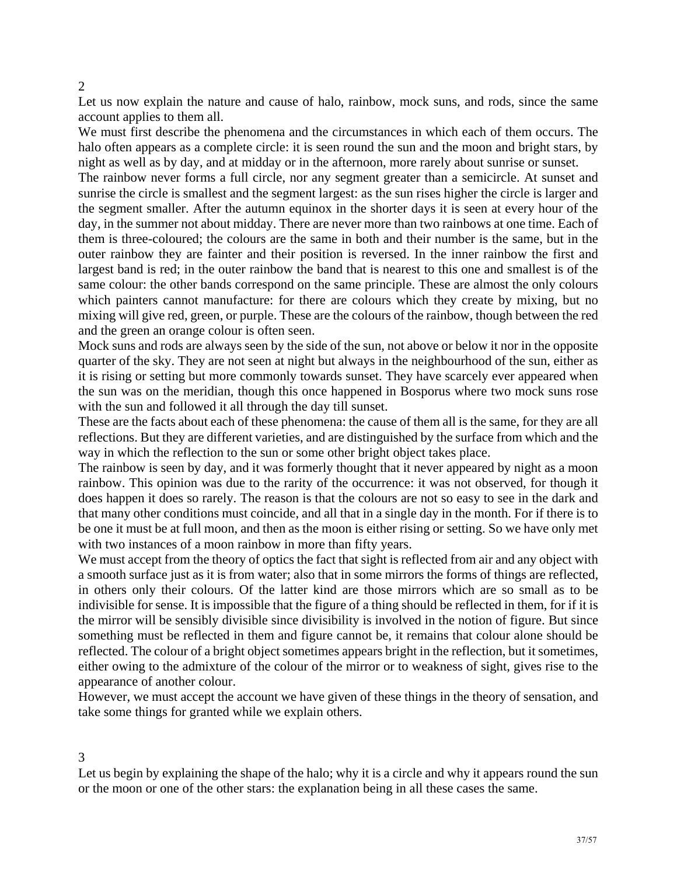2

Let us now explain the nature and cause of halo, rainbow, mock suns, and rods, since the same account applies to them all.

We must first describe the phenomena and the circumstances in which each of them occurs. The halo often appears as a complete circle: it is seen round the sun and the moon and bright stars, by night as well as by day, and at midday or in the afternoon, more rarely about sunrise or sunset.

The rainbow never forms a full circle, nor any segment greater than a semicircle. At sunset and sunrise the circle is smallest and the segment largest: as the sun rises higher the circle is larger and the segment smaller. After the autumn equinox in the shorter days it is seen at every hour of the day, in the summer not about midday. There are never more than two rainbows at one time. Each of them is three-coloured; the colours are the same in both and their number is the same, but in the outer rainbow they are fainter and their position is reversed. In the inner rainbow the first and largest band is red; in the outer rainbow the band that is nearest to this one and smallest is of the same colour: the other bands correspond on the same principle. These are almost the only colours which painters cannot manufacture: for there are colours which they create by mixing, but no mixing will give red, green, or purple. These are the colours of the rainbow, though between the red and the green an orange colour is often seen.

Mock suns and rods are always seen by the side of the sun, not above or below it nor in the opposite quarter of the sky. They are not seen at night but always in the neighbourhood of the sun, either as it is rising or setting but more commonly towards sunset. They have scarcely ever appeared when the sun was on the meridian, though this once happened in Bosporus where two mock suns rose with the sun and followed it all through the day till sunset.

way in which the reflection to the sun or some other bright object takes place. These are the facts about each of these phenomena: the cause of them all is the same, for they are all reflections. But they are different varieties, and are distinguished by the surface from which and the

does happen it does so rarely. The reason is that the colours are not so easy to see in the dark and that many other conditions must coincide, and all that in a single day in the month. For if there is to be one it must be at full moon, and then as the moon is either rising or setting. So we have only met with two instances of a moon rainbow in more than fifty years. The rainbow is seen by day, and it was formerly thought that it never appeared by night as a moon rainbow. This opinion was due to the rarity of the occurrence: it was not observed, for though it

a smooth surface just as it is from water; also that in some mirrors the forms of things are reflected, the mirror will be sensibly divisible since divisibility is involved in the notion of figure. But since We must accept from the theory of optics the fact that sight is reflected from air and any object with in others only their colours. Of the latter kind are those mirrors which are so small as to be indivisible for sense. It is impossible that the figure of a thing should be reflected in them, for if it is something must be reflected in them and figure cannot be, it remains that colour alone should be reflected. The colour of a bright object sometimes appears bright in the reflection, but it sometimes, either owing to the admixture of the colour of the mirror or to weakness of sight, gives rise to the appearance of another colour.

However, we must accept the account we have given of these things in the theory of sensation, and take some things for granted while we explain others.

## 3

or the moon or one of the other stars: the explanation being in all these cases the same. Let us begin by explaining the shape of the halo; why it is a circle and why it appears round the sun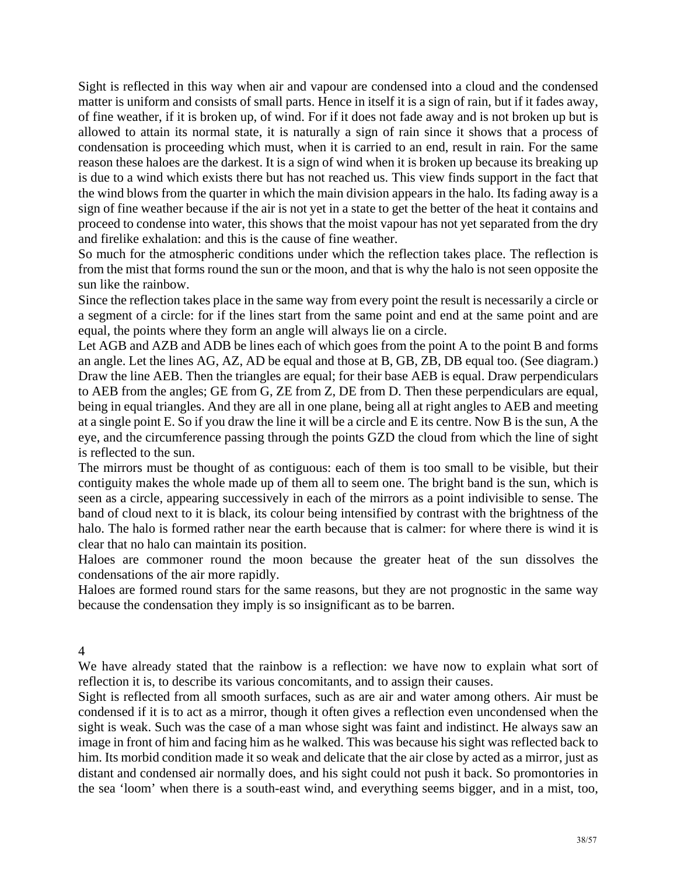Sight is reflected in this way when air and vapour are condensed into a cloud and the condensed matter is uniform and consists of small parts. Hence in itself it is a sign of rain, but if it fades away, of fine weather, if it is broken up, of wind. For if it does not fade away and is not broken up but is allowed to attain its normal state, it is naturally a sign of rain since it shows that a process of condensation is proceeding which must, when it is carried to an end, result in rain. For the same the wind blows from the quarter in which the main division appears in the halo. Its fading away is a reason these haloes are the darkest. It is a sign of wind when it is broken up because its breaking up is due to a wind which exists there but has not reached us. This view finds support in the fact that sign of fine weather because if the air is not yet in a state to get the better of the heat it contains and proceed to condense into water, this shows that the moist vapour has not yet separated from the dry and firelike exhalation: and this is the cause of fine weather.

So much for the atmospheric conditions under which the reflection takes place. The reflection is from the mist that forms round the sun or the moon, and that is why the halo is not seen opposite the sun like the rainbow.

Since the reflection takes place in the same way from every point the result is necessarily a circle or a segment of a circle: for if the lines start from the same point and end at the same point and are equal, the points where they form an angle will always lie on a circle.

at a single point E. So if you draw the line it will be a circle and E its centre. Now B is the sun, A the Let AGB and AZB and ADB be lines each of which goes from the point A to the point B and forms an angle. Let the lines AG, AZ, AD be equal and those at B, GB, ZB, DB equal too. (See diagram.) Draw the line AEB. Then the triangles are equal; for their base AEB is equal. Draw perpendiculars to AEB from the angles; GE from G, ZE from Z, DE from D. Then these perpendiculars are equal, being in equal triangles. And they are all in one plane, being all at right angles to AEB and meeting eye, and the circumference passing through the points GZD the cloud from which the line of sight is reflected to the sun.

The mirrors must be thought of as contiguous: each of them is too small to be visible, but their contiguity makes the whole made up of them all to seem one. The bright band is the sun, which is seen as a circle, appearing successively in each of the mirrors as a point indivisible to sense. The halo. The halo is formed rather near the earth because that is calmer: for where there is wind it is band of cloud next to it is black, its colour being intensified by contrast with the brightness of the clear that no halo can maintain its position.

Haloes are commoner round the moon because the greater heat of the sun dissolves the condensations of the air more rapidly.

Haloes are formed round stars for the same reasons, but they are not prognostic in the same way because the condensation they imply is so insignificant as to be barren.

4

We have already stated that the rainbow is a reflection: we have now to explain what sort of reflection it is, to describe its various concomitants, and to assign their causes.

Sight is reflected from all smooth surfaces, such as are air and water among others. Air must be image in front of him and facing him as he walked. This was because his sight was reflected back to the sea 'loom' when there is a south-east wind, and everything seems bigger, and in a mist, too, condensed if it is to act as a mirror, though it often gives a reflection even uncondensed when the sight is weak. Such was the case of a man whose sight was faint and indistinct. He always saw an him. Its morbid condition made it so weak and delicate that the air close by acted as a mirror, just as distant and condensed air normally does, and his sight could not push it back. So promontories in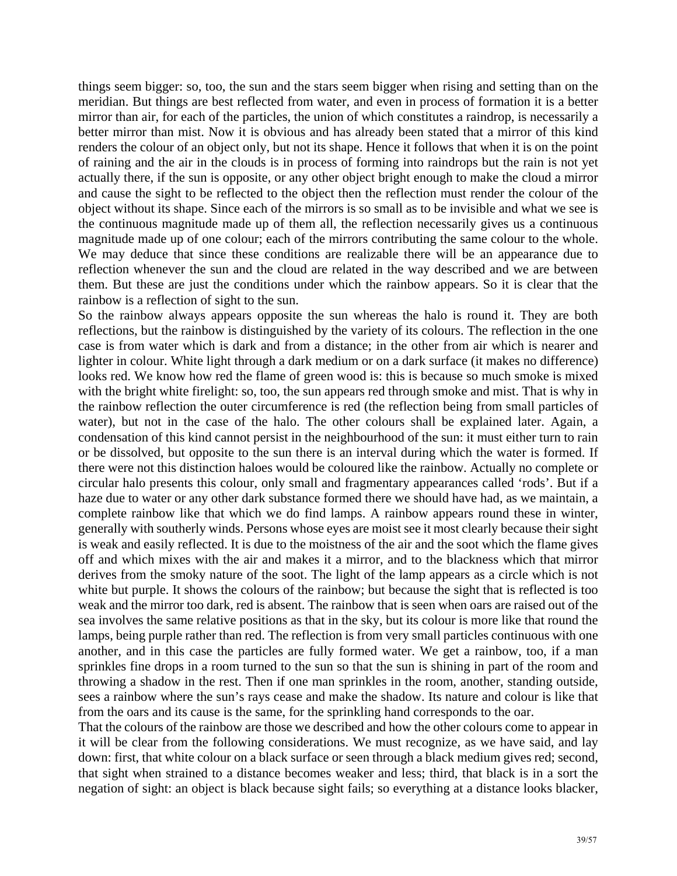things seem bigger: so, too, the sun and the stars seem bigger when rising and setting than on the meridian. But things are best reflected from water, and even in process of formation it is a better mirror than air, for each of the particles, the union of which constitutes a raindrop, is necessarily a object without its shape. Since each of the mirrors is so small as to be invisible and what we see is better mirror than mist. Now it is obvious and has already been stated that a mirror of this kind renders the colour of an object only, but not its shape. Hence it follows that when it is on the point of raining and the air in the clouds is in process of forming into raindrops but the rain is not yet actually there, if the sun is opposite, or any other object bright enough to make the cloud a mirror and cause the sight to be reflected to the object then the reflection must render the colour of the the continuous magnitude made up of them all, the reflection necessarily gives us a continuous magnitude made up of one colour; each of the mirrors contributing the same colour to the whole. We may deduce that since these conditions are realizable there will be an appearance due to reflection whenever the sun and the cloud are related in the way described and we are between them. But these are just the conditions under which the rainbow appears. So it is clear that the rainbow is a reflection of sight to the sun.

reflections, but the rainbow is distinguished by the variety of its colours. The reflection in the one lighter in colour. White light through a dark medium or on a dark surface (it makes no difference) looks red. We know how red the flame of green wood is: this is because so much smoke is mixed with the bright white firelight: so, too, the sun appears red through smoke and mist. That is why in the rainbow reflection the outer circumference is red (the reflection being from small particles of condensation of this kind cannot persist in the neighbourhood of the sun: it must either turn to rain So the rainbow always appears opposite the sun whereas the halo is round it. They are both case is from water which is dark and from a distance; in the other from air which is nearer and water), but not in the case of the halo. The other colours shall be explained later. Again, a or be dissolved, but opposite to the sun there is an interval during which the water is formed. If there were not this distinction haloes would be coloured like the rainbow. Actually no complete or circular halo presents this colour, only small and fragmentary appearances called 'rods'. But if a haze due to water or any other dark substance formed there we should have had, as we maintain, a complete rainbow like that which we do find lamps. A rainbow appears round these in winter, generally with southerly winds. Persons whose eyes are moist see it most clearly because their sight is weak and easily reflected. It is due to the moistness of the air and the soot which the flame gives off and which mixes with the air and makes it a mirror, and to the blackness which that mirror derives from the smoky nature of the soot. The light of the lamp appears as a circle which is not white but purple. It shows the colours of the rainbow; but because the sight that is reflected is too weak and the mirror too dark, red is absent. The rainbow that is seen when oars are raised out of the sea involves the same relative positions as that in the sky, but its colour is more like that round the lamps, being purple rather than red. The reflection is from very small particles continuous with one another, and in this case the particles are fully formed water. We get a rainbow, too, if a man sprinkles fine drops in a room turned to the sun so that the sun is shining in part of the room and throwing a shadow in the rest. Then if one man sprinkles in the room, another, standing outside, sees a rainbow where the sun's rays cease and make the shadow. Its nature and colour is like that from the oars and its cause is the same, for the sprinkling hand corresponds to the oar.

that sight when strained to a distance becomes weaker and less; third, that black is in a sort the negation of sight: an object is black because sight fails; so everything at a distance looks blacker, That the colours of the rainbow are those we described and how the other colours come to appear in it will be clear from the following considerations. We must recognize, as we have said, and lay down: first, that white colour on a black surface or seen through a black medium gives red; second,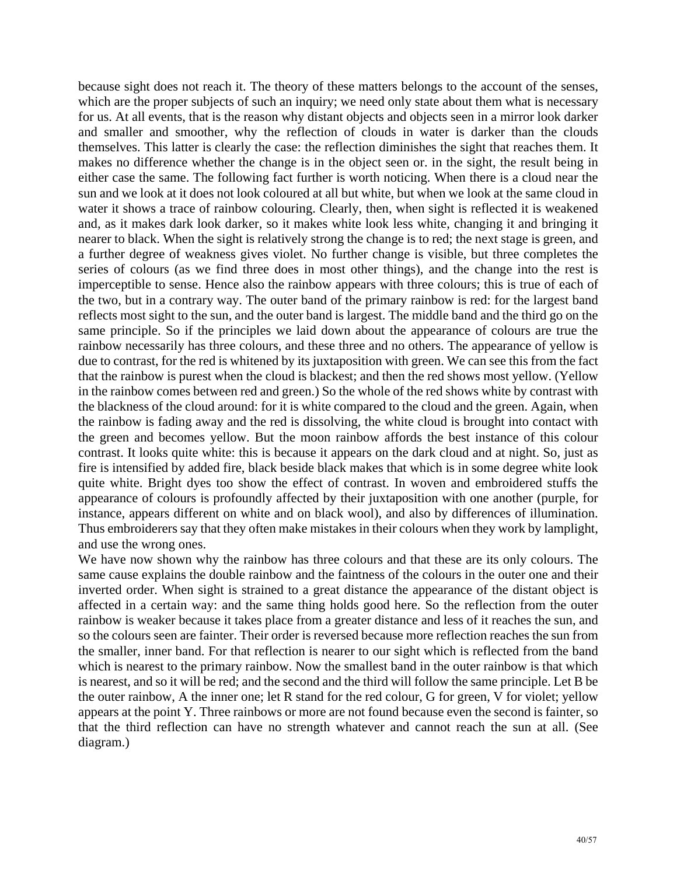because sight does not reach it. The theory of these matters belongs to the account of the senses, which are the proper subjects of such an inquiry; we need only state about them what is necessary for us. At all events, that is the reason why distant objects and objects seen in a mirror look darker and smaller and smoother, why the reflection of clouds in water is darker than the clouds themselves. This latter is clearly the case: the reflection diminishes the sight that reaches them. It makes no difference whether the change is in the object seen or. in the sight, the result being in either case the same. The following fact further is worth noticing. When there is a cloud near the sun and we look at it does not look coloured at all but white, but when we look at the same cloud in water it shows a trace of rainbow colouring. Clearly, then, when sight is reflected it is weakened and, as it makes dark look darker, so it makes white look less white, changing it and bringing it nearer to black. When the sight is relatively strong the change is to red; the next stage is green, and a further degree of weakness gives violet. No further change is visible, but three completes the series of colours (as we find three does in most other things), and the change into the rest is imperceptible to sense. Hence also the rainbow appears with three colours; this is true of each of the two, but in a contrary way. The outer band of the primary rainbow is red: for the largest band reflects most sight to the sun, and the outer band is largest. The middle band and the third go on the same principle. So if the principles we laid down about the appearance of colours are true the rainbow necessarily has three colours, and these three and no others. The appearance of yellow is due to contrast, for the red is whitened by its juxtaposition with green. We can see this from the fact that the rainbow is purest when the cloud is blackest; and then the red shows most yellow. (Yellow in the rainbow comes between red and green.) So the whole of the red shows white by contrast with the blackness of the cloud around: for it is white compared to the cloud and the green. Again, when the rainbow is fading away and the red is dissolving, the white cloud is brought into contact with the green and becomes yellow. But the moon rainbow affords the best instance of this colour contrast. It looks quite white: this is because it appears on the dark cloud and at night. So, just as fire is intensified by added fire, black beside black makes that which is in some degree white look quite white. Bright dyes too show the effect of contrast. In woven and embroidered stuffs the appearance of colours is profoundly affected by their juxtaposition with one another (purple, for instance, appears different on white and on black wool), and also by differences of illumination. Thus embroiderers say that they often make mistakes in their colours when they work by lamplight, and use the wrong ones.

We have now shown why the rainbow has three colours and that these are its only colours. The same cause explains the double rainbow and the faintness of the colours in the outer one and their inverted order. When sight is strained to a great distance the appearance of the distant object is affected in a certain way: and the same thing holds good here. So the reflection from the outer rainbow is weaker because it takes place from a greater distance and less of it reaches the sun, and so the colours seen are fainter. Their order is reversed because more reflection reaches the sun from the smaller, inner band. For that reflection is nearer to our sight which is reflected from the band which is nearest to the primary rainbow. Now the smallest band in the outer rainbow is that which is nearest, and so it will be red; and the second and the third will follow the same principle. Let B be the outer rainbow, A the inner one; let R stand for the red colour, G for green, V for violet; yellow appears at the point Y. Three rainbows or more are not found because even the second is fainter, so that the third reflection can have no strength whatever and cannot reach the sun at all. (See diagram.)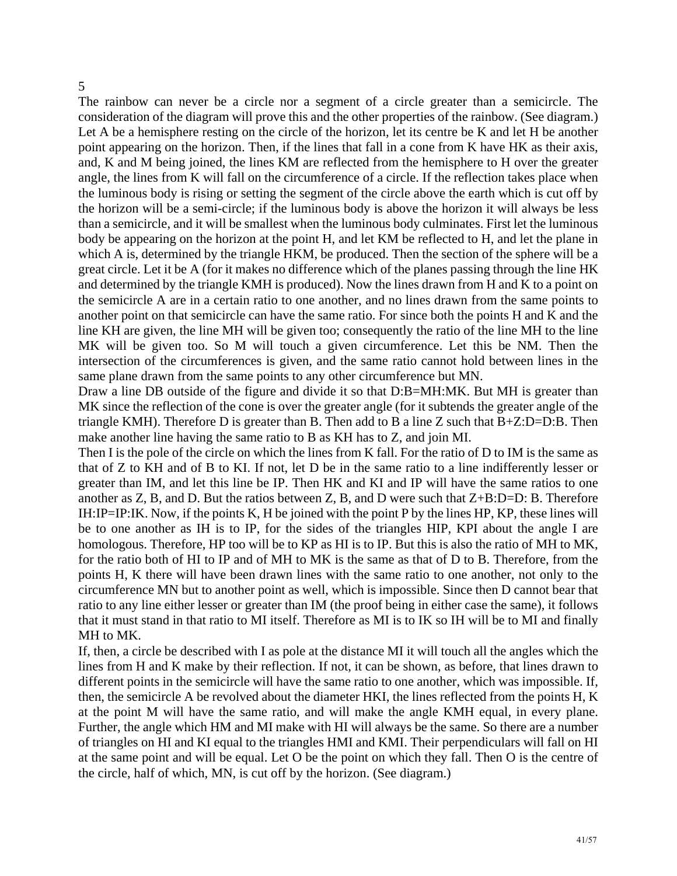#### 5

The rainbow can never be a circle nor a segment of a circle greater than a semicircle. The consideration of the diagram will prove this and the other properties of the rainbow. (See diagram.) Let A be a hemisphere resting on the circle of the horizon, let its centre be K and let H be another point appearing on the horizon. Then, if the lines that fall in a cone from K have HK as their axis, and, K and M being joined, the lines KM are reflected from the hemisphere to H over the greater angle, the lines from K will fall on the circumference of a circle. If the reflection takes place when the luminous body is rising or setting the segment of the circle above the earth which is cut off by the horizon will be a semi-circle; if the luminous body is above the horizon it will always be less than a semicircle, and it will be smallest when the luminous body culminates. First let the luminous body be appearing on the horizon at the point H, and let KM be reflected to H, and let the plane in which A is, determined by the triangle HKM, be produced. Then the section of the sphere will be a great circle. Let it be A (for it makes no difference which of the planes passing through the line HK and determined by the triangle KMH is produced). Now the lines drawn from H and K to a point on the semicircle A are in a certain ratio to one another, and no lines drawn from the same points to another point on that semicircle can have the same ratio. For since both the points H and K and the line KH are given, the line MH will be given too; consequently the ratio of the line MH to the line MK will be given too. So M will touch a given circumference. Let this be NM. Then the intersection of the circumferences is given, and the same ratio cannot hold between lines in the same plane drawn from the same points to any other circumference but MN.

Draw a line DB outside of the figure and divide it so that D:B=MH:MK. But MH is greater than MK since the reflection of the cone is over the greater angle (for it subtends the greater angle of the triangle KMH). Therefore D is greater than B. Then add to B a line Z such that B+Z:D=D:B. Then make another line having the same ratio to B as KH has to Z, and join MI.

be to one another as IH is to IP, for the sides of the triangles HIP, KPI about the angle I are homologous. Therefore, HP too will be to KP as HI is to IP. But this is also the ratio of MH to MK, for the ratio both of HI to IP and of MH to MK is the same as that of D to B. Therefore, from the points H, K there will have been drawn lines with the same ratio to one another, not only to the that it must stand in that ratio to MI itself. Therefore as MI is to IK so IH will be to MI and finally Then I is the pole of the circle on which the lines from K fall. For the ratio of D to IM is the same as that of Z to KH and of B to KI. If not, let D be in the same ratio to a line indifferently lesser or greater than IM, and let this line be IP. Then HK and KI and IP will have the same ratios to one another as  $Z$ ,  $B$ , and  $D$ . But the ratios between  $Z$ ,  $B$ , and  $D$  were such that  $Z+B:D=D$ :  $B$ . Therefore IH:IP=IP:IK. Now, if the points K, H be joined with the point P by the lines HP, KP, these lines will circumference MN but to another point as well, which is impossible. Since then D cannot bear that ratio to any line either lesser or greater than IM (the proof being in either case the same), it follows MH to MK.

If, then, a circle be described with I as pole at the distance MI it will touch all the angles which the lines from H and K make by their reflection. If not, it can be shown, as before, that lines drawn to different points in the semicircle will have the same ratio to one another, which was impossible. If, then, the semicircle A be revolved about the diameter HKI, the lines reflected from the points H, K at the point M will have the same ratio, and will make the angle KMH equal, in every plane. Further, the angle which HM and MI make with HI will always be the same. So there are a number of triangles on HI and KI equal to the triangles HMI and KMI. Their perpendiculars will fall on HI at the same point and will be equal. Let O be the point on which they fall. Then O is the centre of the circle, half of which, MN, is cut off by the horizon. (See diagram.)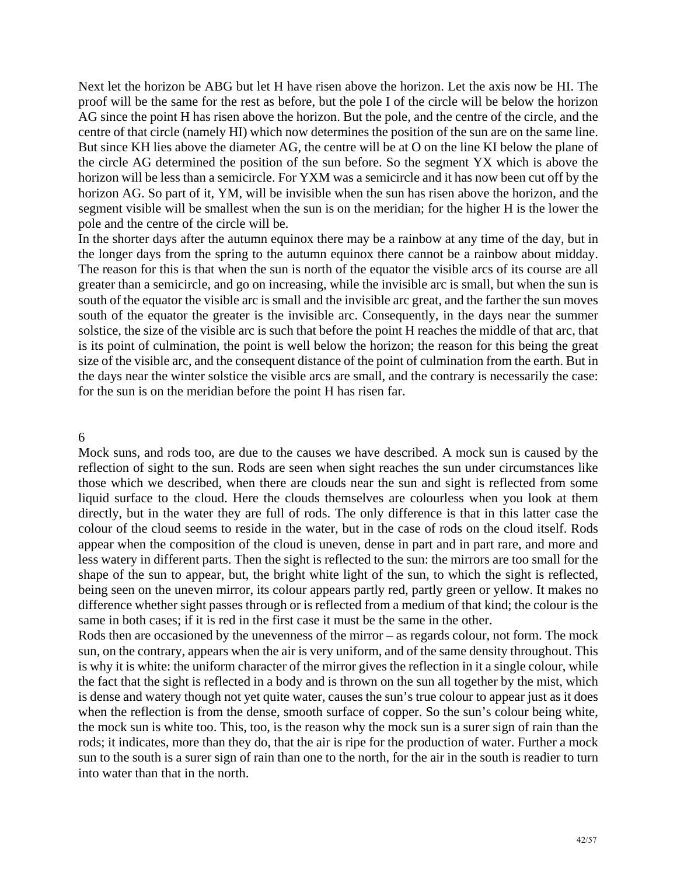Next let the horizon be ABG but let H have risen above the horizon. Let the axis now be HI. The proof will be the same for the rest as before, but the pole I of the circle will be below the horizon AG since the point H has risen above the horizon. But the pole, and the centre of the circle, and the centre of that circle (namely HI) which now determines the position of the sun are on the same line. But since KH lies above the diameter AG, the centre will be at O on the line KI below the plane of the circle AG determined the position of the sun before. So the segment YX which is above the horizon will be less than a semicircle. For YXM was a semicircle and it has now been cut off by the horizon AG. So part of it, YM, will be invisible when the sun has risen above the horizon, and the segment visible will be smallest when the sun is on the meridian; for the higher H is the lower the pole and the centre of the circle will be.

In the shorter days after the autumn equinox there may be a rainbow at any time of the day, but in the longer days from the spring to the autumn equinox there cannot be a rainbow about midday. The reason for this is that when the sun is north of the equator the visible arcs of its course are all greater than a semicircle, and go on increasing, while the invisible arc is small, but when the sun is south of the equator the visible arc is small and the invisible arc great, and the farther the sun moves south of the equator the greater is the invisible arc. Consequently, in the days near the summer solstice, the size of the visible arc is such that before the point H reaches the middle of that arc, that is its point of culmination, the point is well below the horizon; the reason for this being the great size of the visible arc, and the consequent distance of the point of culmination from the earth. But in the days near the winter solstice the visible arcs are small, and the contrary is necessarily the case: for the sun is on the meridian before the point H has risen far.

#### 6

being seen on the uneven mirror, its colour appears partly red, partly green or yellow. It makes no Mock suns, and rods too, are due to the causes we have described. A mock sun is caused by the reflection of sight to the sun. Rods are seen when sight reaches the sun under circumstances like those which we described, when there are clouds near the sun and sight is reflected from some liquid surface to the cloud. Here the clouds themselves are colourless when you look at them directly, but in the water they are full of rods. The only difference is that in this latter case the colour of the cloud seems to reside in the water, but in the case of rods on the cloud itself. Rods appear when the composition of the cloud is uneven, dense in part and in part rare, and more and less watery in different parts. Then the sight is reflected to the sun: the mirrors are too small for the shape of the sun to appear, but, the bright white light of the sun, to which the sight is reflected, difference whether sight passes through or is reflected from a medium of that kind; the colour is the same in both cases; if it is red in the first case it must be the same in the other.

rods; it indicates, more than they do, that the air is ripe for the production of water. Further a mock Rods then are occasioned by the unevenness of the mirror – as regards colour, not form. The mock sun, on the contrary, appears when the air is very uniform, and of the same density throughout. This is why it is white: the uniform character of the mirror gives the reflection in it a single colour, while the fact that the sight is reflected in a body and is thrown on the sun all together by the mist, which is dense and watery though not yet quite water, causes the sun's true colour to appear just as it does when the reflection is from the dense, smooth surface of copper. So the sun's colour being white, the mock sun is white too. This, too, is the reason why the mock sun is a surer sign of rain than the sun to the south is a surer sign of rain than one to the north, for the air in the south is readier to turn into water than that in the north.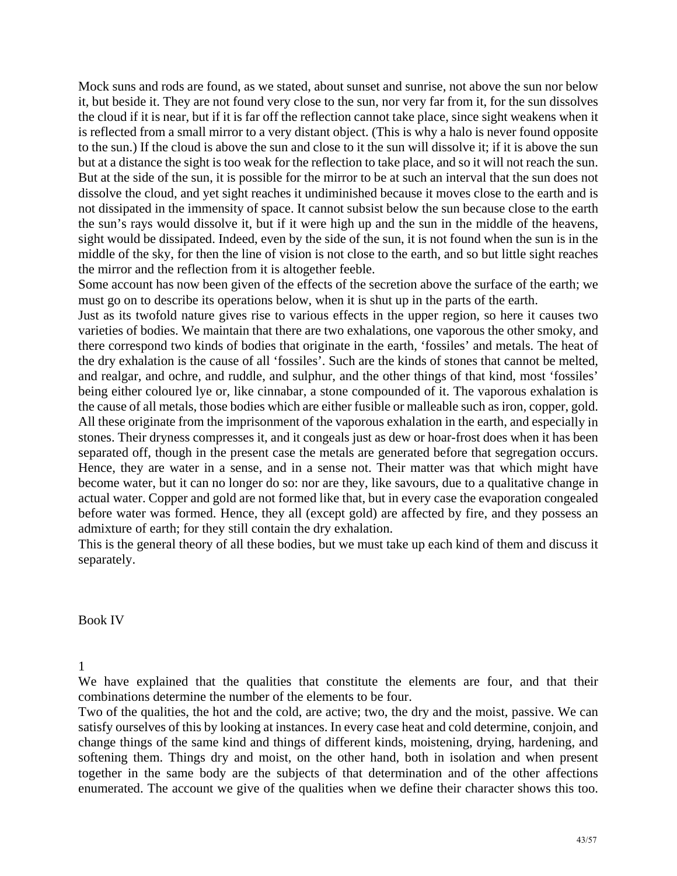Mock suns and rods are found, as we stated, about sunset and sunrise, not above the sun nor below it, but beside it. They are not found very close to the sun, nor very far from it, for the sun dissolves the cloud if it is near, but if it is far off the reflection cannot take place, since sight weakens when it is reflected from a small mirror to a very distant object. (This is why a halo is never found opposite to the sun.) If the cloud is above the sun and close to it the sun will dissolve it; if it is above the sun but at a distance the sight is too weak for the reflection to take place, and so it will not reach the sun. But at the side of the sun, it is possible for the mirror to be at such an interval that the sun does not dissolve the cloud, and yet sight reaches it undiminished because it moves close to the earth and is not dissipated in the immensity of space. It cannot subsist below the sun because close to the earth the sun's rays would dissolve it, but if it were high up and the sun in the middle of the heavens, sight would be dissipated. Indeed, even by the side of the sun, it is not found when the sun is in the middle of the sky, for then the line of vision is not close to the earth, and so but little sight reaches the mirror and the reflection from it is altogether feeble.

Some account has now been given of the effects of the secretion above the surface of the earth; we must go on to describe its operations below, when it is shut up in the parts of the earth.

All these originate from the imprisonment of the vaporous exhalation in the earth, and especially in Just as its twofold nature gives rise to various effects in the upper region, so here it causes two varieties of bodies. We maintain that there are two exhalations, one vaporous the other smoky, and there correspond two kinds of bodies that originate in the earth, 'fossiles' and metals. The heat of the dry exhalation is the cause of all 'fossiles'. Such are the kinds of stones that cannot be melted, and realgar, and ochre, and ruddle, and sulphur, and the other things of that kind, most 'fossiles' being either coloured lye or, like cinnabar, a stone compounded of it. The vaporous exhalation is the cause of all metals, those bodies which are either fusible or malleable such as iron, copper, gold. stones. Their dryness compresses it, and it congeals just as dew or hoar-frost does when it has been separated off, though in the present case the metals are generated before that segregation occurs. Hence, they are water in a sense, and in a sense not. Their matter was that which might have become water, but it can no longer do so: nor are they, like savours, due to a qualitative change in actual water. Copper and gold are not formed like that, but in every case the evaporation congealed before water was formed. Hence, they all (except gold) are affected by fire, and they possess an admixture of earth; for they still contain the dry exhalation.

This is the general theory of all these bodies, but we must take up each kind of them and discuss it separately.

Book IV

1

We have explained that the qualities that constitute the elements are four, and that their combinations determine the number of the elements to be four.

together in the same body are the subjects of that determination and of the other affections enumerated. The account we give of the qualities when we define their character shows this too. Two of the qualities, the hot and the cold, are active; two, the dry and the moist, passive. We can satisfy ourselves of this by looking at instances. In every case heat and cold determine, conjoin, and change things of the same kind and things of different kinds, moistening, drying, hardening, and softening them. Things dry and moist, on the other hand, both in isolation and when present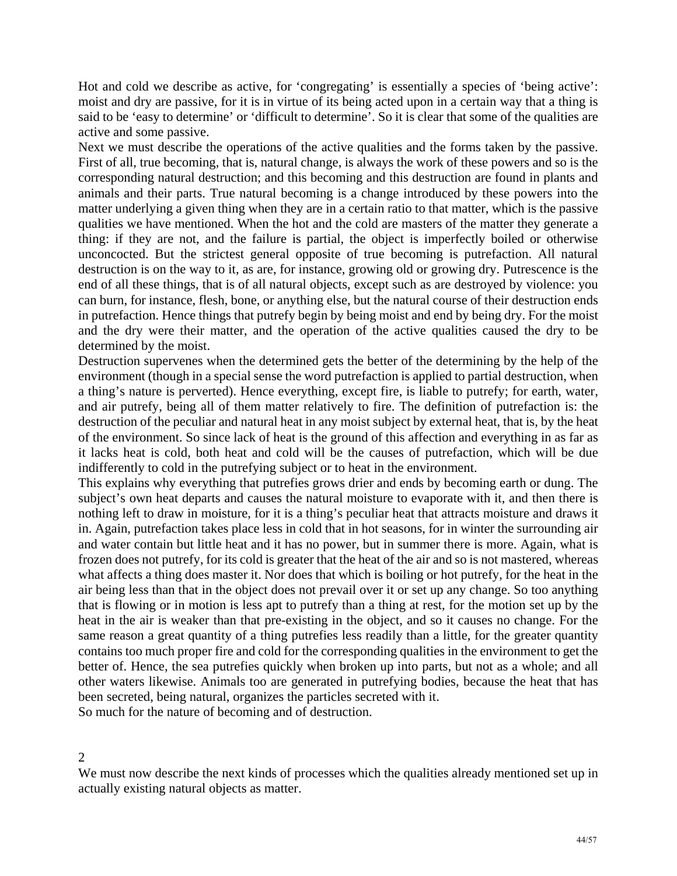Hot and cold we describe as active, for 'congregating' is essentially a species of 'being active': moist and dry are passive, for it is in virtue of its being acted upon in a certain way that a thing is said to be 'easy to determine' or 'difficult to determine'. So it is clear that some of the qualities are active and some passive.

Next we must describe the operations of the active qualities and the forms taken by the passive. First of all, true becoming, that is, natural change, is always the work of these powers and so is the corresponding natural destruction; and this becoming and this destruction are found in plants and animals and their parts. True natural becoming is a change introduced by these powers into the matter underlying a given thing when they are in a certain ratio to that matter, which is the passive qualities we have mentioned. When the hot and the cold are masters of the matter they generate a thing: if they are not, and the failure is partial, the object is imperfectly boiled or otherwise unconcocted. But the strictest general opposite of true becoming is putrefaction. All natural destruction is on the way to it, as are, for instance, growing old or growing dry. Putrescence is the end of all these things, that is of all natural objects, except such as are destroyed by violence: you can burn, for instance, flesh, bone, or anything else, but the natural course of their destruction ends in putrefaction. Hence things that putrefy begin by being moist and end by being dry. For the moist and the dry were their matter, and the operation of the active qualities caused the dry to be determined by the moist.

Destruction supervenes when the determined gets the better of the determining by the help of the environment (though in a special sense the word putrefaction is applied to partial destruction, when a thing's nature is perverted). Hence everything, except fire, is liable to putrefy; for earth, water, and air putrefy, being all of them matter relatively to fire. The definition of putrefaction is: the destruction of the peculiar and natural heat in any moist subject by external heat, that is, by the heat of the environment. So since lack of heat is the ground of this affection and everything in as far as it lacks heat is cold, both heat and cold will be the causes of putrefaction, which will be due indifferently to cold in the putrefying subject or to heat in the environment.

subject's own heat departs and causes the natural moisture to evaporate with it, and then there is contains too much proper fire and cold for the corresponding qualities in the environment to get the This explains why everything that putrefies grows drier and ends by becoming earth or dung. The nothing left to draw in moisture, for it is a thing's peculiar heat that attracts moisture and draws it in. Again, putrefaction takes place less in cold that in hot seasons, for in winter the surrounding air and water contain but little heat and it has no power, but in summer there is more. Again, what is frozen does not putrefy, for its cold is greater that the heat of the air and so is not mastered, whereas what affects a thing does master it. Nor does that which is boiling or hot putrefy, for the heat in the air being less than that in the object does not prevail over it or set up any change. So too anything that is flowing or in motion is less apt to putrefy than a thing at rest, for the motion set up by the heat in the air is weaker than that pre-existing in the object, and so it causes no change. For the same reason a great quantity of a thing putrefies less readily than a little, for the greater quantity better of. Hence, the sea putrefies quickly when broken up into parts, but not as a whole; and all other waters likewise. Animals too are generated in putrefying bodies, because the heat that has been secreted, being natural, organizes the particles secreted with it.

So much for the nature of becoming and of destruction.

## 2

We must now describe the next kinds of processes which the qualities already mentioned set up in actually existing natural objects as matter.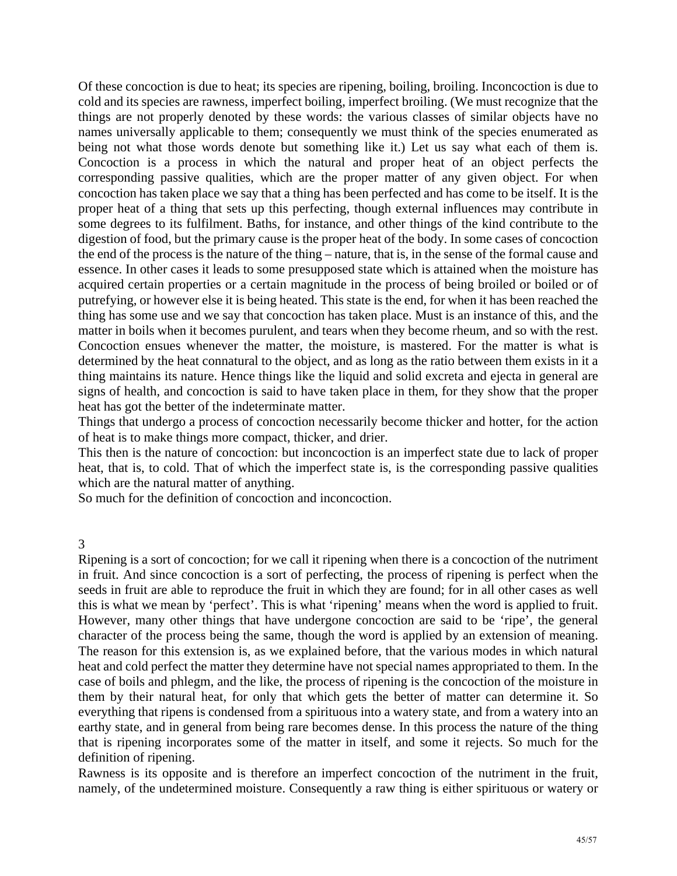Of these concoction is due to heat; its species are ripening, boiling, broiling. Inconcoction is due to cold and its species are rawness, imperfect boiling, imperfect broiling. (We must recognize that the things are not properly denoted by these words: the various classes of similar objects have no names universally applicable to them; consequently we must think of the species enumerated as being not what those words denote but something like it.) Let us say what each of them is. essence. In other cases it leads to some presupposed state which is attained when the moisture has Concoction is a process in which the natural and proper heat of an object perfects the corresponding passive qualities, which are the proper matter of any given object. For when concoction has taken place we say that a thing has been perfected and has come to be itself. It is the proper heat of a thing that sets up this perfecting, though external influences may contribute in some degrees to its fulfilment. Baths, for instance, and other things of the kind contribute to the digestion of food, but the primary cause is the proper heat of the body. In some cases of concoction the end of the process is the nature of the thing – nature, that is, in the sense of the formal cause and acquired certain properties or a certain magnitude in the process of being broiled or boiled or of putrefying, or however else it is being heated. This state is the end, for when it has been reached the thing has some use and we say that concoction has taken place. Must is an instance of this, and the matter in boils when it becomes purulent, and tears when they become rheum, and so with the rest. Concoction ensues whenever the matter, the moisture, is mastered. For the matter is what is determined by the heat connatural to the object, and as long as the ratio between them exists in it a thing maintains its nature. Hence things like the liquid and solid excreta and ejecta in general are signs of health, and concoction is said to have taken place in them, for they show that the proper heat has got the better of the indeterminate matter.

Things that undergo a process of concoction necessarily become thicker and hotter, for the action of heat is to make things more compact, thicker, and drier.

This then is the nature of concoction: but inconcoction is an imperfect state due to lack of proper heat, that is, to cold. That of which the imperfect state is, is the corresponding passive qualities which are the natural matter of anything.

So much for the definition of concoction and inconcoction.

3

Ripening is a sort of concoction; for we call it ripening when there is a concoction of the nutriment seeds in fruit are able to reproduce the fruit in which they are found; for in all other cases as well in fruit. And since concoction is a sort of perfecting, the process of ripening is perfect when the this is what we mean by 'perfect'. This is what 'ripening' means when the word is applied to fruit. However, many other things that have undergone concoction are said to be 'ripe', the general character of the process being the same, though the word is applied by an extension of meaning. The reason for this extension is, as we explained before, that the various modes in which natural heat and cold perfect the matter they determine have not special names appropriated to them. In the case of boils and phlegm, and the like, the process of ripening is the concoction of the moisture in them by their natural heat, for only that which gets the better of matter can determine it. So everything that ripens is condensed from a spirituous into a watery state, and from a watery into an earthy state, and in general from being rare becomes dense. In this process the nature of the thing that is ripening incorporates some of the matter in itself, and some it rejects. So much for the definition of ripening.

Rawness is its opposite and is therefore an imperfect concoction of the nutriment in the fruit, namely, of the undetermined moisture. Consequently a raw thing is either spirituous or watery or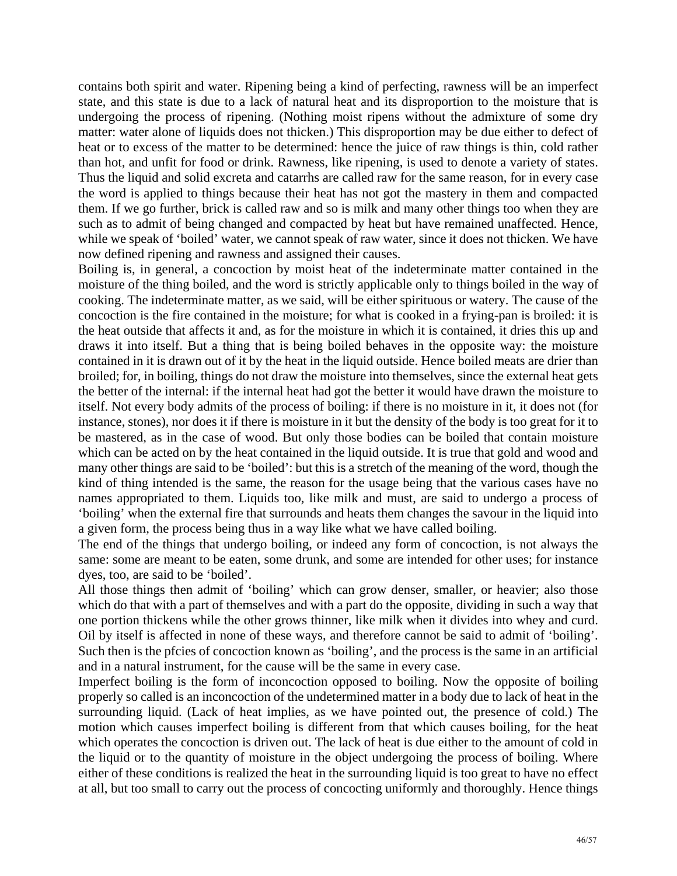contains both spirit and water. Ripening being a kind of perfecting, rawness will be an imperfect state, and this state is due to a lack of natural heat and its disproportion to the moisture that is undergoing the process of ripening. (Nothing moist ripens without the admixture of some dry matter: water alone of liquids does not thicken.) This disproportion may be due either to defect of heat or to excess of the matter to be determined: hence the juice of raw things is thin, cold rather such as to admit of being changed and compacted by heat but have remained unaffected. Hence, . now defined ripening and rawness and assigned their causes than hot, and unfit for food or drink. Rawness, like ripening, is used to denote a variety of states. Thus the liquid and solid excreta and catarrhs are called raw for the same reason, for in every case the word is applied to things because their heat has not got the mastery in them and compacted them. If we go further, brick is called raw and so is milk and many other things too when they are while we speak of 'boiled' water, we cannot speak of raw water, since it does not thicken. We have

cooking. The indeterminate matter, as we said, will be either spirituous or watery. The cause of the concoction is the fire contained in the moisture; for what is cooked in a frying-pan is broiled: it is the heat outside that affects it and, as for the moisture in which it is contained, it dries this up and draws it into itself. But a thing that is being boiled behaves in the opposite way: the moisture contained in it is drawn out of it by the heat in the liquid outside. Hence boiled meats are drier than Boiling is, in general, a concoction by moist heat of the indeterminate matter contained in the moisture of the thing boiled, and the word is strictly applicable only to things boiled in the way of broiled; for, in boiling, things do not draw the moisture into themselves, since the external heat gets the better of the internal: if the internal heat had got the better it would have drawn the moisture to itself. Not every body admits of the process of boiling: if there is no moisture in it, it does not (for instance, stones), nor does it if there is moisture in it but the density of the body is too great for it to be mastered, as in the case of wood. But only those bodies can be boiled that contain moisture which can be acted on by the heat contained in the liquid outside. It is true that gold and wood and many other things are said to be 'boiled': but this is a stretch of the meaning of the word, though the kind of thing intended is the same, the reason for the usage being that the various cases have no names appropriated to them. Liquids too, like milk and must, are said to undergo a process of 'boiling' when the external fire that surrounds and heats them changes the savour in the liquid into a given form, the process being thus in a way like what we have called boiling.

The end of the things that undergo boiling, or indeed any form of concoction, is not always the same: some are meant to be eaten, some drunk, and some are intended for other uses; for instance dyes, too, are said to be 'boiled'.

All those things then admit of 'boiling' which can grow denser, smaller, or heavier; also those which do that with a part of themselves and with a part do the opposite, dividing in such a way that one portion thickens while the other grows thinner, like milk when it divides into whey and curd. Oil by itself is affected in none of these ways, and therefore cannot be said to admit of 'boiling'. Such then is the pfcies of concoction known as 'boiling', and the process is the same in an artificial and in a natural instrument, for the cause will be the same in every case.

at all, but too small to carry out the process of concocting uniformly and thoroughly. Hence things Imperfect boiling is the form of inconcoction opposed to boiling. Now the opposite of boiling properly so called is an inconcoction of the undetermined matter in a body due to lack of heat in the surrounding liquid. (Lack of heat implies, as we have pointed out, the presence of cold.) The motion which causes imperfect boiling is different from that which causes boiling, for the heat which operates the concoction is driven out. The lack of heat is due either to the amount of cold in the liquid or to the quantity of moisture in the object undergoing the process of boiling. Where either of these conditions is realized the heat in the surrounding liquid is too great to have no effect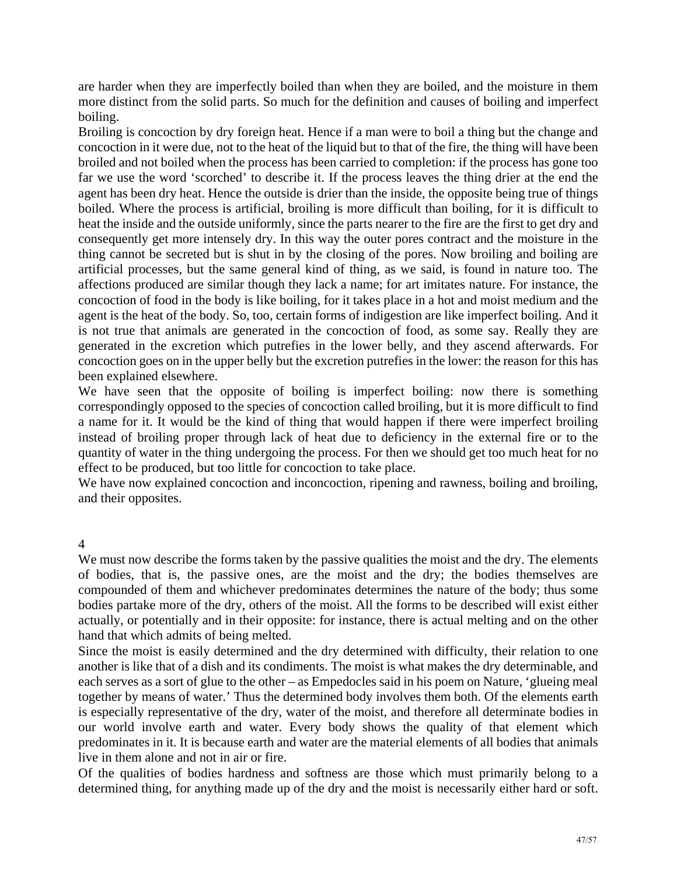are harder when they are imperfectly boiled than when they are boiled, and the moisture in them more distinct from the solid parts. So much for the definition and causes of boiling and imperfect boiling.

Broiling is concoction by dry foreign heat. Hence if a man were to boil a thing but the change and concoction in it were due, not to the heat of the liquid but to that of the fire, the thing will have been broiled and not boiled when the process has been carried to completion: if the process has gone too far we use the word 'scorched' to describe it. If the process leaves the thing drier at the end the agent has been dry heat. Hence the outside is drier than the inside, the opposite being true of things boiled. Where the process is artificial, broiling is more difficult than boiling, for it is difficult to heat the inside and the outside uniformly, since the parts nearer to the fire are the first to get dry and consequently get more intensely dry. In this way the outer pores contract and the moisture in the thing cannot be secreted but is shut in by the closing of the pores. Now broiling and boiling are artificial processes, but the same general kind of thing, as we said, is found in nature too. The affections produced are similar though they lack a name; for art imitates nature. For instance, the concoction of food in the body is like boiling, for it takes place in a hot and moist medium and the agent is the heat of the body. So, too, certain forms of indigestion are like imperfect boiling. And it is not true that animals are generated in the concoction of food, as some say. Really they are generated in the excretion which putrefies in the lower belly, and they ascend afterwards. For concoction goes on in the upper belly but the excretion putrefies in the lower: the reason for this has been explained elsewhere.

correspondingly opposed to the species of concoction called broiling, but it is more difficult to find We have seen that the opposite of boiling is imperfect boiling: now there is something a name for it. It would be the kind of thing that would happen if there were imperfect broiling instead of broiling proper through lack of heat due to deficiency in the external fire or to the quantity of water in the thing undergoing the process. For then we should get too much heat for no effect to be produced, but too little for concoction to take place.

We have now explained concoction and inconcoction, ripening and rawness, boiling and broiling, and their opposites.

#### 4

We must now describe the forms taken by the passive qualities the moist and the dry. The elements of bodies, that is, the passive ones, are the moist and the dry; the bodies themselves are compounded of them and whichever predominates determines the nature of the body; thus some bodies partake more of the dry, others of the moist. All the forms to be described will exist either actually, or potentially and in their opposite: for instance, there is actual melting and on the other hand that which admits of being melted.

another is like that of a dish and its condiments. The moist is what makes the dry determinable, and Since the moist is easily determined and the dry determined with difficulty, their relation to one each serves as a sort of glue to the other – as Empedocles said in his poem on Nature, 'glueing meal together by means of water.' Thus the determined body involves them both. Of the elements earth is especially representative of the dry, water of the moist, and therefore all determinate bodies in our world involve earth and water. Every body shows the quality of that element which predominates in it. It is because earth and water are the material elements of all bodies that animals live in them alone and not in air or fire.

Of the qualities of bodies hardness and softness are those which must primarily belong to a determined thing, for anything made up of the dry and the moist is necessarily either hard or soft.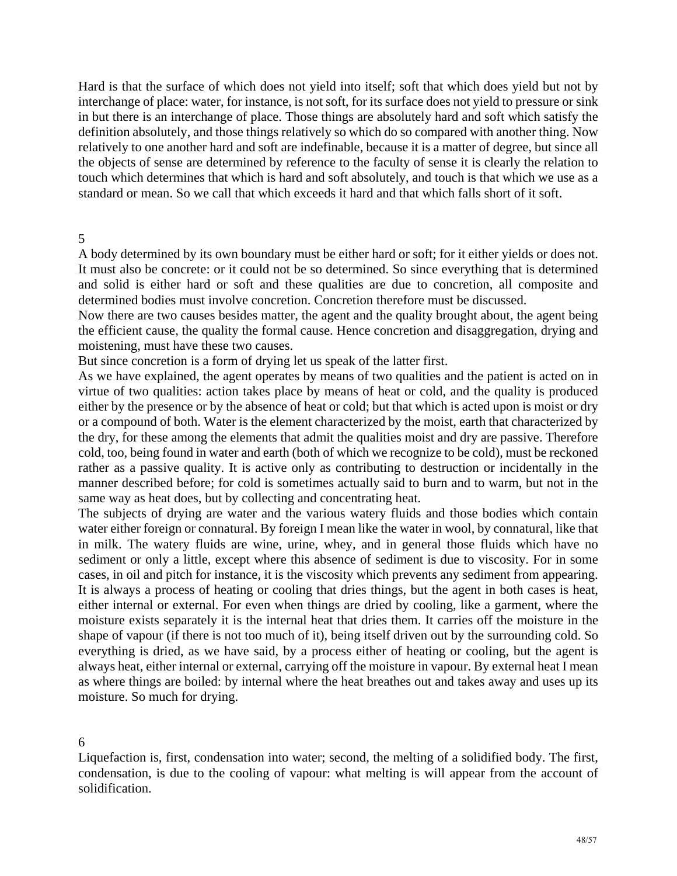Hard is that the surface of which does not yield into itself; soft that which does yield but not by interchange of place: water, for instance, is not soft, for its surface does not yield to pressure or sink in but there is an interchange of place. Those things are absolutely hard and soft which satisfy the definition absolutely, and those things relatively so which do so compared with another thing. Now relatively to one another hard and soft are indefinable, because it is a matter of degree, but since all the objects of sense are determined by reference to the faculty of sense it is clearly the relation to touch which determines that which is hard and soft absolutely, and touch is that which we use as a standard or mean. So we call that which exceeds it hard and that which falls short of it soft.

### 5

A body determined by its own boundary must be either hard or soft; for it either yields or does not. It must also be concrete: or it could not be so determined. So since everything that is determined and solid is either hard or soft and these qualities are due to concretion, all composite and determined bodies must involve concretion. Concretion therefore must be discussed.

the efficient cause, the quality the formal cause. Hence concretion and disaggregation, drying and moistening, must have these two causes. Now there are two causes besides matter, the agent and the quality brought about, the agent being

But since concretion is a form of drying let us speak of the latter first.

As we have explained, the agent operates by means of two qualities and the patient is acted on in rather as a passive quality. It is active only as contributing to destruction or incidentally in the virtue of two qualities: action takes place by means of heat or cold, and the quality is produced either by the presence or by the absence of heat or cold; but that which is acted upon is moist or dry or a compound of both. Water is the element characterized by the moist, earth that characterized by the dry, for these among the elements that admit the qualities moist and dry are passive. Therefore cold, too, being found in water and earth (both of which we recognize to be cold), must be reckoned manner described before; for cold is sometimes actually said to burn and to warm, but not in the same way as heat does, but by collecting and concentrating heat.

It is always a process of heating or cooling that dries things, but the agent in both cases is heat, The subjects of drying are water and the various watery fluids and those bodies which contain water either foreign or connatural. By foreign I mean like the water in wool, by connatural, like that in milk. The watery fluids are wine, urine, whey, and in general those fluids which have no sediment or only a little, except where this absence of sediment is due to viscosity. For in some cases, in oil and pitch for instance, it is the viscosity which prevents any sediment from appearing. either internal or external. For even when things are dried by cooling, like a garment, where the moisture exists separately it is the internal heat that dries them. It carries off the moisture in the shape of vapour (if there is not too much of it), being itself driven out by the surrounding cold. So everything is dried, as we have said, by a process either of heating or cooling, but the agent is always heat, either internal or external, carrying off the moisture in vapour. By external heat I mean as where things are boiled: by internal where the heat breathes out and takes away and uses up its moisture. So much for drying.

6

Liquefaction is, first, condensation into water; second, the melting of a solidified body. The first, condensation, is due to the cooling of vapour: what melting is will appear from the account of solidification.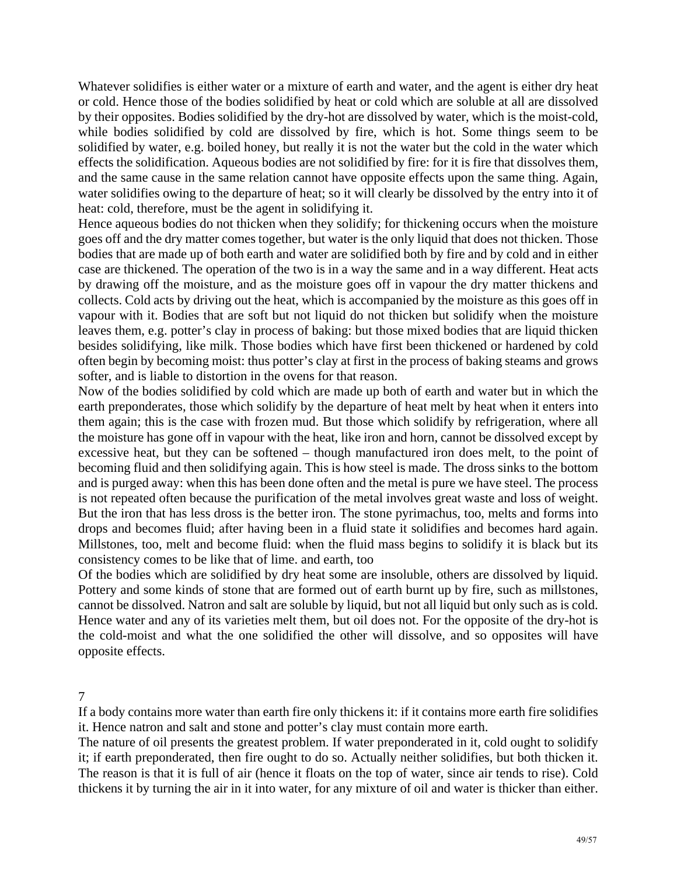Whatever solidifies is either water or a mixture of earth and water, and the agent is either dry heat by their opposites. Bodies solidified by the dry-hot are dissolved by water, which is the moist-cold, effects the solidification. Aqueous bodies are not solidified by fire: for it is fire that dissolves them, heat: cold, therefore, must be the agent in solidifying it. or cold. Hence those of the bodies solidified by heat or cold which are soluble at all are dissolved while bodies solidified by cold are dissolved by fire, which is hot. Some things seem to be solidified by water, e.g. boiled honey, but really it is not the water but the cold in the water which and the same cause in the same relation cannot have opposite effects upon the same thing. Again, water solidifies owing to the departure of heat; so it will clearly be dissolved by the entry into it of

Hence aqueous bodies do not thicken when they solidify; for thickening occurs when the moisture often begin by becoming moist: thus potter's clay at first in the process of baking steams and grows goes off and the dry matter comes together, but water is the only liquid that does not thicken. Those bodies that are made up of both earth and water are solidified both by fire and by cold and in either case are thickened. The operation of the two is in a way the same and in a way different. Heat acts by drawing off the moisture, and as the moisture goes off in vapour the dry matter thickens and collects. Cold acts by driving out the heat, which is accompanied by the moisture as this goes off in vapour with it. Bodies that are soft but not liquid do not thicken but solidify when the moisture leaves them, e.g. potter's clay in process of baking: but those mixed bodies that are liquid thicken besides solidifying, like milk. Those bodies which have first been thickened or hardened by cold softer, and is liable to distortion in the ovens for that reason.

excessive heat, but they can be softened – though manufactured iron does melt, to the point of Now of the bodies solidified by cold which are made up both of earth and water but in which the earth preponderates, those which solidify by the departure of heat melt by heat when it enters into them again; this is the case with frozen mud. But those which solidify by refrigeration, where all the moisture has gone off in vapour with the heat, like iron and horn, cannot be dissolved except by becoming fluid and then solidifying again. This is how steel is made. The dross sinks to the bottom and is purged away: when this has been done often and the metal is pure we have steel. The process is not repeated often because the purification of the metal involves great waste and loss of weight. But the iron that has less dross is the better iron. The stone pyrimachus, too, melts and forms into drops and becomes fluid; after having been in a fluid state it solidifies and becomes hard again. Millstones, too, melt and become fluid: when the fluid mass begins to solidify it is black but its consistency comes to be like that of lime. and earth, too

Of the bodies which are solidified by dry heat some are insoluble, others are dissolved by liquid. Pottery and some kinds of stone that are formed out of earth burnt up by fire, such as millstones, annot be dissolved. Natron and salt are soluble by liquid, but not all liquid but only such as is cold. c Hence water and any of its varieties melt them, but oil does not. For the opposite of the dry-hot is the cold-moist and what the one solidified the other will dissolve, and so opposites will have opposite effects.

7

If a body contains more water than earth fire only thickens it: if it contains more earth fire solidifies it. Hence natron and salt and stone and potter's clay must contain more earth.

thickens it by turning the air in it into water, for any mixture of oil and water is thicker than either. The nature of oil presents the greatest problem. If water preponderated in it, cold ought to solidify it; if earth preponderated, then fire ought to do so. Actually neither solidifies, but both thicken it. The reason is that it is full of air (hence it floats on the top of water, since air tends to rise). Cold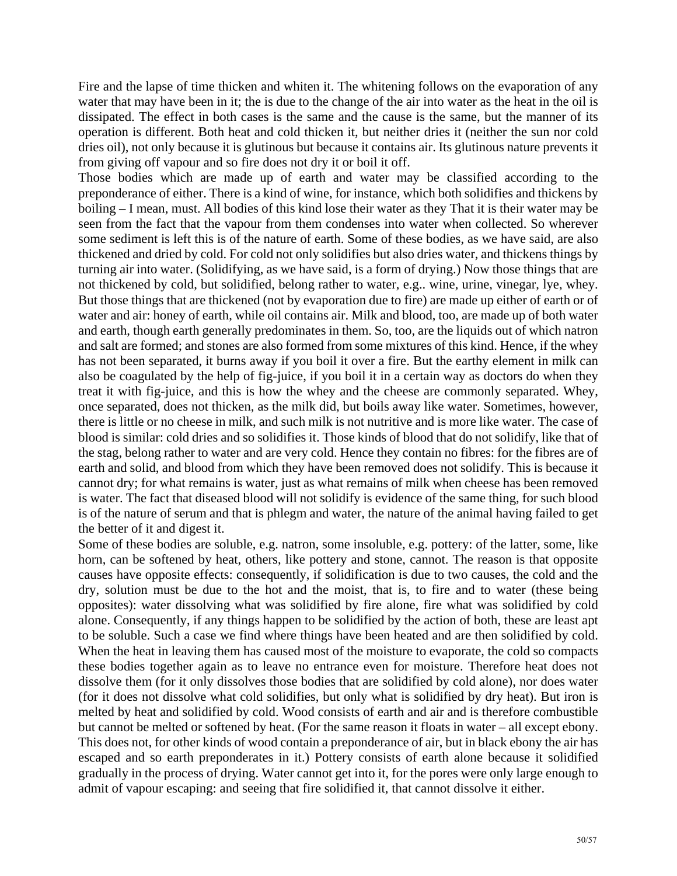Fire and the lapse of time thicken and whiten it. The whitening follows on the evaporation of any water that may have been in it; the is due to the change of the air into water as the heat in the oil is dissipated. The effect in both cases is the same and the cause is the same, but the manner of its operation is different. Both heat and cold thicken it, but neither dries it (neither the sun nor cold dries oil), not only because it is glutinous but because it contains air. Its glutinous nature prevents it from giving off vapour and so fire does not dry it or boil it off.

the stag, belong rather to water and are very cold. Hence they contain no fibres: for the fibres are of Those bodies which are made up of earth and water may be classified according to the preponderance of either. There is a kind of wine, for instance, which both solidifies and thickens by boiling – I mean, must. All bodies of this kind lose their water as they That it is their water may be seen from the fact that the vapour from them condenses into water when collected. So wherever some sediment is left this is of the nature of earth. Some of these bodies, as we have said, are also thickened and dried by cold. For cold not only solidifies but also dries water, and thickens things by turning air into water. (Solidifying, as we have said, is a form of drying.) Now those things that are not thickened by cold, but solidified, belong rather to water, e.g.. wine, urine, vinegar, lye, whey. But those things that are thickened (not by evaporation due to fire) are made up either of earth or of water and air: honey of earth, while oil contains air. Milk and blood, too, are made up of both water and earth, though earth generally predominates in them. So, too, are the liquids out of which natron and salt are formed; and stones are also formed from some mixtures of this kind. Hence, if the whey has not been separated, it burns away if you boil it over a fire. But the earthy element in milk can also be coagulated by the help of fig-juice, if you boil it in a certain way as doctors do when they treat it with fig-juice, and this is how the whey and the cheese are commonly separated. Whey, once separated, does not thicken, as the milk did, but boils away like water. Sometimes, however, there is little or no cheese in milk, and such milk is not nutritive and is more like water. The case of blood is similar: cold dries and so solidifies it. Those kinds of blood that do not solidify, like that of earth and solid, and blood from which they have been removed does not solidify. This is because it cannot dry; for what remains is water, just as what remains of milk when cheese has been removed is water. The fact that diseased blood will not solidify is evidence of the same thing, for such blood is of the nature of serum and that is phlegm and water, the nature of the animal having failed to get the better of it and digest it.

Some of these bodies are soluble, e.g. natron, some insoluble, e.g. pottery: of the latter, some, like horn, can be softened by heat, others, like pottery and stone, cannot. The reason is that opposite causes have opposite effects: consequently, if solidification is due to two causes, the cold and the dry, solution must be due to the hot and the moist, that is, to fire and to water (these being alone. Consequently, if any things happen to be solidified by the action of both, these are least apt gradually in the process of drying. Water cannot get into it, for the pores were only large enough to admit of vapour escaping: and seeing that fire solidified it, that cannot dissolve it either. opposites): water dissolving what was solidified by fire alone, fire what was solidified by cold to be soluble. Such a case we find where things have been heated and are then solidified by cold. When the heat in leaving them has caused most of the moisture to evaporate, the cold so compacts these bodies together again as to leave no entrance even for moisture. Therefore heat does not dissolve them (for it only dissolves those bodies that are solidified by cold alone), nor does water (for it does not dissolve what cold solidifies, but only what is solidified by dry heat). But iron is melted by heat and solidified by cold. Wood consists of earth and air and is therefore combustible but cannot be melted or softened by heat. (For the same reason it floats in water – all except ebony. This does not, for other kinds of wood contain a preponderance of air, but in black ebony the air has escaped and so earth preponderates in it.) Pottery consists of earth alone because it solidified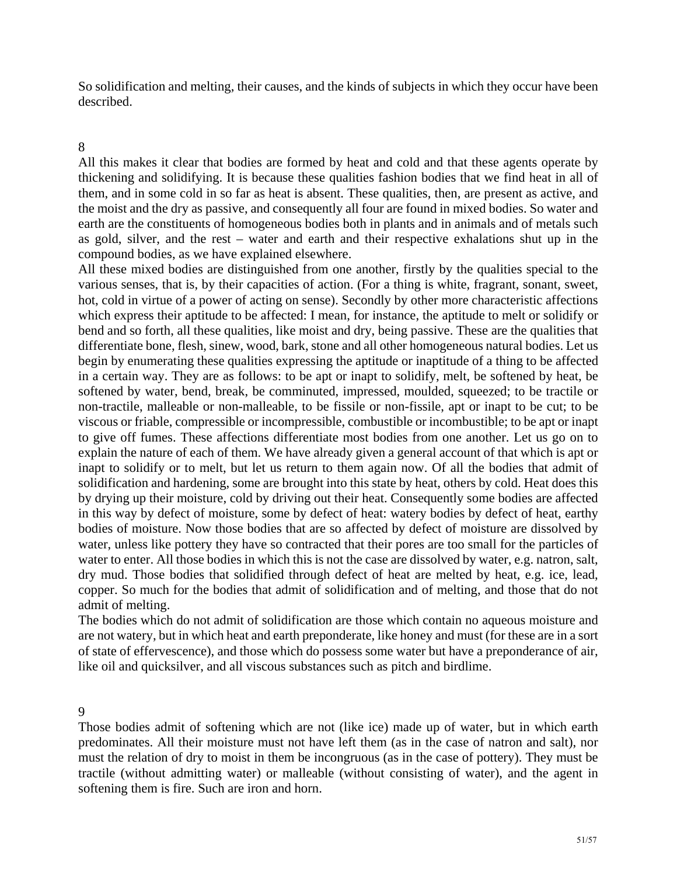So solidification and melting, their causes, and the kinds of subjects in which they occur have been described.

### 8

All this makes it clear that bodies are formed by heat and cold and that these agents operate by thickening and solidifying. It is because these qualities fashion bodies that we find heat in all of them, and in some cold in so far as heat is absent. These qualities, then, are present as active, and the moist and the dry as passive, and consequently all four are found in mixed bodies. So water and earth are the constituents of homogeneous bodies both in plants and in animals and of metals such as gold, silver, and the rest – water and earth and their respective exhalations shut up in the compound bodies, as we have explained elsewhere.

All these mixed bodies are distinguished from one another, firstly by the qualities special to the various senses, that is, by their capacities of action. (For a thing is white, fragrant, sonant, sweet, hot, cold in virtue of a power of acting on sense). Secondly by other more characteristic affections which express their aptitude to be affected: I mean, for instance, the aptitude to melt or solidify or bend and so forth, all these qualities, like moist and dry, being passive. These are the qualities that differentiate bone, flesh, sinew, wood, bark, stone and all other homogeneous natural bodies. Let us begin by enumerating these qualities expressing the aptitude or inaptitude of a thing to be affected in a certain way. They are as follows: to be apt or inapt to solidify, melt, be softened by heat, be softened by water, bend, break, be comminuted, impressed, moulded, squeezed; to be tractile or non-tractile, malleable or non-malleable, to be fissile or non-fissile, apt or inapt to be cut; to be viscous or friable, compressible or incompressible, combustible or incombustible; to be apt or inapt to give off fumes. These affections differentiate most bodies from one another. Let us go on to explain the nature of each of them. We have already given a general account of that which is apt or inapt to solidify or to melt, but let us return to them again now. Of all the bodies that admit of solidification and hardening, some are brought into this state by heat, others by cold. Heat does this by drying up their moisture, cold by driving out their heat. Consequently some bodies are affected in this way by defect of moisture, some by defect of heat: watery bodies by defect of heat, earthy bodies of moisture. Now those bodies that are so affected by defect of moisture are dissolved by water, unless like pottery they have so contracted that their pores are too small for the particles of water to enter. All those bodies in which this is not the case are dissolved by water, e.g. natron, salt, dry mud. Those bodies that solidified through defect of heat are melted by heat, e.g. ice, lead, copper. So much for the bodies that admit of solidification and of melting, and those that do not admit of melting.

The bodies which do not admit of solidification are those which contain no aqueous moisture and are not watery, but in which heat and earth preponderate, like honey and must (for these are in a sort of state of effervescence), and those which do possess some water but have a preponderance of air, like oil and quicksilver, and all viscous substances such as pitch and birdlime.

9

Those bodies admit of softening which are not (like ice) made up of water, but in which earth must the relation of dry to moist in them be incongruous (as in the case of pottery). They must be tractile (without admitting water) or malleable (without consisting of water), and the agent in softening them is fire. Such are iron and horn. predominates. All their moisture must not have left them (as in the case of natron and salt), nor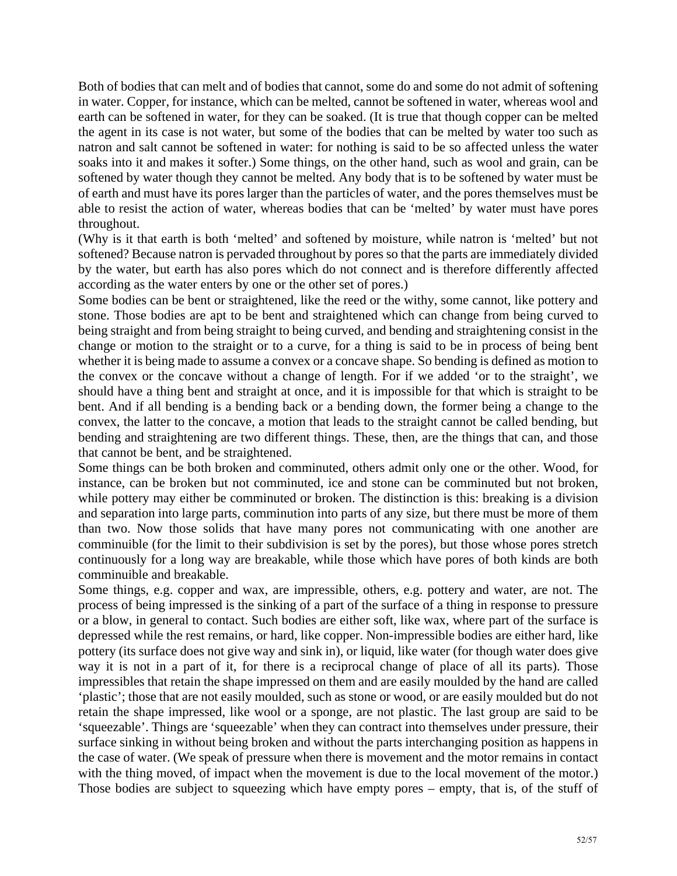Both of bodies that can melt and of bodies that cannot, some do and some do not admit of softening of earth and must have its pores larger than the particles of water, and the pores themselves must be in water. Copper, for instance, which can be melted, cannot be softened in water, whereas wool and earth can be softened in water, for they can be soaked. (It is true that though copper can be melted the agent in its case is not water, but some of the bodies that can be melted by water too such as natron and salt cannot be softened in water: for nothing is said to be so affected unless the water soaks into it and makes it softer.) Some things, on the other hand, such as wool and grain, can be softened by water though they cannot be melted. Any body that is to be softened by water must be able to resist the action of water, whereas bodies that can be 'melted' by water must have pores throughout.

(Why is it that earth is both 'melted' and softened by moisture, while natron is 'melted' but not softened? Because natron is pervaded throughout by pores so that the parts are immediately divided by the water, but earth has also pores which do not connect and is therefore differently affected according as the water enters by one or the other set of pores.)

Some bodies can be bent or straightened, like the reed or the withy, some cannot, like pottery and stone. Those bodies are apt to be bent and straightened which can change from being curved to being straight and from being straight to being curved, and bending and straightening consist in the change or motion to the straight or to a curve, for a thing is said to be in process of being bent whether it is being made to assume a convex or a concave shape. So bending is defined as motion to the convex or the concave without a change of length. For if we added 'or to the straight', we should have a thing bent and straight at once, and it is impossible for that which is straight to be bent. And if all bending is a bending back or a bending down, the former being a change to the convex, the latter to the concave, a motion that leads to the straight cannot be called bending, but bending and straightening are two different things. These, then, are the things that can, and those that cannot be bent, and be straightened.

comminuible (for the limit to their subdivision is set by the pores), but those whose pores stretch Some things can be both broken and comminuted, others admit only one or the other. Wood, for instance, can be broken but not comminuted, ice and stone can be comminuted but not broken, while pottery may either be comminuted or broken. The distinction is this: breaking is a division and separation into large parts, comminution into parts of any size, but there must be more of them than two. Now those solids that have many pores not communicating with one another are continuously for a long way are breakable, while those which have pores of both kinds are both comminuible and breakable.

process of being impressed is the sinking of a part of the surface of a thing in response to pressure or a blow, in general to contact. Such bodies are either soft, like wax, where part of the surface is depressed while the rest remains, or hard, like copper. Non-impressible bodies are either hard, like pottery (its surface does not give way and sink in), or liquid, like water (for though water does give 'squeezable'. Things are 'squeezable' when they can contract into themselves under pressure, their Some things, e.g. copper and wax, are impressible, others, e.g. pottery and water, are not. The way it is not in a part of it, for there is a reciprocal change of place of all its parts). Those impressibles that retain the shape impressed on them and are easily moulded by the hand are called 'plastic'; those that are not easily moulded, such as stone or wood, or are easily moulded but do not retain the shape impressed, like wool or a sponge, are not plastic. The last group are said to be surface sinking in without being broken and without the parts interchanging position as happens in the case of water. (We speak of pressure when there is movement and the motor remains in contact with the thing moved, of impact when the movement is due to the local movement of the motor.) Those bodies are subject to squeezing which have empty pores – empty, that is, of the stuff of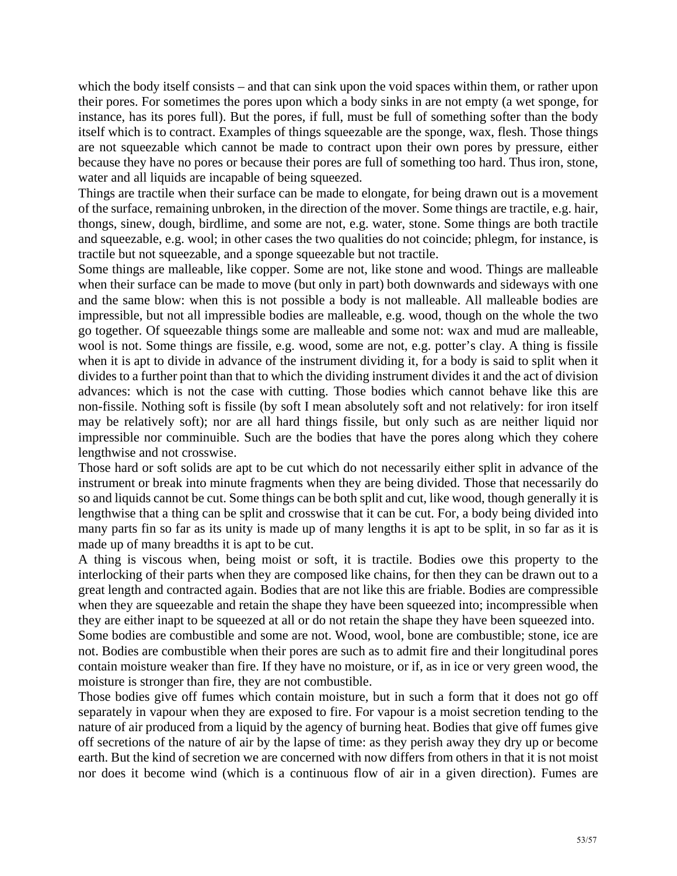which the body itself consists – and that can sink upon the void spaces within them, or rather upon their pores. For sometimes the pores upon which a body sinks in are not empty (a wet sponge, for instance, has its pores full). But the pores, if full, must be full of something softer than the body itself which is to contract. Examples of things squeezable are the sponge, wax, flesh. Those things are not squeezable which cannot be made to contract upon their own pores by pressure, either because they have no pores or because their pores are full of something too hard. Thus iron, stone, water and all liquids are incapable of being squeezed.

thongs, sinew, dough, birdlime, and some are not, e.g. water, stone. Some things are both tractile Things are tractile when their surface can be made to elongate, for being drawn out is a movement of the surface, remaining unbroken, in the direction of the mover. Some things are tractile, e.g. hair, and squeezable, e.g. wool; in other cases the two qualities do not coincide; phlegm, for instance, is tractile but not squeezable, and a sponge squeezable but not tractile.

advances: which is not the case with cutting. Those bodies which cannot behave like this are Some things are malleable, like copper. Some are not, like stone and wood. Things are malleable when their surface can be made to move (but only in part) both downwards and sideways with one and the same blow: when this is not possible a body is not malleable. All malleable bodies are impressible, but not all impressible bodies are malleable, e.g. wood, though on the whole the two go together. Of squeezable things some are malleable and some not: wax and mud are malleable, wool is not. Some things are fissile, e.g. wood, some are not, e.g. potter's clay. A thing is fissile when it is apt to divide in advance of the instrument dividing it, for a body is said to split when it divides to a further point than that to which the dividing instrument divides it and the act of division non-fissile. Nothing soft is fissile (by soft I mean absolutely soft and not relatively: for iron itself may be relatively soft); nor are all hard things fissile, but only such as are neither liquid nor impressible nor comminuible. Such are the bodies that have the pores along which they cohere lengthwise and not crosswise.

lengthwise that a thing can be split and crosswise that it can be cut. For, a body being divided into Those hard or soft solids are apt to be cut which do not necessarily either split in advance of the instrument or break into minute fragments when they are being divided. Those that necessarily do so and liquids cannot be cut. Some things can be both split and cut, like wood, though generally it is many parts fin so far as its unity is made up of many lengths it is apt to be split, in so far as it is made up of many breadths it is apt to be cut.

A thing is viscous when, being moist or soft, it is tractile. Bodies owe this property to the interlocking of their parts when they are composed like chains, for then they can be drawn out to a great length and contracted again. Bodies that are not like this are friable. Bodies are compressible when they are squeezable and retain the shape they have been squeezed into; incompressible when they are either inapt to be squeezed at all or do not retain the shape they have been squeezed into. Some bodies are combustible and some are not. Wood, wool, bone are combustible; stone, ice are not. Bodies are combustible when their pores are such as to admit fire and their longitudinal pores contain moisture weaker than fire. If they have no moisture, or if, as in ice or very green wood, the moisture is stronger than fire, they are not combustible.

Those bodies give off fumes which contain moisture, but in such a form that it does not go off separately in vapour when they are exposed to fire. For vapour is a moist secretion tending to the nature of air produced from a liquid by the agency of burning heat. Bodies that give off fumes give off secretions of the nature of air by the lapse of time: as they perish away they dry up or become earth. But the kind of secretion we are concerned with now differs from others in that it is not moist nor does it become wind (which is a continuous flow of air in a given direction). Fumes are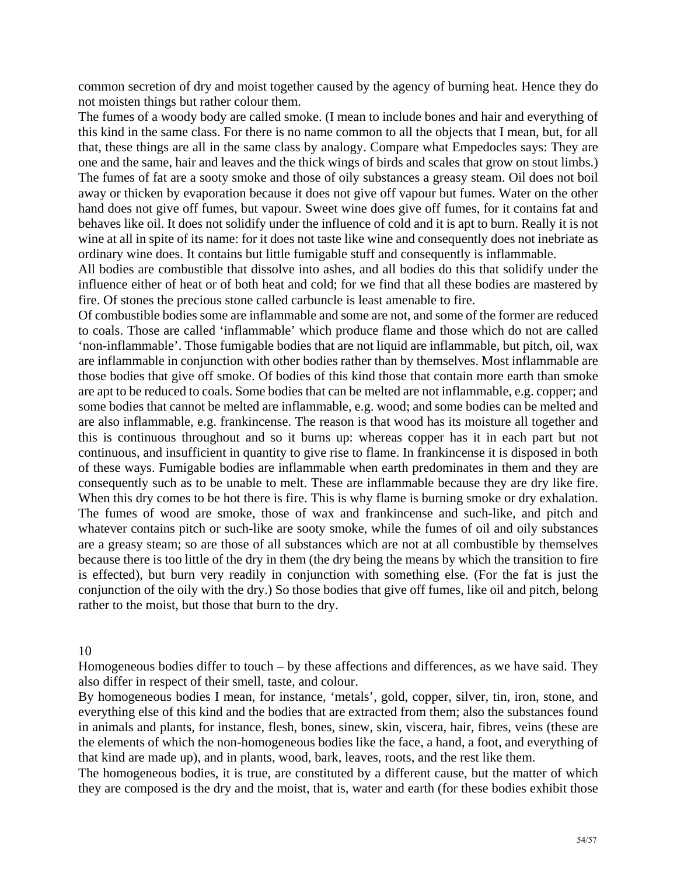common secretion of dry and moist together caused by the agency of burning heat. Hence they do not moisten things but rather colour them.

The fumes of a woody body are called smoke. (I mean to include bones and hair and everything of this kind in the same class. For there is no name common to all the objects that I mean, but, for all hand does not give off fumes, but vapour. Sweet wine does give off fumes, for it contains fat and that, these things are all in the same class by analogy. Compare what Empedocles says: They are one and the same, hair and leaves and the thick wings of birds and scales that grow on stout limbs.) The fumes of fat are a sooty smoke and those of oily substances a greasy steam. Oil does not boil away or thicken by evaporation because it does not give off vapour but fumes. Water on the other behaves like oil. It does not solidify under the influence of cold and it is apt to burn. Really it is not wine at all in spite of its name: for it does not taste like wine and consequently does not inebriate as ordinary wine does. It contains but little fumigable stuff and consequently is inflammable.

All bodies are combustible that dissolve into ashes, and all bodies do this that solidify under the influence either of heat or of both heat and cold; for we find that all these bodies are mastered by fire. Of stones the precious stone called carbuncle is least amenable to fire.

some bodies that cannot be melted are inflammable, e.g. wood; and some bodies can be melted and When this dry comes to be hot there is fire. This is why flame is burning smoke or dry exhalation. conjunction of the oily with the dry.) So those bodies that give off fumes, like oil and pitch, belong Of combustible bodies some are inflammable and some are not, and some of the former are reduced to coals. Those are called 'inflammable' which produce flame and those which do not are called 'non-inflammable'. Those fumigable bodies that are not liquid are inflammable, but pitch, oil, wax are inflammable in conjunction with other bodies rather than by themselves. Most inflammable are those bodies that give off smoke. Of bodies of this kind those that contain more earth than smoke are apt to be reduced to coals. Some bodies that can be melted are not inflammable, e.g. copper; and are also inflammable, e.g. frankincense. The reason is that wood has its moisture all together and this is continuous throughout and so it burns up: whereas copper has it in each part but not continuous, and insufficient in quantity to give rise to flame. In frankincense it is disposed in both of these ways. Fumigable bodies are inflammable when earth predominates in them and they are consequently such as to be unable to melt. These are inflammable because they are dry like fire. The fumes of wood are smoke, those of wax and frankincense and such-like, and pitch and whatever contains pitch or such-like are sooty smoke, while the fumes of oil and oily substances are a greasy steam; so are those of all substances which are not at all combustible by themselves because there is too little of the dry in them (the dry being the means by which the transition to fire is effected), but burn very readily in conjunction with something else. (For the fat is just the rather to the moist, but those that burn to the dry.

10

Homogeneous bodies differ to touch – by these affections and differences, as we have said. They also differ in respect of their smell, taste, and colour.

By homogeneous bodies I mean, for instance, 'metals', gold, copper, silver, tin, iron, stone, and everything else of this kind and the bodies that are extracted from them; also the substances found in animals and plants, for instance, flesh, bones, sinew, skin, viscera, hair, fibres, veins (these are the elements of which the non-homogeneous bodies like the face, a hand, a foot, and everything of that kind are made up), and in plants, wood, bark, leaves, roots, and the rest like them.

The homogeneous bodies, it is true, are constituted by a different cause, but the matter of which they are composed is the dry and the moist, that is, water and earth (for these bodies exhibit those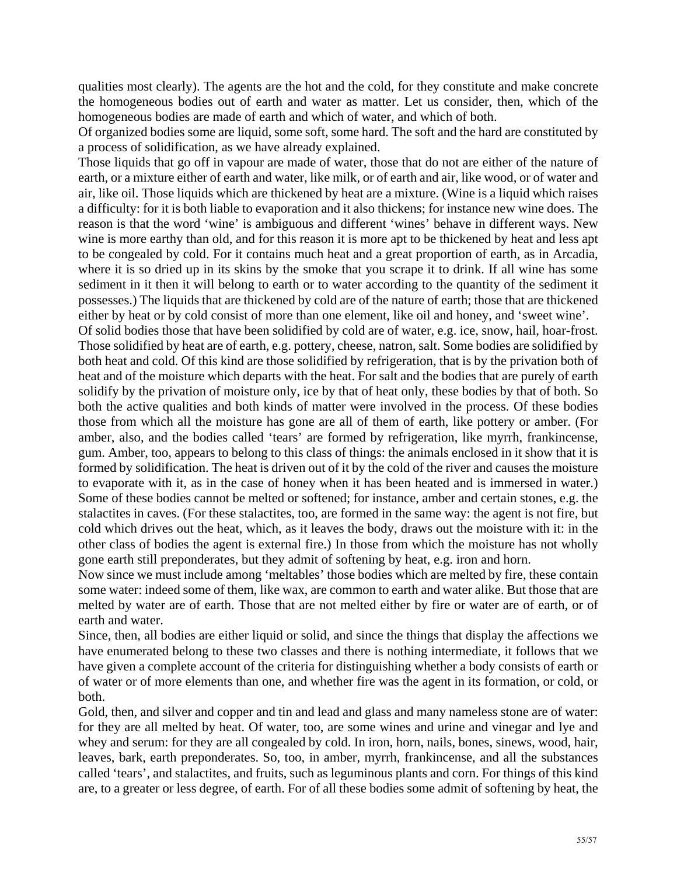qualities most clearly). The agents are the hot and the cold, for they constitute and make concrete the homogeneous bodies out of earth and water as matter. Let us consider, then, which of the homogeneous bodies are made of earth and which of water, and which of both.

Of organized bodies some are liquid, some soft, some hard. The soft and the hard are constituted by a process of solidification, as we have already explained.

Those liquids that go off in vapour are made of water, those that do not are either of the nature of earth, or a mixture either of earth and water, like milk, or of earth and air, like wood, or of water and air, like oil. Those liquids which are thickened by heat are a mixture. (Wine is a liquid which raises a difficulty: for it is both liable to evaporation and it also thickens; for instance new wine does. The reason is that the word 'wine' is ambiguous and different 'wines' behave in different ways. New wine is more earthy than old, and for this reason it is more apt to be thickened by heat and less apt sediment in it then it will belong to earth or to water according to the quantity of the sediment it to be congealed by cold. For it contains much heat and a great proportion of earth, as in Arcadia, where it is so dried up in its skins by the smoke that you scrape it to drink. If all wine has some possesses.) The liquids that are thickened by cold are of the nature of earth; those that are thickened either by heat or by cold consist of more than one element, like oil and honey, and 'sweet wine'.

Of solid bodies those that have been solidified by cold are of water, e.g. ice, snow, hail, hoar-frost. Those solidified by heat are of earth, e.g. pottery, cheese, natron, salt. Some bodies are solidified by both heat and cold. Of this kind are those solidified by refrigeration, that is by the privation both of heat and of the moisture which departs with the heat. For salt and the bodies that are purely of earth solidify by the privation of moisture only, ice by that of heat only, these bodies by that of both. So both the active qualities and both kinds of matter were involved in the process. Of these bodies those from which all the moisture has gone are all of them of earth, like pottery or amber. (For amber, also, and the bodies called 'tears' are formed by refrigeration, like myrrh, frankincense, gum. Amber, too, appears to belong to this class of things: the animals enclosed in it show that it is formed by solidification. The heat is driven out of it by the cold of the river and causes the moisture to evaporate with it, as in the case of honey when it has been heated and is immersed in water.) Some of these bodies cannot be melted or softened; for instance, amber and certain stones, e.g. the stalactites in caves. (For these stalactites, too, are formed in the same way: the agent is not fire, but cold which drives out the heat, which, as it leaves the body, draws out the moisture with it: in the other class of bodies the agent is external fire.) In those from which the moisture has not wholly gone earth still preponderates, but they admit of softening by heat, e.g. iron and horn.

melted by water are of earth. Those that are not melted either by fire or water are of earth, or of earth and water. Now since we must include among 'meltables' those bodies which are melted by fire, these contain some water: indeed some of them, like wax, are common to earth and water alike. But those that are

Since, then, all bodies are either liquid or solid, and since the things that display the affections we have enumerated belong to these two classes and there is nothing intermediate, it follows that we of water or of more elements than one, and whether fire was the agent in its formation, or cold, or have given a complete account of the criteria for distinguishing whether a body consists of earth or both.

called 'tears', and stalactites, and fruits, such as leguminous plants and corn. For things of this kind are, to a greater or less degree, of earth. For of all these bodies some admit of softening by heat, the Gold, then, and silver and copper and tin and lead and glass and many nameless stone are of water: for they are all melted by heat. Of water, too, are some wines and urine and vinegar and lye and whey and serum: for they are all congealed by cold. In iron, horn, nails, bones, sinews, wood, hair, leaves, bark, earth preponderates. So, too, in amber, myrrh, frankincense, and all the substances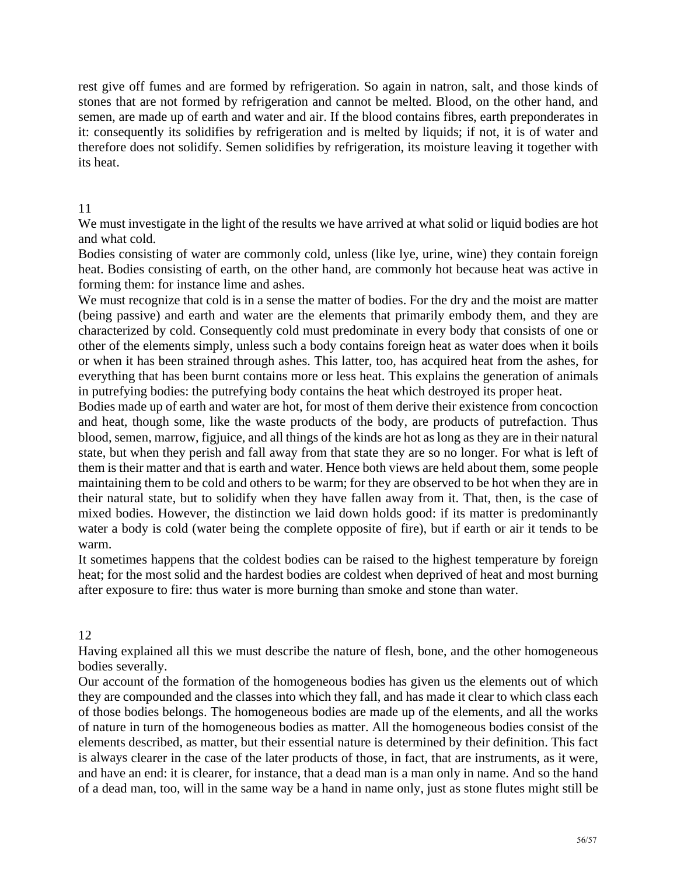rest give off fumes and are formed by refrigeration. So again in natron, salt, and those kinds of stones that are not formed by refrigeration and cannot be melted. Blood, on the other hand, and semen, are made up of earth and water and air. If the blood contains fibres, earth preponderates in it: consequently its solidifies by refrigeration and is melted by liquids; if not, it is of water and therefore does not solidify. Semen solidifies by refrigeration, its moisture leaving it together with its heat.

# 11

We must investigate in the light of the results we have arrived at what solid or liquid bodies are hot and what cold.

Bodies consisting of water are commonly cold, unless (like lye, urine, wine) they contain foreign heat. Bodies consisting of earth, on the other hand, are commonly hot because heat was active in forming them: for instance lime and ashes.

or when it has been strained through ashes. This latter, too, has acquired heat from the ashes, for We must recognize that cold is in a sense the matter of bodies. For the dry and the moist are matter (being passive) and earth and water are the elements that primarily embody them, and they are characterized by cold. Consequently cold must predominate in every body that consists of one or other of the elements simply, unless such a body contains foreign heat as water does when it boils everything that has been burnt contains more or less heat. This explains the generation of animals in putrefying bodies: the putrefying body contains the heat which destroyed its proper heat.

Bodies made up of earth and water are hot, for most of them derive their existence from concoction and heat, though some, like the waste products of the body, are products of putrefaction. Thus blood, semen, marrow, figjuice, and all things of the kinds are hot as long as they are in their natural state, but when they perish and fall away from that state they are so no longer. For what is left of them is their matter and that is earth and water. Hence both views are held about them, some people maintaining them to be cold and others to be warm; for they are observed to be hot when they are in their natural state, but to solidify when they have fallen away from it. That, then, is the case of mixed bodies. However, the distinction we laid down holds good: if its matter is predominantly water a body is cold (water being the complete opposite of fire), but if earth or air it tends to be warm.

It sometimes happens that the coldest bodies can be raised to the highest temperature by foreign heat; for the most solid and the hardest bodies are coldest when deprived of heat and most burning after exposure to fire: thus water is more burning than smoke and stone than water.

# 12

Having explained all this we must describe the nature of flesh, bone, and the other homogeneous bodies severally.

Our account of the formation of the homogeneous bodies has given us the elements out of which is always clearer in the case of the later products of those, in fact, that are instruments, as it were, they are compounded and the classes into which they fall, and has made it clear to which class each of those bodies belongs. The homogeneous bodies are made up of the elements, and all the works of nature in turn of the homogeneous bodies as matter. All the homogeneous bodies consist of the elements described, as matter, but their essential nature is determined by their definition. This fact and have an end: it is clearer, for instance, that a dead man is a man only in name. And so the hand of a dead man, too, will in the same way be a hand in name only, just as stone flutes might still be